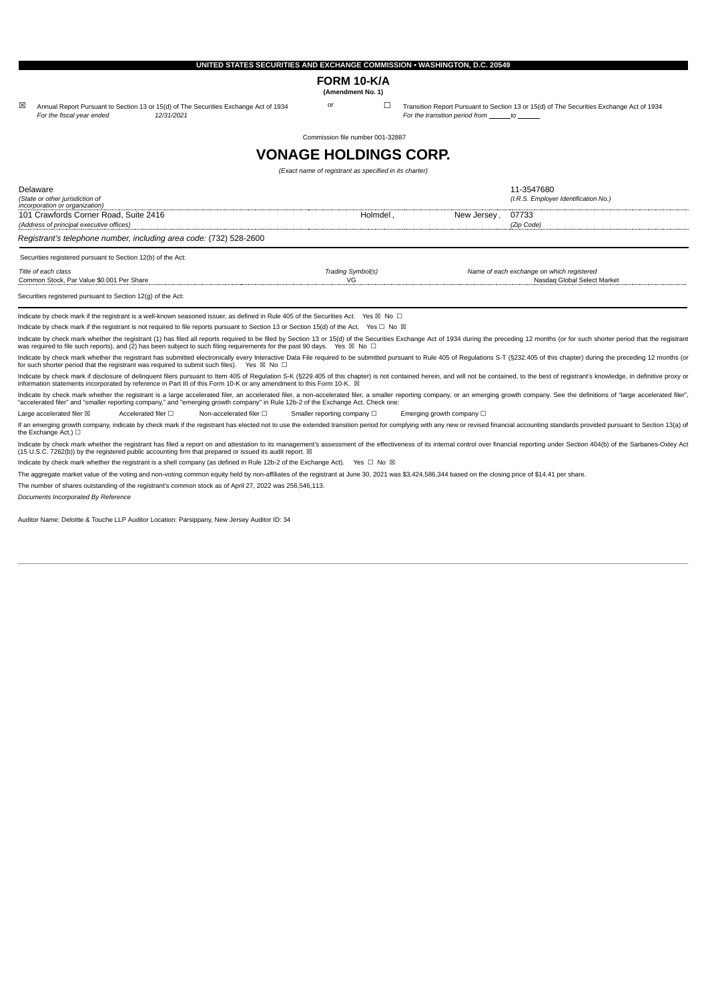# **FORM 10-K/A**

**(Amendment No. 1)**

 $\boxtimes$  Annual Report Pursuant to Section 13 or 15(d) of The Securities Exchange Act of 1934 *For the fiscal year ended 12/31/2021 For the transition period from to*

or ☐ Transition Report Pursuant to Section 13 or 15(d) of The Securities Exchange Act of 1934

Commission file number 001-32887

# **VONAGE HOLDINGS CORP.**

*(Exact name of registrant as specified in its charter)*

| Delaware<br>(State or other jurisdiction of<br><i>incorporation or organization)</i><br>101 Crawfords Corner Road, Suite 2416                                                                                                                                                                                                                                              | Holmdel,          | New Jersey, | 11-3547680<br>(I.R.S. Employer Identification No.)<br>07733 |  |  |
|----------------------------------------------------------------------------------------------------------------------------------------------------------------------------------------------------------------------------------------------------------------------------------------------------------------------------------------------------------------------------|-------------------|-------------|-------------------------------------------------------------|--|--|
| (Address of principal executive offices)                                                                                                                                                                                                                                                                                                                                   |                   |             | (Zip Code)                                                  |  |  |
| Registrant's telephone number, including area code: (732) 528-2600                                                                                                                                                                                                                                                                                                         |                   |             |                                                             |  |  |
| Securities registered pursuant to Section 12(b) of the Act:                                                                                                                                                                                                                                                                                                                |                   |             |                                                             |  |  |
| Title of each class                                                                                                                                                                                                                                                                                                                                                        | Trading Symbol(s) |             | Name of each exchange on which registered                   |  |  |
| Common Stock, Par Value \$0,001 Per Share<br>VG<br>Nasdag Global Select Market                                                                                                                                                                                                                                                                                             |                   |             |                                                             |  |  |
| Securities registered pursuant to Section 12(g) of the Act:                                                                                                                                                                                                                                                                                                                |                   |             |                                                             |  |  |
| Indicate by check mark if the registrant is a well-known seasoned issuer, as defined in Rule 405 of the Securities Act. Yes $\boxtimes$ No $\Box$                                                                                                                                                                                                                          |                   |             |                                                             |  |  |
| Indicate by check mark if the registrant is not required to file reports pursuant to Section 13 or Section 15(d) of the Act. Yes $\Box$ No $\boxtimes$                                                                                                                                                                                                                     |                   |             |                                                             |  |  |
| Indicate by check mark whether the registrant (1) has filed all reports required to be filed by Section 13 or 15(d) of the Securities Exchange Act of 1934 during the preceding 12 months (or for such shorter period that the<br>was required to file such reports), and (2) has been subject to such filing requirements for the past 90 days. Yes $\boxtimes$ No $\Box$ |                   |             |                                                             |  |  |
| Indicate by check mark whether the registrant has submitted electronically every Interactive Data File required to be submitted pursuant to Rule 405 of Regulations S-T (§232.405 of this chapter) during the preceding 12 mon<br>for such shorter period that the registrant was required to submit such files). Yes $\boxtimes$ No $\Box$                                |                   |             |                                                             |  |  |
| Indicate by check mark if disclosure of delinguent filers pursuant to Item 405 of Regulation S-K (§229.405 of this chapter) is not contained herein, and will not be contained, to the best of registrant's knowledge, in defi<br>information statements incorporated by reference in Part III of this Form 10-K or any amendment to this Form 10-K. $\boxtimes$           |                   |             |                                                             |  |  |
| Indicate by check mark whether the registrant is a large accelerated filer, an accelerated filer, a non-accelerated filer, a smaller reporting company, or an emerging growth company. See the definitions of "large accelerat<br>"accelerated filer" and "smaller reporting company," and "emerging growth company" in Rule 12b-2 of the Exchange Act. Check one:         |                   |             |                                                             |  |  |

Large accelerated filer ⊠ Accelerated filer □ Non-accelerated filer □ Smaller reporting company □ Emerging growth company □

If an emerging growth company, indicate by check mark if the registrant has elected not to use the extended transition period for complying with any new or revised financial accounting standards provided pursuant to Secti

Indicate by check mark whether the registrant has filed a report on and attestation to its management's assessment of the effectiveness of its internal control over financial reporting under Section 404(b) of the Sarbanes

Indicate by check mark whether the registrant is a shell company (as defined in Rule 12b-2 of the Exchange Act). Yes □ No ⊠

The aggregate market value of the voting and non-voting common equity held by non-affiliates of the registrant at June 30, 2021 was \$3,424,586,344 based on the closing price of \$14.41 per share.

The number of shares outstanding of the registrant's common stock as of April 27, 2022 was 256,546,113.

*Documents Incorporated By Reference*

Auditor Name: Deloitte & Touche LLP Auditor Location: Parsippany, New Jersey Auditor ID: 34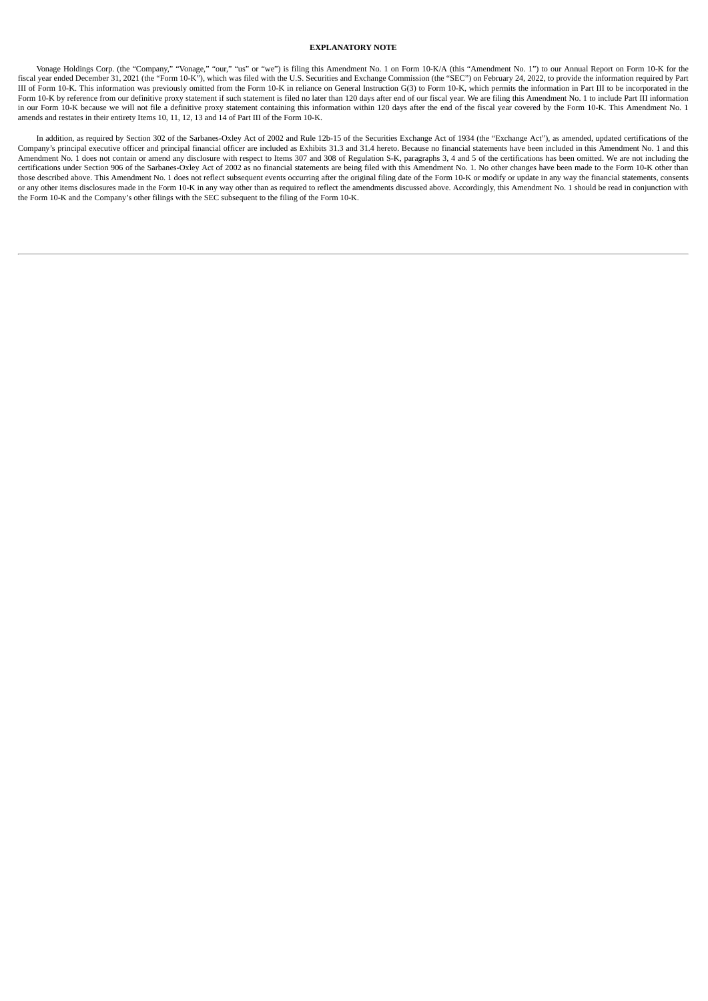# **EXPLANATORY NOTE**

Vonage Holdings Corp. (the "Company," "Vonage," "our," "us" or "we") is filing this Amendment No. 1 on Form 10-K/A (this "Amendment No. 1") to our Annual Report on Form 10-K for the fiscal year ended December 31, 2021 (the "Form 10-K"), which was filed with the U.S. Securities and Exchange Commission (the "SEC") on February 24, 2022, to provide the information required by Part III of Form 10-K. This information was previously omitted from the Form 10-K in reliance on General Instruction G(3) to Form 10-K, which permits the information in Part III to be incorporated in the Form 10-K by reference from our definitive proxy statement if such statement is filed no later than 120 days after end of our fiscal year. We are filing this Amendment No. 1 to include Part III information in our Form 10-K because we will not file a definitive proxy statement containing this information within 120 days after the end of the fiscal year covered by the Form 10-K. This Amendment No. 1 amends and restates in their entirety Items 10, 11, 12, 13 and 14 of Part III of the Form 10-K.

In addition, as required by Section 302 of the Sarbanes-Oxley Act of 2002 and Rule 12b-15 of the Securities Exchange Act of 1934 (the "Exchange Act"), as amended, updated certifications of the Company's principal executive officer and principal financial officer are included as Exhibits 31.3 and 31.4 hereto. Because no financial statements have been included in this Amendment No. 1 and this Amendment No. 1 does not contain or amend any disclosure with respect to Items 307 and 308 of Regulation S-K, paragraphs 3, 4 and 5 of the certifications has been omitted. We are not including the certifications under Section 906 of the Sarbanes-Oxley Act of 2002 as no financial statements are being filed with this Amendment No. 1. No other changes have been made to the Form 10-K other than those described above. This Amendment No. 1 does not reflect subsequent events occurring after the original filing date of the Form 10-K or modify or update in any way the financial statements, consents those described abo or any other items disclosures made in the Form 10-K in any way other than as required to reflect the amendments discussed above. Accordingly, this Amendment No. 1 should be read in conjunction with the Form 10-K and the Company's other filings with the SEC subsequent to the filing of the Form 10-K.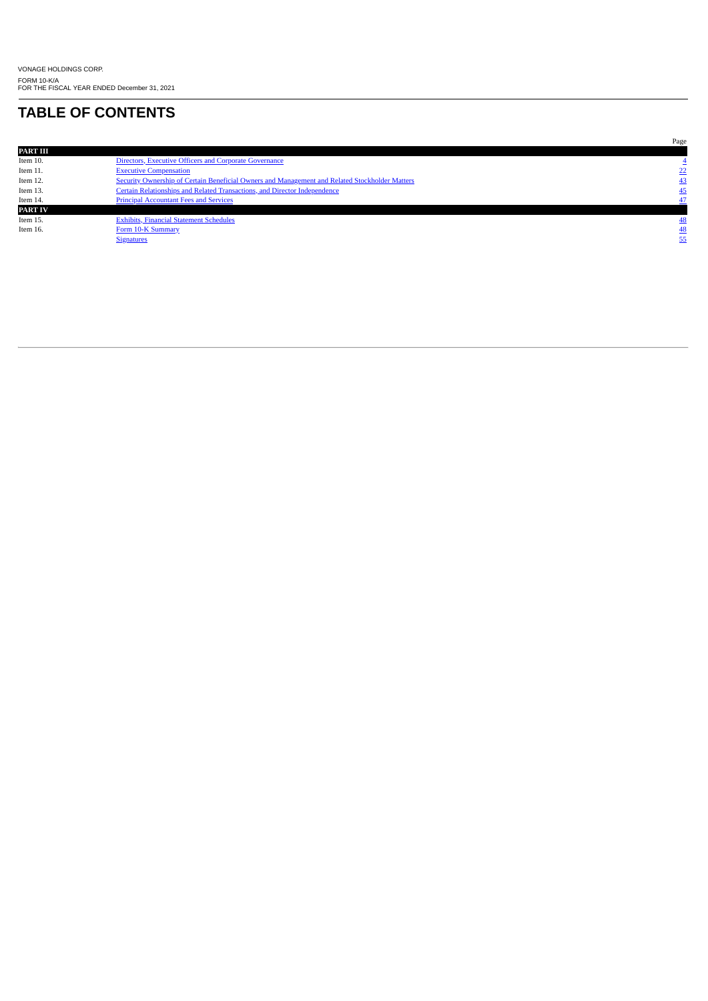# <span id="page-2-1"></span>**TABLE OF CONTENTS**

<span id="page-2-0"></span>

|                 |                                                                                                | Page    |
|-----------------|------------------------------------------------------------------------------------------------|---------|
| <b>PART III</b> |                                                                                                |         |
| Item 10.        | Directors, Executive Officers and Corporate Governance                                         |         |
| Item 11.        | <b>Executive Compensation</b>                                                                  | $^{22}$ |
| Item 12.        | Security Ownership of Certain Beneficial Owners and Management and Related Stockholder Matters | 43      |
| Item 13.        | Certain Relationships and Related Transactions, and Director Independence                      | 45      |
| Item 14.        | <b>Principal Accountant Fees and Services</b>                                                  | 47      |
| PART IV         |                                                                                                |         |
| Item 15.        | <b>Exhibits, Financial Statement Schedules</b>                                                 | 48      |
| Item 16.        | Form 10-K Summary                                                                              | 48      |
|                 | <b>Signatures</b>                                                                              | 55      |
|                 |                                                                                                |         |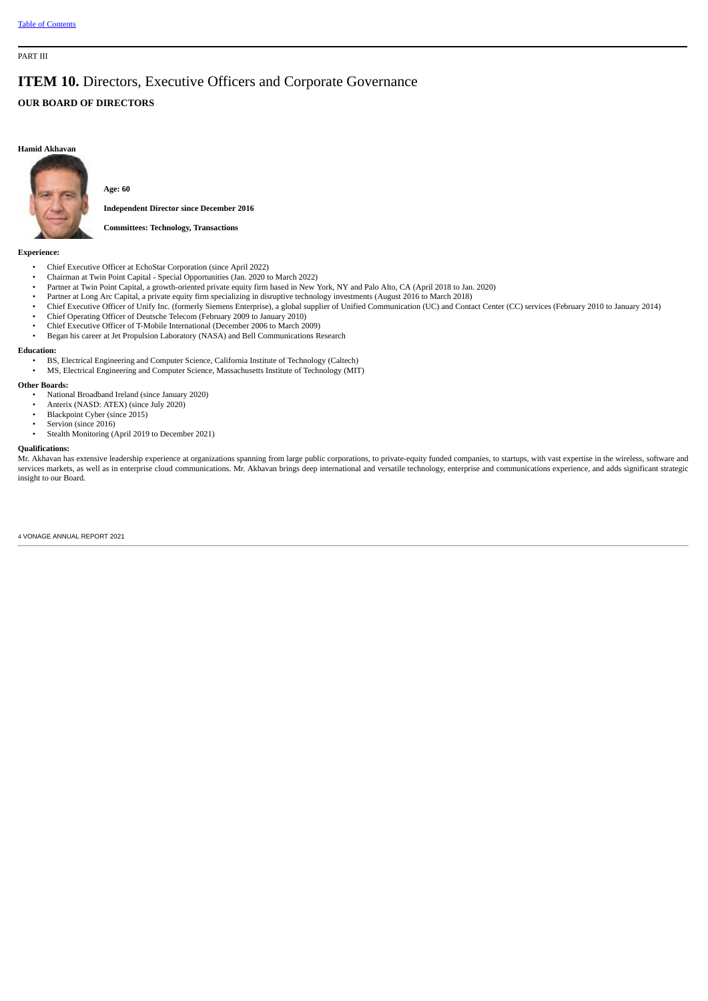### PART III

# **ITEM 10.** Directors, Executive Officers and Corporate Governance

# **OUR BOARD OF DIRECTORS**

# **Hamid Akhavan**



**Age: 60**

**Independent Director since December 2016**

**Committees: Technology, Transactions**

# **Experience:**

- Chief Executive Officer at EchoStar Corporation (since April 2022)
- Chairman at Twin Point Capital Special Opportunities (Jan. 2020 to March 2022)
- Partner at Twin Point Capital, a growth-oriented private equity firm based in New York, NY and Palo Alto, CA (April 2018 to Jan. 2020)
- Partner at Long Arc Capital, a private equity firm specializing in disruptive technology investments (August 2016 to March 2018)
- Chief Executive Officer of Unify Inc. (formerly Siemens Enterprise), a global supplier of Unified Communication (UC) and Contact Center (CC) services (February 2010 to January 2014)
- Chief Operating Officer of Deutsche Telecom (February 2009 to January 2010)
- Chief Executive Officer of T-Mobile International (December 2006 to March 2009)
- Began his career at Jet Propulsion Laboratory (NASA) and Bell Communications Research

### **Education:**

- BS, Electrical Engineering and Computer Science, California Institute of Technology (Caltech)
- MS, Electrical Engineering and Computer Science, Massachusetts Institute of Technology (MIT)

### **Other Boards:**

- National Broadband Ireland (since January 2020)
- Anterix (NASD: ATEX) (since July 2020)
- Blackpoint Cyber (since 2015)
- Servion (since 2016)
- Stealth Monitoring (April 2019 to December 2021)

### **Qualifications:**

Mr. Akhavan has extensive leadership experience at organizations spanning from large public corporations, to private-equity funded companies, to startups, with vast expertise in the wireless, software and services markets, as well as in enterprise cloud communications. Mr. Akhavan brings deep international and versatile technology, enterprise and communications experience, and adds significant strategic insight to our Board.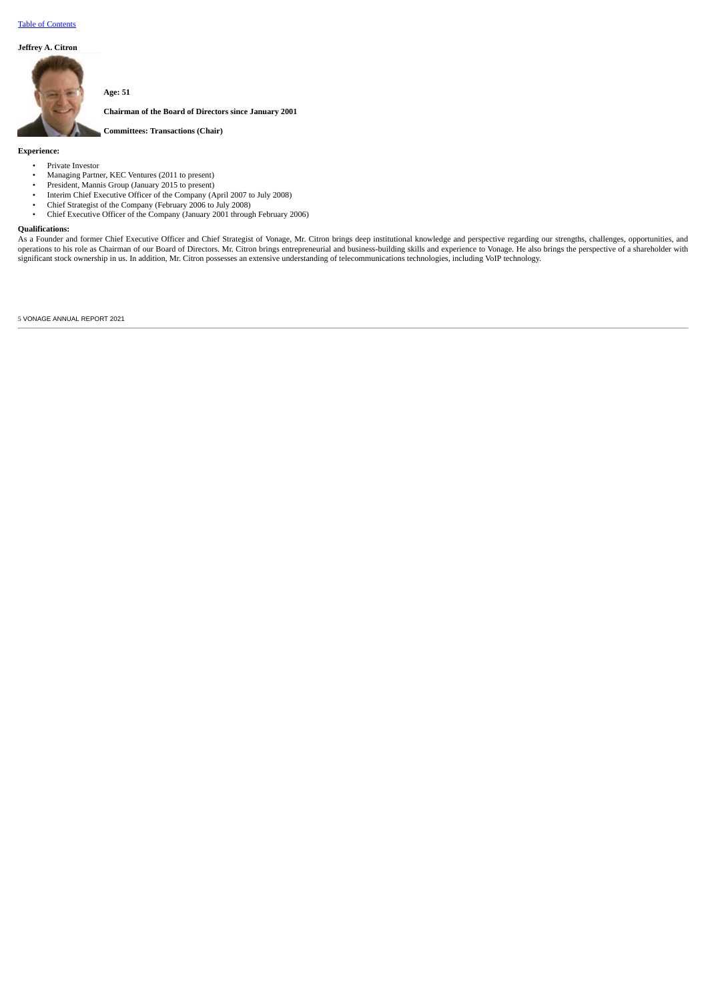# **Jeffrey A. Citron**



**Age: 51**

**Chairman of the Board of Directors since January 2001**

**Committees: Transactions (Chair)**

# **Experience:**

- Private Investor
- Managing Partner, KEC Ventures (2011 to present)
- President, Mannis Group (January 2015 to present)
- Interim Chief Executive Officer of the Company (April 2007 to July 2008)
- Chief Strategist of the Company (February 2006 to July 2008)
- Chief Executive Officer of the Company (January 2001 through February 2006)

# **Qualifications:**

As a Founder and former Chief Executive Officer and Chief Strategist of Vonage, Mr. Citron brings deep institutional knowledge and perspective regarding our strengths, challenges, opportunities, and operations to his role as Chairman of our Board of Directors. Mr. Citron brings entrepreneurial and business-building skills and experience to Vonage. He also brings the perspective of a shareholder with significant stock ownership in us. In addition, Mr. Citron possesses an extensive understanding of telecommunications technologies, including VoIP technology.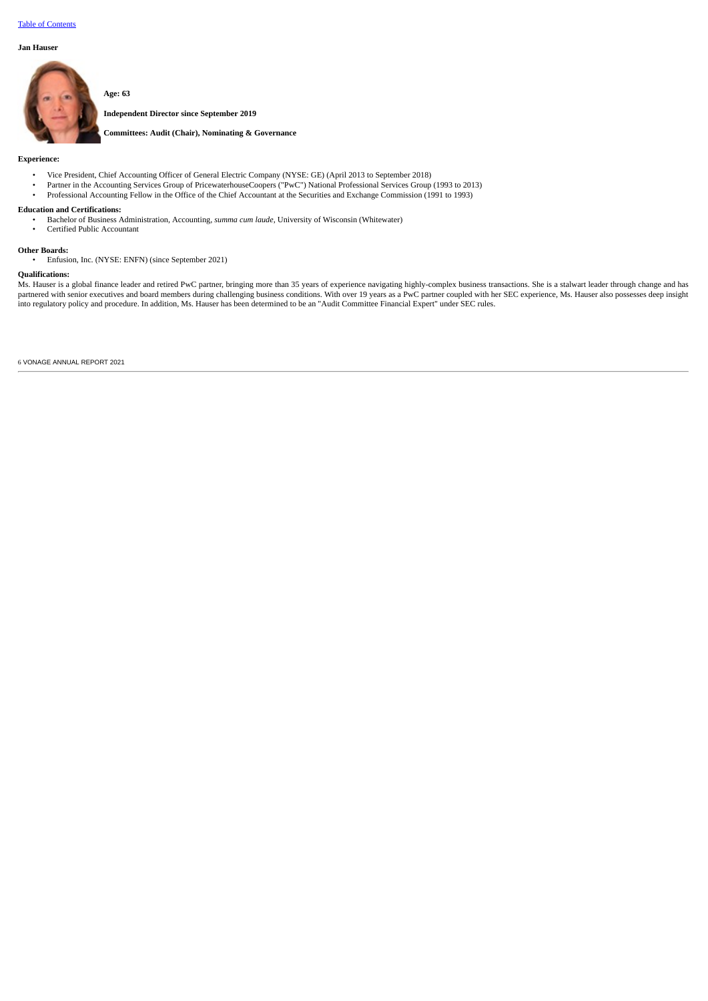# **Jan Hauser**



**Independent Director since September 2019**

**Committees: Audit (Chair), Nominating & Governance**

### **Experience:**

- Vice President, Chief Accounting Officer of General Electric Company (NYSE: GE) (April 2013 to September 2018)
- Partner in the Accounting Services Group of PricewaterhouseCoopers ("PwC") National Professional Services Group (1993 to 2013)
- Professional Accounting Fellow in the Office of the Chief Accountant at the Securities and Exchange Commission (1991 to 1993)

# **Education and Certifications:**

- Bachelor of Business Administration, Accounting, *summa cum laude*, University of Wisconsin (Whitewater)
- Certified Public Accountant

# **Other Boards:**

• Enfusion, Inc. (NYSE: ENFN) (since September 2021)

**Age: 63**

### **Qualifications:**

Ms. Hauser is a global finance leader and retired PwC partner, bringing more than 35 years of experience navigating highly-complex business transactions. She is a stalwart leader through change and has partnered with senior executives and board members during challenging business conditions. With over 19 years as a PwC partner coupled with her SEC experience, Ms. Hauser also possesses deep insight into regulatory policy and procedure. In addition, Ms. Hauser has been determined to be an "Audit Committee Financial Expert" under SEC rules.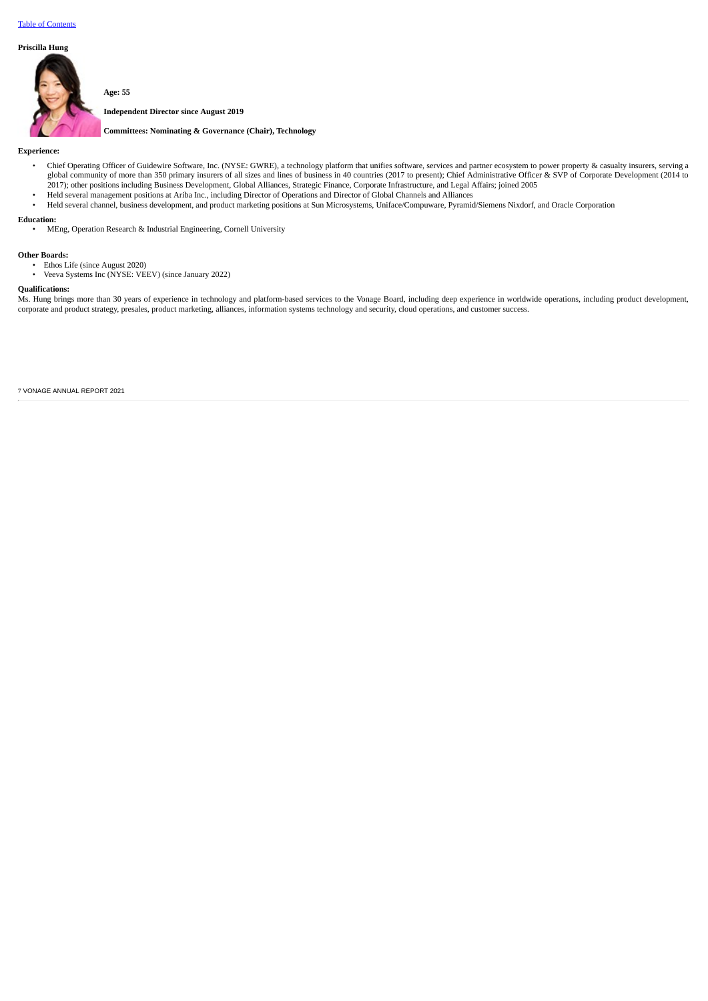# **Priscilla Hung**



**Independent Director since August 2019**

**Committees: Nominating & Governance (Chair), Technology**

# **Experience:**

- Chief Operating Officer of Guidewire Software, Inc. (NYSE: GWRE), a technology platform that unifies software, services and partner ecosystem to power property & casualty insurers, serving a global community of more than 350 primary insurers of all sizes and lines of business in 40 countries (2017 to present); Chief Administrative Officer & SVP of Corporate Development (2014 to 2017); other positions including Business Development, Global Alliances, Strategic Finance, Corporate Infrastructure, and Legal Affairs; joined 2005
- Held several management positions at Ariba Inc., including Director of Operations and Director of Global Channels and Alliances
- Held several channel, business development, and product marketing positions at Sun Microsystems, Uniface/Compuware, Pyramid/Siemens Nixdorf, and Oracle Corporation

### **Education:**

• MEng, Operation Research & Industrial Engineering, Cornell University

### **Other Boards:**

- Ethos Life (since August 2020)
- Veeva Systems Inc (NYSE: VEEV) (since January 2022)

**Age: 55**

### **Qualifications:**

Ms. Hung brings more than 30 years of experience in technology and platform-based services to the Vonage Board, including deep experience in worldwide operations, including product development, corporate and product strategy, presales, product marketing, alliances, information systems technology and security, cloud operations, and customer success.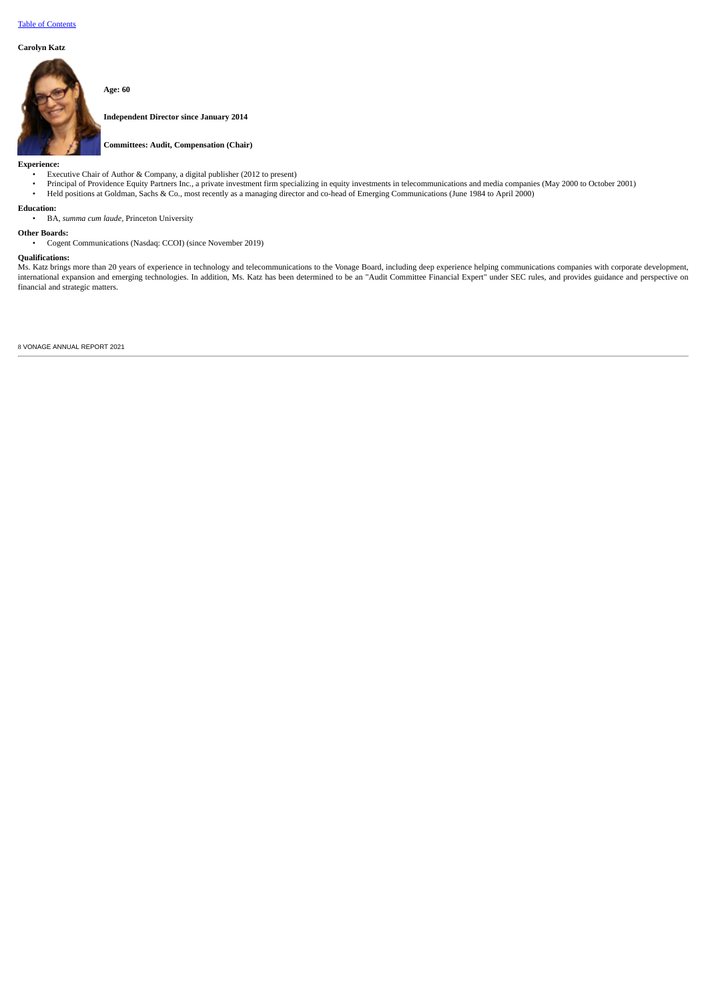# **Carolyn Katz**

# **Age: 60**



**Independent Director since January 2014**

# **Committees: Audit, Compensation (Chair)**

# **Experience:**

- Executive Chair of Author & Company, a digital publisher (2012 to present)
- Principal of Providence Equity Partners Inc., a private investment firm specializing in equity investments in telecommunications and media companies (May 2000 to October 2001)
- Held positions at Goldman, Sachs & Co., most recently as a managing director and co-head of Emerging Communications (June 1984 to April 2000)

# **Education:**

• BA, *summa cum laude,* Princeton University

# **Other Boards:**

• Cogent Communications (Nasdaq: CCOI) (since November 2019)

# **Qualifications:**

Ms. Katz brings more than 20 years of experience in technology and telecommunications to the Vonage Board, including deep experience helping communications companies with corporate development, international expansion and emerging technologies. In addition, Ms. Katz has been determined to be an "Audit Committee Financial Expert" under SEC rules, and provides guidance and perspective on financial and strategic matters.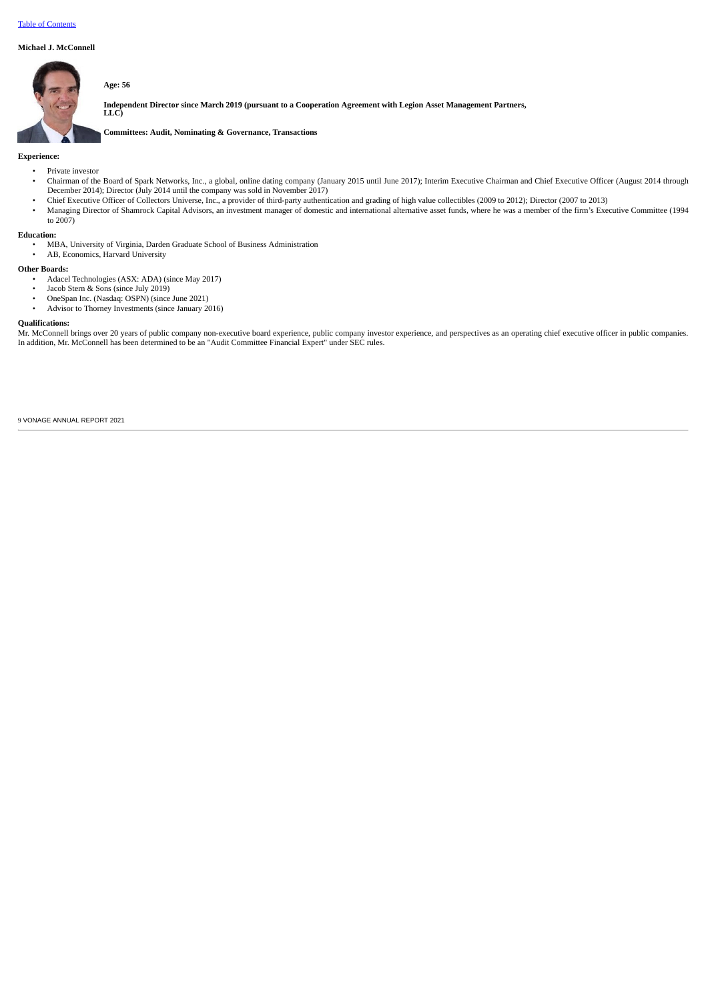# **Michael J. McConnell**



**Age: 56**

Independent Director since March 2019 (pursuant to a Cooperation Agreement with Legion Asset Management Partners,<br>LLC)

**Committees: Audit, Nominating & Governance, Transactions**

### **Experience:**

- Private investor
- Chairman of the Board of Spark Networks, Inc., a global, online dating company (January 2015 until June 2017); Interim Executive Chairman and Chief Executive Officer (August 2014 through December 2014); Director (July 2014 until the company was sold in November 2017)
- Chief Executive Officer of Collectors Universe, Inc., a provider of third-party authentication and grading of high value collectibles (2009 to 2012); Director (2007 to 2013)
- Managing Director of Shamrock Capital Advisors, an investment manager of domestic and international alternative asset funds, where he was a member of the firm's Executive Committee (1994 to 2007)

### **Education:**

- MBA, University of Virginia, Darden Graduate School of Business Administration
- AB, Economics, Harvard University

### **Other Boards:**

- Adacel Technologies (ASX: ADA) (since May 2017)
- Jacob Stern & Sons (since July 2019)
- OneSpan Inc. (Nasdaq: OSPN) (since June 2021)
- Advisor to Thorney Investments (since January 2016)

# **Qualifications:**

Mr. McConnell brings over 20 years of public company non-executive board experience, public company investor experience, and perspectives as an operating chief executive officer in public companies. In addition, Mr. McConnell has been determined to be an "Audit Committee Financial Expert" under SEC rules.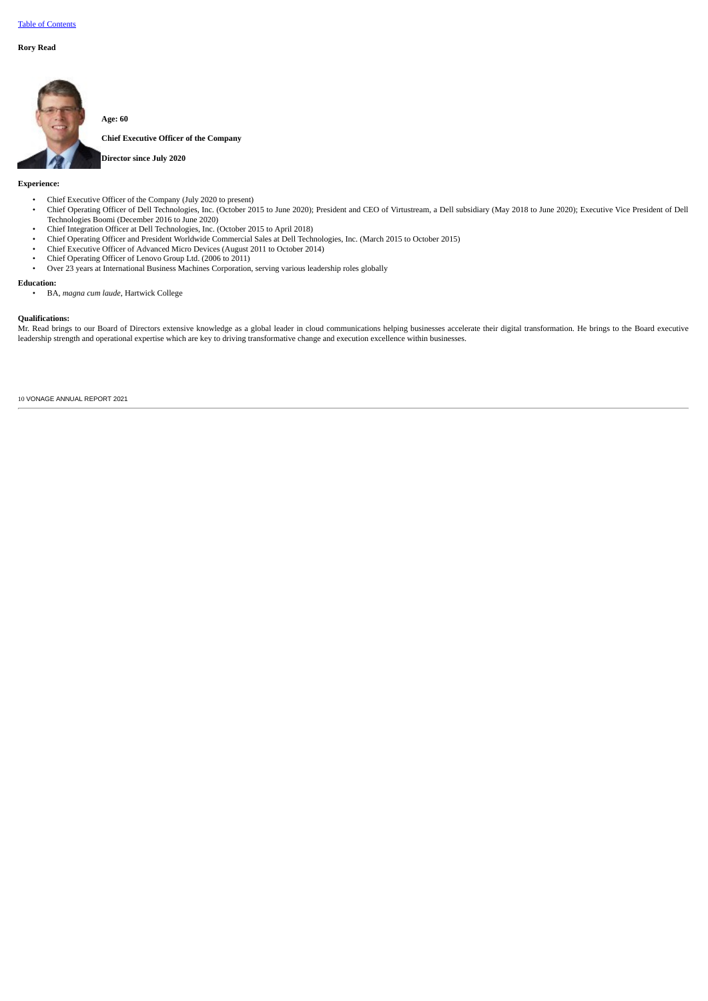# **Rory Read**



**Chief Executive Officer of the Company**

**Director since July 2020**

**Age: 60**

# **Experience:**

- Chief Executive Officer of the Company (July 2020 to present)
- Chief Operating Officer of Dell Technologies, Inc. (October 2015 to June 2020); President and CEO of Virtustream, a Dell subsidiary (May 2018 to June 2020); Executive Vice President of Dell Technologies Boomi (December 2016 to June 2020)
- Chief Integration Officer at Dell Technologies, Inc. (October 2015 to April 2018)
- Chief Operating Officer and President Worldwide Commercial Sales at Dell Technologies, Inc. (March 2015 to October 2015)
- Chief Executive Officer of Advanced Micro Devices (August 2011 to October 2014)
- Chief Operating Officer of Lenovo Group Ltd. (2006 to 2011)
- Over 23 years at International Business Machines Corporation, serving various leadership roles globally

# **Education:**

• BA, *magna cum laude*, Hartwick College

# **Qualifications:**

Mr. Read brings to our Board of Directors extensive knowledge as a global leader in cloud communications helping businesses accelerate their digital transformation. He brings to the Board executive leadership strength and operational expertise which are key to driving transformative change and execution excellence within businesses.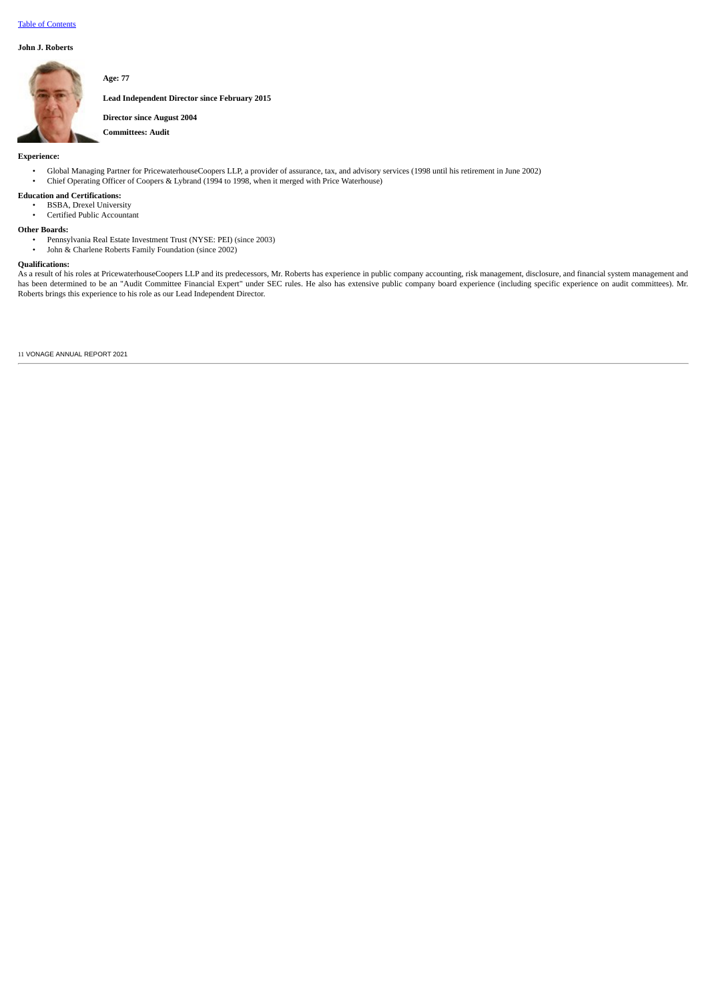# **John J. Roberts**



# **Age: 77**

**Lead Independent Director since February 2015**

**Director since August 2004**

**Committees: Audit**

# **Experience:**

- Global Managing Partner for PricewaterhouseCoopers LLP, a provider of assurance, tax, and advisory services (1998 until his retirement in June 2002)
- Chief Operating Officer of Coopers & Lybrand (1994 to 1998, when it merged with Price Waterhouse)
- **Education and Certifications:**
	- BSBA, Drexel University • Certified Public Accountant
- **Other Boards:**
	- Pennsylvania Real Estate Investment Trust (NYSE: PEI) (since 2003)
	- John & Charlene Roberts Family Foundation (since 2002)

# **Qualifications:**

As a result of his roles at PricewaterhouseCoopers LLP and its predecessors, Mr. Roberts has experience in public company accounting, risk management, disclosure, and financial system management and has been determined to be an "Audit Committee Financial Expert" under SEC rules. He also has extensive public company board experience (including specific experience on audit committees). Mr. Roberts brings this experience to his role as our Lead Independent Director.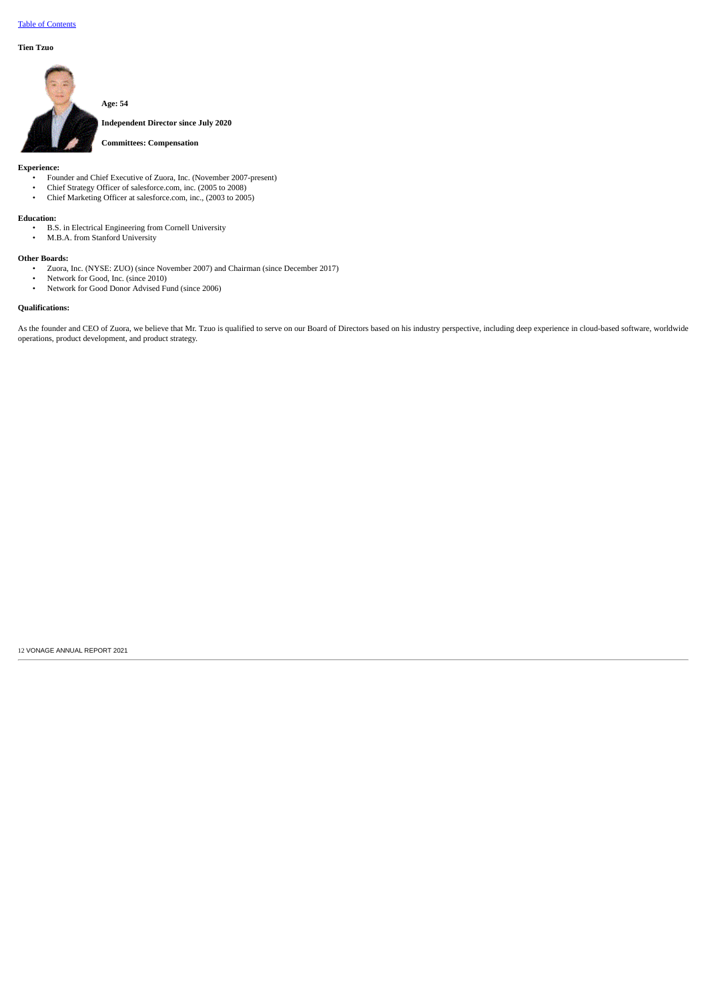# **Tien Tzuo**



**Age: 54 Independent Director since July 2020**

**Committees: Compensation**

# **Experience:**

- Founder and Chief Executive of Zuora, Inc. (November 2007-present)
- Chief Strategy Officer of salesforce.com, inc. (2005 to 2008)
- Chief Marketing Officer at salesforce.com, inc., (2003 to 2005)

# **Education:**

- B.S. in Electrical Engineering from Cornell University
- M.B.A. from Stanford University

# **Other Boards:**

- Zuora, Inc. (NYSE: ZUO) (since November 2007) and Chairman (since December 2017)<br>• Zuora, Inc. (Good Inc. (since 2010)
- Network for Good, Inc. (since 2010)
- Network for Good Donor Advised Fund (since 2006)

# **Qualifications:**

As the founder and CEO of Zuora, we believe that Mr. Tzuo is qualified to serve on our Board of Directors based on his industry perspective, including deep experience in cloud-based software, worldwide operations, product development, and product strategy.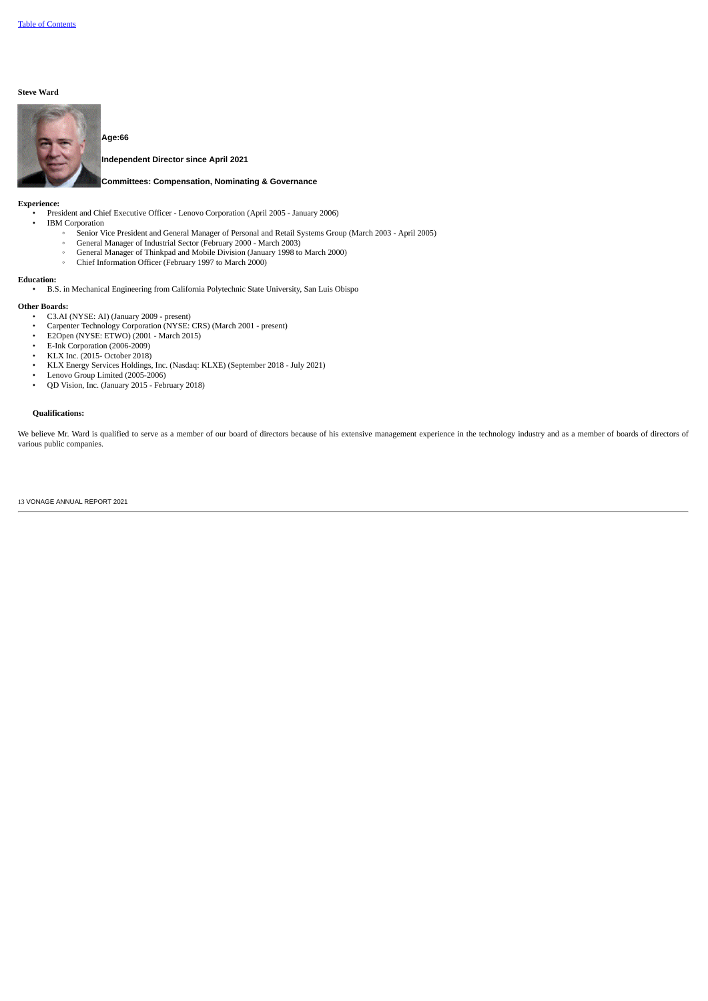### **Steve Ward**



**Age:66**

**Independent Director since April 2021**

# **Committees: Compensation, Nominating & Governance**

### **Experience:**

- President and Chief Executive Officer Lenovo Corporation (April 2005 January 2006)
- **IBM** Corporation ◦ Senior Vice President and General Manager of Personal and Retail Systems Group (March 2003 - April 2005)
- General Manager of Industrial Sector (February 2000 March 2003)
	- General Manager of Thinkpad and Mobile Division (January 1998 to March 2000)
- Chief Information Officer (February 1997 to March 2000)

# **Education:**

• B.S. in Mechanical Engineering from California Polytechnic State University, San Luis Obispo

# **Other Boards:**

- C3.AI (NYSE: AI) (January 2009 present)
- Carpenter Technology Corporation (NYSE: CRS) (March 2001 present)
- E2Open (NYSE: ETWO) (2001 March 2015)
- E-Ink Corporation (2006-2009)
- KLX Inc. (2015- October 2018)
- KLX Energy Services Holdings, Inc. (Nasdaq: KLXE) (September 2018 July 2021)
- Lenovo Group Limited (2005-2006)
- QD Vision, Inc. (January 2015 February 2018)

# **Qualifications:**

We believe Mr. Ward is qualified to serve as a member of our board of directors because of his extensive management experience in the technology industry and as a member of boards of directors of various public companies.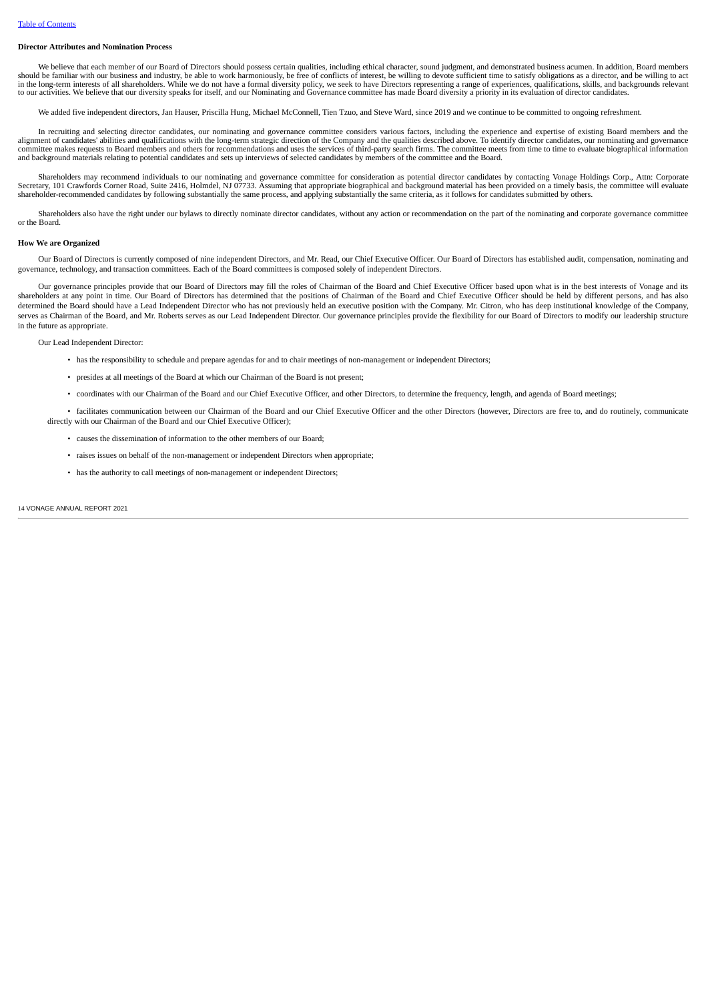# **Director Attributes and Nomination Process**

We believe that each member of our Board of Directors should possess certain qualities, including ethical character, sound judgment, and demonstrated business acumen. In addition, Board members should be familiar with our business and industry, be able to work harmoniously, be free of conflicts of interest, be willing to devote sufficient time to satisfy obligations as a director, and be willing to act<br>in the lon to our activities. We believe that our diversity speaks for itself, and our Nominating and Governance committee has made Board diversity a priority in its evaluation of director candidates.

We added five independent directors, Jan Hauser, Priscilla Hung, Michael McConnell, Tien Tzuo, and Steve Ward, since 2019 and we continue to be committed to ongoing refreshment.

In recruiting and selecting director candidates, our nominating and governance committee considers various factors, including the experience and expertise of existing Board members and the alignment of candidates' abilitie and background materials relating to potential candidates and sets up interviews of selected candidates by members of the committee and the Board.

Shareholders may recommend individuals to our nominating and governance committee for consideration as potential director candidates by contacting Vonage Holdings Corp., Attn: Corporate Secretary, 101 Crawfords Corner Road, Suite 2416, Holmdel, NJ 07733. Assuming that appropriate biographical and background material has been provided on a timely basis, the committee will evaluate<br>shareholder-recommended c

Shareholders also have the right under our bylaws to directly nominate director candidates, without any action or recommendation on the part of the nominating and corporate governance committee or the Board.

### **How We are Organized**

Our Board of Directors is currently composed of nine independent Directors, and Mr. Read, our Chief Executive Officer. Our Board of Directors has established audit, compensation, nominating and governance, technology, and transaction committees. Each of the Board committees is composed solely of independent Directors.

Our governance principles provide that our Board of Directors may fill the roles of Chairman of the Board and Chief Executive Officer based upon what is in the best interests of Vonage and its shareholders at any point in time. Our Board of Directors has determined that the positions of Chairman of the Board and Chief Executive Officer should be held by different persons, and has also determined the Board should have a Lead Independent Director who has not previously held an executive position with the Company. Mr. Citron, who has deep institutional knowledge of the Company, serves as Chairman of the Board, and Mr. Roberts serves as our Lead Independent Director. Our governance principles provide the flexibility for our Board of Directors to modify our leadership structure in the future as appropriate.

Our Lead Independent Director:

- has the responsibility to schedule and prepare agendas for and to chair meetings of non-management or independent Directors;
- presides at all meetings of the Board at which our Chairman of the Board is not present;
- coordinates with our Chairman of the Board and our Chief Executive Officer, and other Directors, to determine the frequency, length, and agenda of Board meetings;

• facilitates communication between our Chairman of the Board and our Chief Executive Officer and the other Directors (however, Directors are free to, and do routinely, communicate directly with our Chairman of the Board and our Chief Executive Officer);

- causes the dissemination of information to the other members of our Board;
- raises issues on behalf of the non-management or independent Directors when appropriate;
- has the authority to call meetings of non-management or independent Directors;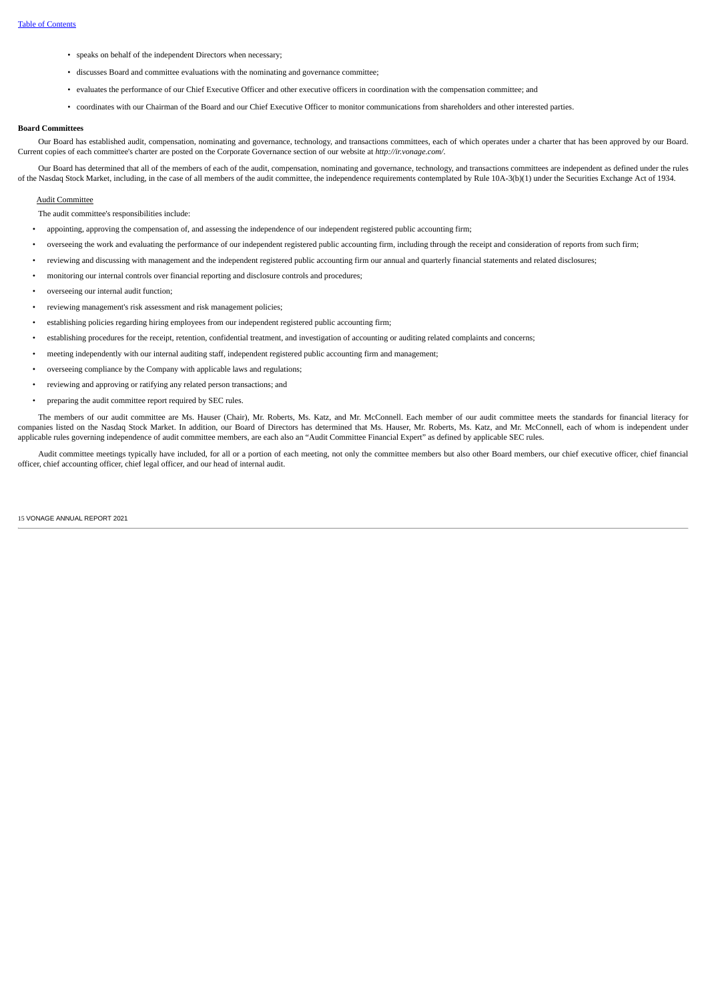- speaks on behalf of the independent Directors when necessary;
- discusses Board and committee evaluations with the nominating and governance committee;
- evaluates the performance of our Chief Executive Officer and other executive officers in coordination with the compensation committee; and
- coordinates with our Chairman of the Board and our Chief Executive Officer to monitor communications from shareholders and other interested parties.

### **Board Committees**

Our Board has established audit, compensation, nominating and governance, technology, and transactions committees, each of which operates under a charter that has been approved by our Board. Current copies of each committee's charter are posted on the Corporate Governance section of our website at *http://ir.vonage.com/*.

Our Board has determined that all of the members of each of the audit, compensation, nominating and governance, technology, and transactions committees are independent as defined under the rules of the Nasdaq Stock Market, including, in the case of all members of the audit committee, the independence requirements contemplated by Rule 10A-3(b)(1) under the Securities Exchange Act of 1934.

### Audit Committee

The audit committee's responsibilities include:

- appointing, approving the compensation of, and assessing the independence of our independent registered public accounting firm;
- overseeing the work and evaluating the performance of our independent registered public accounting firm, including through the receipt and consideration of reports from such firm;
- reviewing and discussing with management and the independent registered public accounting firm our annual and quarterly financial statements and related disclosures;
- monitoring our internal controls over financial reporting and disclosure controls and procedures;
- overseeing our internal audit function;
- reviewing management's risk assessment and risk management policies;
- establishing policies regarding hiring employees from our independent registered public accounting firm;
- establishing procedures for the receipt, retention, confidential treatment, and investigation of accounting or auditing related complaints and concerns;
- meeting independently with our internal auditing staff, independent registered public accounting firm and management;
- overseeing compliance by the Company with applicable laws and regulations;
- reviewing and approving or ratifying any related person transactions; and
- preparing the audit committee report required by SEC rules.

The members of our audit committee are Ms. Hauser (Chair), Mr. Roberts, Ms. Katz, and Mr. McConnell. Each member of our audit committee meets the standards for financial literacy for companies listed on the Nasdaq Stock Market. In addition, our Board of Directors has determined that Ms. Hauser, Mr. Roberts, Ms. Katz, and Mr. McConnell, each of whom is independent under applicable rules governing independence of audit committee members, are each also an "Audit Committee Financial Expert" as defined by applicable SEC rules.

Audit committee meetings typically have included, for all or a portion of each meeting, not only the committee members but also other Board members, our chief executive officer, chief financial officer, chief accounting officer, chief legal officer, and our head of internal audit.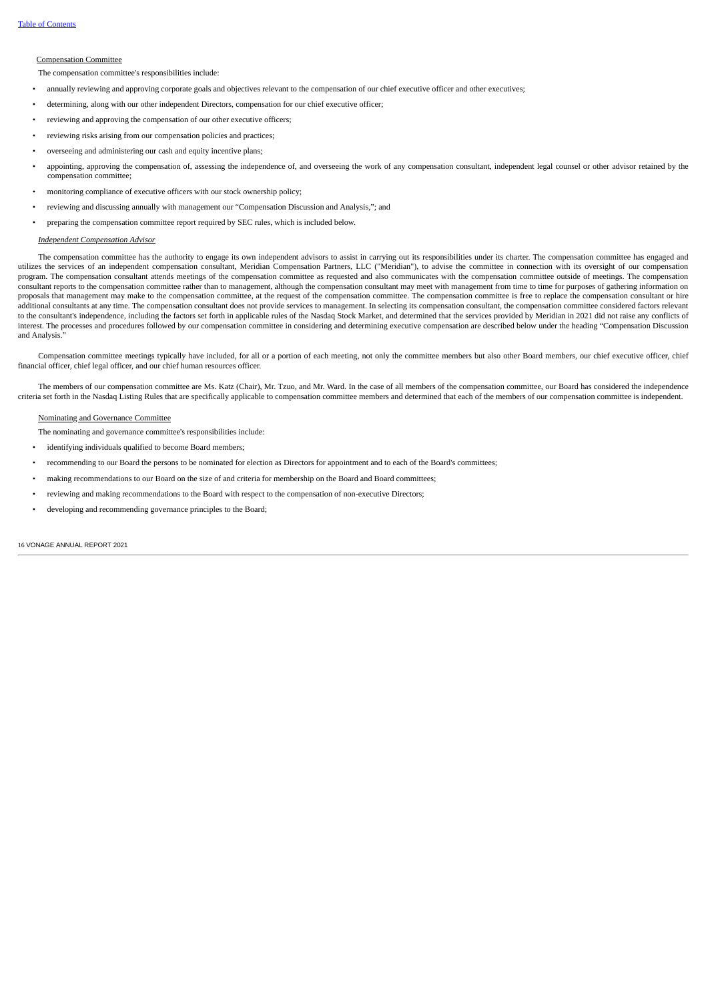### Compensation Committee

The compensation committee's responsibilities include:

- annually reviewing and approving corporate goals and objectives relevant to the compensation of our chief executive officer and other executives;
- determining, along with our other independent Directors, compensation for our chief executive officer;
- reviewing and approving the compensation of our other executive officers;
- reviewing risks arising from our compensation policies and practices;
- overseeing and administering our cash and equity incentive plans;
- appointing, approving the compensation of, assessing the independence of, and overseeing the work of any compensation consultant, independent legal counsel or other advisor retained by the compensation committee;
- monitoring compliance of executive officers with our stock ownership policy;
- reviewing and discussing annually with management our "Compensation Discussion and Analysis,"; and
- preparing the compensation committee report required by SEC rules, which is included below.

# *Independent Compensation Advisor*

The compensation committee has the authority to engage its own independent advisors to assist in carrying out its responsibilities under its charter. The compensation committee has engaged and utilizes the services of an independent compensation consultant, Meridian Compensation Partners, LLC ("Meridian"), to advise the committee in connection with its oversight of our compensation program. The compensation consultant attends meetings of the compensation committee as requested and also communicates with the compensation committee outside of meetings. The compensation consultant reports to the compensation committee rather than to management, although the compensation consultant may meet with management from time to time for purposes of gathering information on proposals that management may make to the compensation committee, at the request of the compensation committee. The compensation committee is free to replace the compensation consultant or hire additional consultants at any time. The compensation consultant does not provide services to management. In selecting its compensation consultant, the compensation committee considered factors relevant to the consultant's independence, including the factors set forth in applicable rules of the Nasdaq Stock Market, and determined that the services provided by Meridian in 2021 did not raise any conflicts of interest. The processes and procedures followed by our compensation committee in considering and determining executive compensation are described below under the heading "Compensation Discussion and Analysis."

Compensation committee meetings typically have included, for all or a portion of each meeting, not only the committee members but also other Board members, our chief executive officer, chief financial officer, chief legal officer, and our chief human resources officer.

The members of our compensation committee are Ms. Katz (Chair), Mr. Tzuo, and Mr. Ward. In the case of all members of the compensation committee, our Board has considered the independence criteria set forth in the Nasdaq Listing Rules that are specifically applicable to compensation committee members and determined that each of the members of our compensation committee is independent.

# Nominating and Governance Committee

The nominating and governance committee's responsibilities include:

- identifying individuals qualified to become Board members;
- recommending to our Board the persons to be nominated for election as Directors for appointment and to each of the Board's committees;
- making recommendations to our Board on the size of and criteria for membership on the Board and Board committees;
- reviewing and making recommendations to the Board with respect to the compensation of non-executive Directors;
- developing and recommending governance principles to the Board;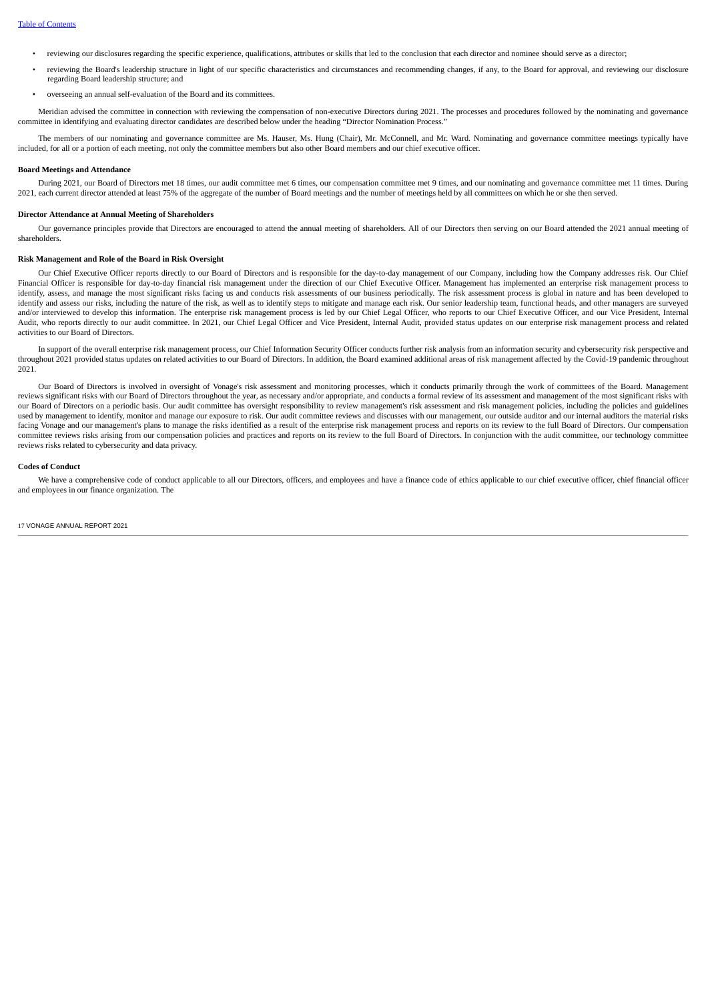- reviewing our disclosures regarding the specific experience, qualifications, attributes or skills that led to the conclusion that each director and nominee should serve as a director;
- reviewing the Board's leadership structure in light of our specific characteristics and circumstances and recommending changes, if any, to the Board for approval, and reviewing our disclosure regarding Board leadership structure; and
- overseeing an annual self-evaluation of the Board and its committees.

Meridian advised the committee in connection with reviewing the compensation of non-executive Directors during 2021. The processes and procedures followed by the nominating and governance committee in identifying and evaluating director candidates are described below under the heading "Director Nomination Process."

The members of our nominating and governance committee are Ms. Hauser, Ms. Hung (Chair), Mr. McConnell, and Mr. Ward. Nominating and governance committee meetings typically have included, for all or a portion of each meeting, not only the committee members but also other Board members and our chief executive officer.

### **Board Meetings and Attendance**

During 2021, our Board of Directors met 18 times, our audit committee met 6 times, our compensation committee met 9 times, and our nominating and governance committee met 11 times. During 2021, each current director attended at least 75% of the aggregate of the number of Board meetings and the number of meetings held by all committees on which he or she then served.

### **Director Attendance at Annual Meeting of Shareholders**

Our governance principles provide that Directors are encouraged to attend the annual meeting of shareholders. All of our Directors then serving on our Board attended the 2021 annual meeting of shareholders.

### **Risk Management and Role of the Board in Risk Oversight**

Our Chief Executive Officer reports directly to our Board of Directors and is responsible for the day-to-day management of our Company, including how the Company addresses risk. Our Chief Financial Officer is responsible for day-to-day financial risk management under the direction of our Chief Executive Officer. Management has implemented an enterprise risk management process to identify, assess, and manage the most significant risks facing us and conducts risk assessments of our business periodically. The risk assessment process is global in nature and has been developed to identify and assess our risks, including the nature of the risk, as well as to identify steps to mitigate and manage each risk. Our senior leadership team, functional heads, and other managers are surveyed and/or interviewed to develop this information. The enterprise risk management process is led by our Chief Legal Officer, who reports to our Chief Executive Officer, and our Vice President, Internal Audit, who reports directly to our audit committee. In 2021, our Chief Legal Officer and Vice President, Internal Audit, provided status updates on our enterprise risk management process and related activities to our Board of Directors.

In support of the overall enterprise risk management process, our Chief Information Security Officer conducts further risk analysis from an information security and cybersecurity risk perspective and throughout 2021 provided status updates on related activities to our Board of Directors. In addition, the Board examined additional areas of risk management affected by the Covid-19 pandemic throughout 2021.

Our Board of Directors is involved in oversight of Vonage's risk assessment and monitoring processes, which it conducts primarily through the work of committees of the Board. Management reviews significant risks with our Board of Directors throughout the year, as necessary and/or appropriate, and conducts a formal review of its assessment and management of the most significant risks with our Board of Directors on a periodic basis. Our audit committee has oversight responsibility to review management's risk assessment and risk management policies, including the policies and guidelines used by management to identify, monitor and manage our exposure to risk. Our audit committee reviews and discusses with our management, our outside auditor and our internal auditors the material risks facing Vonage and our management's plans to manage the risks identified as a result of the enterprise risk management process and reports on its review to the full Board of Directors. Our compensation committee reviews risks arising from our compensation policies and practices and reports on its review to the full Board of Directors. In conjunction with the audit committee, our technology committee reviews risks related to cybersecurity and data privacy.

### **Codes of Conduct**

We have a comprehensive code of conduct applicable to all our Directors, officers, and employees and have a finance code of ethics applicable to our chief executive officer, chief financial officer and employees in our finance organization. The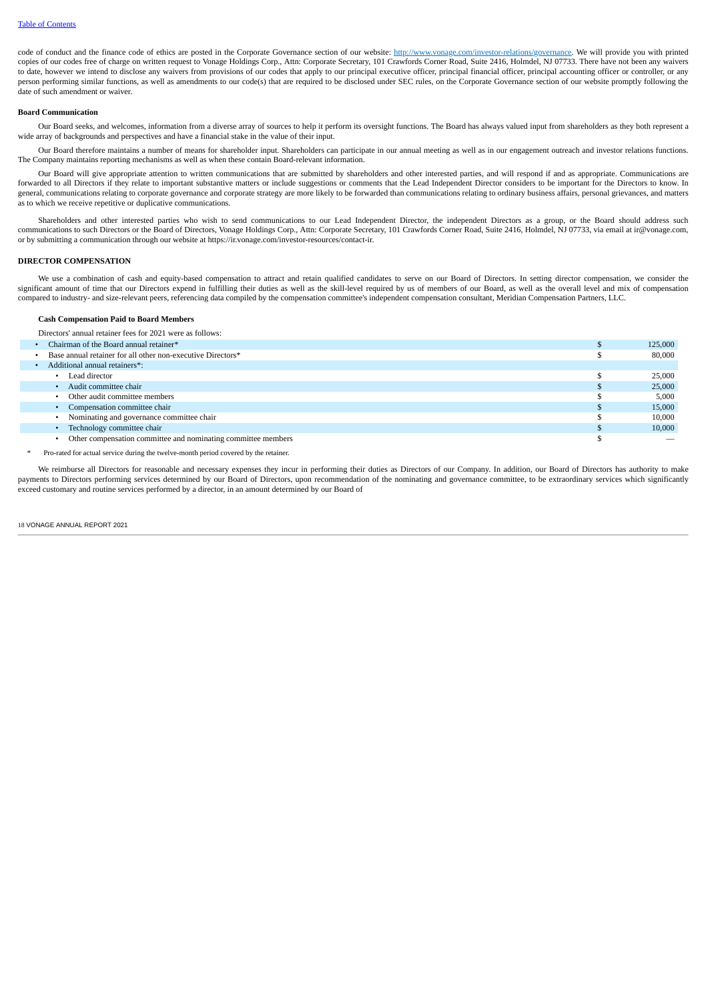code of conduct and the finance code of ethics are posted in the Corporate Governance section of our website: http://www.vonage.com/investor-relations/governance. We will provide you with printed copies of our codes free of charge on written request to Vonage Holdings Corp., Attn: Corporate Secretary, 101 Crawfords Corner Road, Suite 2416, Holmdel, NJ 07733. There have not been any waivers to date, however we intend to disclose any waivers from provisions of our codes that apply to our principal executive officer, principal financial officer, principal accounting officer or controller, or any person performing similar functions, as well as amendments to our code(s) that are required to be disclosed under SEC rules, on the Corporate Governance section of our website promptly following the date of such amendment or waiver.

### **Board Communication**

Our Board seeks, and welcomes, information from a diverse array of sources to help it perform its oversight functions. The Board has always valued input from shareholders as they both represent a wide array of backgrounds and perspectives and have a financial stake in the value of their input.

Our Board therefore maintains a number of means for shareholder input. Shareholders can participate in our annual meeting as well as in our engagement outreach and investor relations functions. The Company maintains reporting mechanisms as well as when these contain Board-relevant information.

Our Board will give appropriate attention to written communications that are submitted by shareholders and other interested parties, and will respond if and as appropriate. Communications are forwarded to all Directors if they relate to important substantive matters or include suggestions or comments that the Lead Independent Director considers to be important for the Directors to know. In general, communications relating to corporate governance and corporate strategy are more likely to be forwarded than communications relating to ordinary business affairs, personal grievances, and matters as to which we receive repetitive or duplicative communications.

Shareholders and other interested parties who wish to send communications to our Lead Independent Director, the independent Directors as a group, or the Board should address such communications to such Directors or the Board of Directors, Vonage Holdings Corp., Attn: Corporate Secretary, 101 Crawfords Corner Road, Suite 2416, Holmdel, NJ 07733, via email at ir@vonage.com, or by submitting a communication through our website at https://ir.vonage.com/investor-resources/contact-ir.

### **DIRECTOR COMPENSATION**

We use a combination of cash and equity-based compensation to attract and retain qualified candidates to serve on our Board of Directors. In setting director compensation, we consider the significant amount of time that our Directors expend in fulfilling their duties as well as the skill-level required by us of members of our Board, as well as the overall level and mix of compensation compared to industry- and size-relevant peers, referencing data compiled by the compensation committee's independent compensation consultant, Meridian Compensation Partners, LLC.

### **Cash Compensation Paid to Board Members**

Directors' annual retainer fees for 2021 were as follows:

| Chairman of the Board annual retainer*                        | 125,000 |
|---------------------------------------------------------------|---------|
| Base annual retainer for all other non-executive Directors*   | 80,000  |
| Additional annual retainers*:                                 |         |
| Lead director                                                 | 25,000  |
| Audit committee chair                                         | 25,000  |
| Other audit committee members                                 | 5,000   |
| Compensation committee chair                                  | 15,000  |
| Nominating and governance committee chair                     | 10,000  |
| Technology committee chair                                    | 10,000  |
| Other compensation committee and nominating committee members |         |
|                                                               |         |

Pro-rated for actual service during the twelve-month period covered by the retainer.

We reimburse all Directors for reasonable and necessary expenses they incur in performing their duties as Directors of our Company. In addition, our Board of Directors has authority to make payments to Directors performing services determined by our Board of Directors, upon recommendation of the nominating and governance committee, to be extraordinary services which significantly exceed customary and routine services performed by a director, in an amount determined by our Board of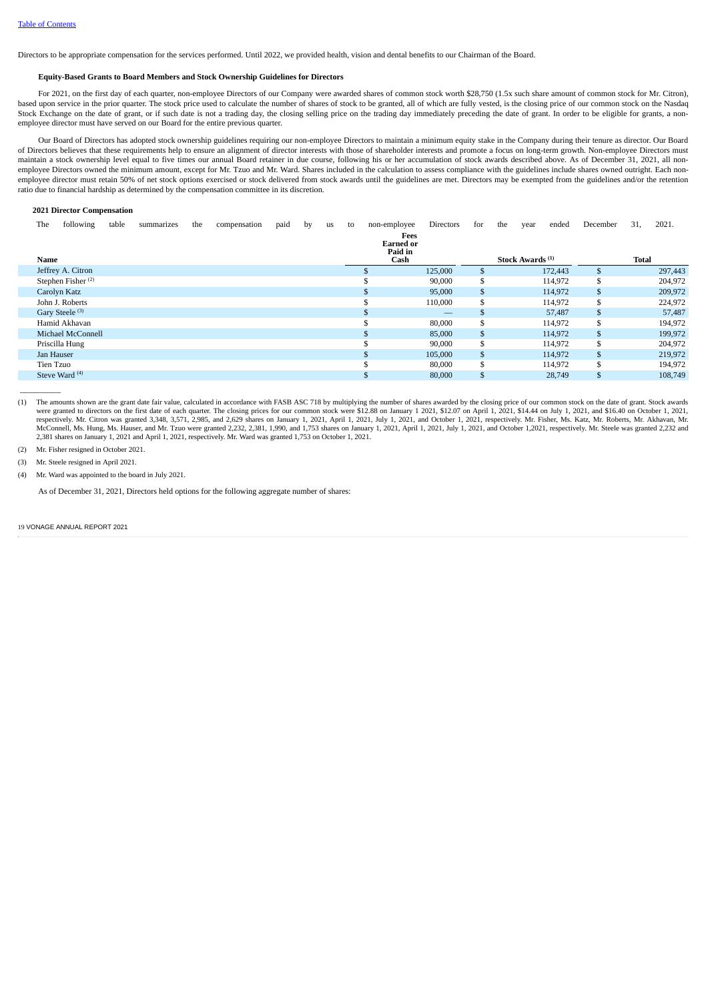Directors to be appropriate compensation for the services performed. Until 2022, we provided health, vision and dental benefits to our Chairman of the Board.

### **Equity-Based Grants to Board Members and Stock Ownership Guidelines for Directors**

For 2021, on the first day of each quarter, non-employee Directors of our Company were awarded shares of common stock worth \$28,750 (1.5x such share amount of common stock for Mr. Citron), based upon service in the prior quarter. The stock price used to calculate the number of shares of stock to be granted, all of which are fully vested, is the closing price of our common stock on the Nasdaq Stock Exchange on the date of grant, or if such date is not a trading day, the closing selling price on the trading day immediately preceding the date of grant. In order to be eligible for grants, a nonemployee director must have served on our Board for the entire previous quarter.

Our Board of Directors has adopted stock ownership guidelines requiring our non-employee Directors to maintain a minimum equity stake in the Company during their tenure as director. Our Board of Directors believes that these requirements help to ensure an alignment of director interests with those of shareholder interests and promote a focus on long-term growth. Non-employee Directors must maintain a stock ownership level equal to five times our annual Board retainer in due course, following his or her accumulation of stock awards described above. As of December 31, 2021, all nonemployee Directors owned the minimum amount, except for Mr. Tzuo and Mr. Ward. Shares included in the calculation to assess compliance with the guidelines include shares owned outright. Each nonemployee director must retain 50% of net stock options exercised or stock delivered from stock awards until the guidelines are met. Directors may be exempted from the guidelines and/or the retention ratio due to financial hardship as determined by the compensation committee in its discretion.

### **2021 Director Compensation**

| The        | following                     | table | summarizes | the | compensation | paid | by | us | to | non-employee                                | Directors | for            | the | vear                        | ended   | December | 31,   | 2021.   |
|------------|-------------------------------|-------|------------|-----|--------------|------|----|----|----|---------------------------------------------|-----------|----------------|-----|-----------------------------|---------|----------|-------|---------|
| Name       |                               |       |            |     |              |      |    |    |    | Fees<br><b>Earned or</b><br>Paid in<br>Cash |           |                |     | Stock Awards <sup>(1)</sup> |         |          | Total |         |
|            | Jeffrey A. Citron             |       |            |     |              |      |    |    |    |                                             | 125,000   |                |     |                             | 172,443 |          |       | 297,443 |
|            | Stephen Fisher <sup>(2)</sup> |       |            |     |              |      |    |    |    |                                             | 90,000    | \$             |     |                             | 114,972 | J.       |       | 204,972 |
|            | Carolyn Katz                  |       |            |     |              |      |    |    |    |                                             | 95,000    | $\mathfrak{F}$ |     |                             | 114,972 | \$       |       | 209,972 |
|            | John J. Roberts               |       |            |     |              |      |    |    |    |                                             | 110,000   | \$             |     |                             | 114,972 | - 70     |       | 224,972 |
|            | Gary Steele <sup>(3)</sup>    |       |            |     |              |      |    |    |    |                                             |           |                |     |                             | 57,487  | \$       |       | 57,487  |
|            | Hamid Akhavan                 |       |            |     |              |      |    |    |    |                                             | 80,000    | .S             |     |                             | 114,972 | J.       |       | 194,972 |
|            | Michael McConnell             |       |            |     |              |      |    |    |    |                                             | 85,000    | \$             |     |                             | 114,972 | \$       |       | 199,972 |
|            | Priscilla Hung                |       |            |     |              |      |    |    |    |                                             | 90,000    | \$             |     |                             | 114,972 |          |       | 204,972 |
| Jan Hauser |                               |       |            |     |              |      |    |    |    | .h                                          | 105,000   | $\mathfrak{F}$ |     |                             | 114,972 | \$       |       | 219,972 |
| Tien Tzuo  |                               |       |            |     |              |      |    |    |    |                                             | 80,000    | ¢              |     |                             | 114,972 | э        |       | 194,972 |
|            | Steve Ward <sup>(4)</sup>     |       |            |     |              |      |    |    |    | \$                                          | 80,000    | $\mathfrak{F}$ |     |                             | 28,749  | \$       |       | 108,749 |
|            |                               |       |            |     |              |      |    |    |    |                                             |           |                |     |                             |         |          |       |         |

- (1) The amounts shown are the grant date fair value, calculated in accordance with FASB ASC 718 by multiplying the number of shares awarded by the closing price of our common stock on the date of grant. Stock awards<br>were g respectively. Mr. Citron was granted 3,348, 3,571, 2,985, and 2,629 shares on January 1, 2021, July 1, 2021, and October 1, 2021, respectively. Mr. Fisher, Ms. Katz, Mr. Roberts, Mr. Akhavan, Mr. Incheavan, Mr. Arespective 2,381 shares on January 1, 2021 and April 1, 2021, respectively. Mr. Ward was granted 1,753 on October 1, 2021.
- (2) Mr. Fisher resigned in October 2021.
- (3) Mr. Steele resigned in April 2021.

 $\overline{\phantom{a}}$ 

(4) Mr. Ward was appointed to the board in July 2021.

As of December 31, 2021, Directors held options for the following aggregate number of shares: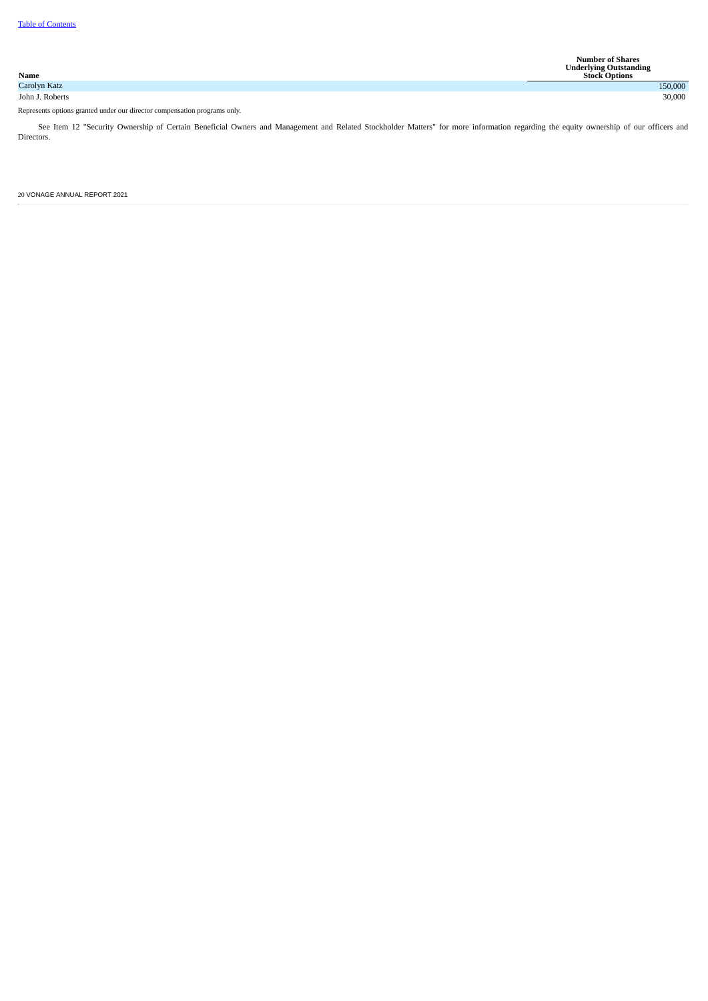| Name            | <b>Number of Shares</b><br><b>Underlying Outstanding</b><br><b>Stock Options</b> |
|-----------------|----------------------------------------------------------------------------------|
| Carolyn Katz    | 150,000                                                                          |
| John J. Roberts | 30,000                                                                           |

Represents options granted under our director compensation programs only.

See Item 12 "Security Ownership of Certain Beneficial Owners and Management and Related Stockholder Matters" for more information regarding the equity ownership of our officers and Directors.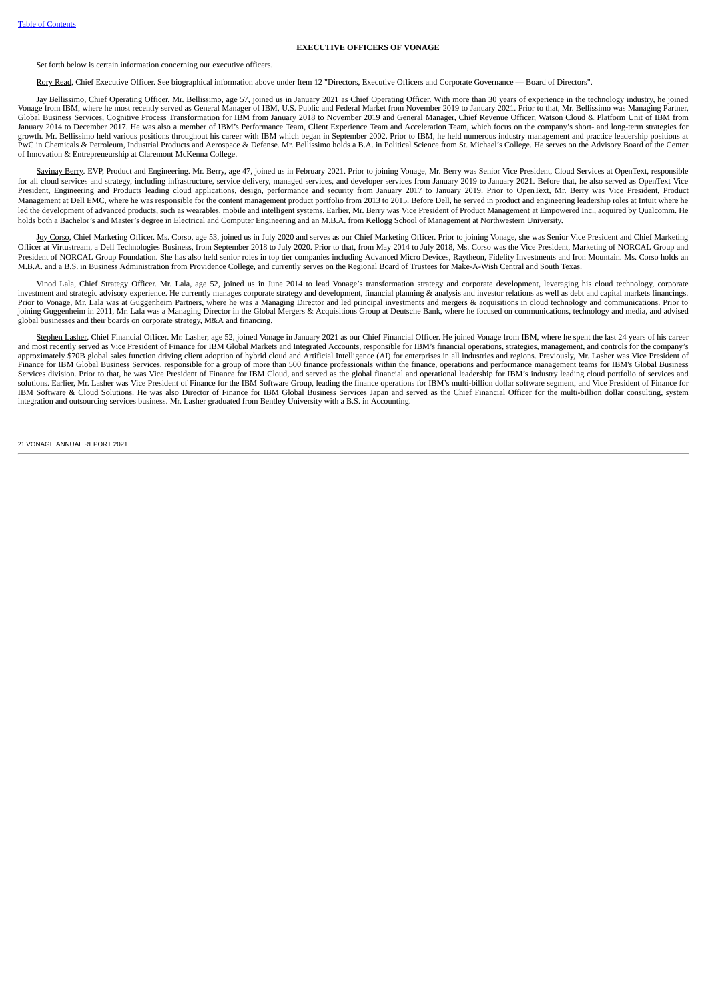### **EXECUTIVE OFFICERS OF VONAGE**

Set forth below is certain information concerning our executive officers.

Rory Read, Chief Executive Officer. See biographical information above under Item 12 "Directors, Executive Officers and Corporate Governance — Board of Directors".

Jay Bellissimo, Chief Operating Officer. Mr. Bellissimo, age 57, joined us in January 2021 as Chief Operating Officer. With more than 30 years of experience in the technology industry, he joined Vonage from IBM, where he most recently served as General Manager of IBM, U.S. Public and Federal Market from November 2019 to January 2021. Prior to that, Mr. Bellissimo was Managing Partner,<br>Global Business Services, Cog January 2014 to December 2017. He was also a member of IBM's Performance Team, Client Experience Team and Acceleration Team, which focus on the company's short- and long-term strategies for growth. Mr. Bellissimo held various positions throughout his career with IBM which began in September 2002. Prior to IBM, he held numerous industry management and practice leadership positions at PwC in Chemicals & Petroleum, Industrial Products and Aerospace & Defense. Mr. Bellissimo holds a B.A. in Political Science from St. Michael's College. He serves on the Advisory Board of the Center of Innovation & Entrepreneurship at Claremont McKenna College.

Savinay Berry, EVP, Product and Engineering. Mr. Berry, age 47, joined us in February 2021. Prior to joining Vonage, Mr. Berry was Senior Vice President, Cloud Services at OpenText, responsible for all cloud services and strategy, including infrastructure, service delivery, managed services, and developer services from January 2019 to January 2021. Before that, he also served as OpenText Vice President, Engineering and Products leading cloud applications, design, performance and security from January 2017 to January 2019. Prior to OpenText, Mr. Berry was Vice President, Product Management at Dell EMC, where he was responsible for the content management product portfolio from 2013 to 2015. Before Dell, he served in product and engineering leadership roles at Intuit where he led the development of advanced products, such as wearables, mobile and intelligent systems. Earlier, Mr. Berry was Vice President of Product Management at Empowered Inc., acquired by Qualcomm. He holds both a Bachelor's and Master's degree in Electrical and Computer Engineering and an M.B.A. from Kellogg School of Management at Northwestern University.

Joy Corso, Chief Marketing Officer. Ms. Corso, age 53, joined us in July 2020 and serves as our Chief Marketing Officer. Prior to joining Vonage, she was Senior Vice President and Chief Marketing Officer at Virtustream, a Dell Technologies Business, from September 2018 to July 2020. Prior to that, from May 2014 to July 2018, Ms. Corso was the Vice President, Marketing of NORCAL Group and President of NORCAL Group Foundation. She has also held senior roles in top tier companies including Advanced Micro Devices, Raytheon, Fidelity Investments and Iron Mountain. Ms. Corso holds an M.B.A. and a B.S. in Business Administration from Providence College, and currently serves on the Regional Board of Trustees for Make-A-Wish Central and South Texas.

Vinod Lala, Chief Strategy Officer. Mr. Lala, age 52, joined us in June 2014 to lead Vonage's transformation strategy and corporate development, leveraging his cloud technology, corporate investment and strategic advisory experience. He currently manages corporate strategy and development, financial planning & analysis and investor relations as well as debt and capital markets financings. Prior to Vonage, Mr. Lala was at Guggenheim Partners, where he was a Managing Director and led principal investments and mergers & acquisitions in cloud technology and communications. Prior to joining Guggenheim in 2011, Mr. Lala was a Managing Director in the Global Mergers & Acquisitions Group at Deutsche Bank, where he focused on communications, technology and media, and advised global businesses and their boards on corporate strategy, M&A and financing.

Stephen Lasher, Chief Financial Officer. Mr. Lasher, age 52, joined Vonage in January 2021 as our Chief Financial Officer. He joined Vonage from IBM, where he spent the last 24 years of his career and most recently served as Vice President of Finance for IBM Global Markets and Integrated Accounts, responsible for IBM's financial operations, strategies, management, and controls for the company's approximately \$70B global sales function driving client adoption of hybrid cloud and Artificial Intelligence (AI) for enterprises in all industries and regions. Previously, Mr. Lasher was Vice President of<br>Finance for IBM Services division. Prior to that, he was Vice President of Finance for IBM Cloud, and served as the global financial and operational leadership for IBM's industry leading cloud portfolio of services and solutions. Earlier, Mr. Lasher was Vice President of Finance for the IBM Software Group, leading the finance operations for IBM's multi-billion dollar software segment, and Vice President of Finance for IBM Software & Cloud Solutions. He was also Director of Finance for IBM Global Business Services Japan and served as the Chief Financial Officer for the multi-billion dollar consulting, system integration and outsourcing services business. Mr. Lasher graduated from Bentley University with a B.S. in Accounting.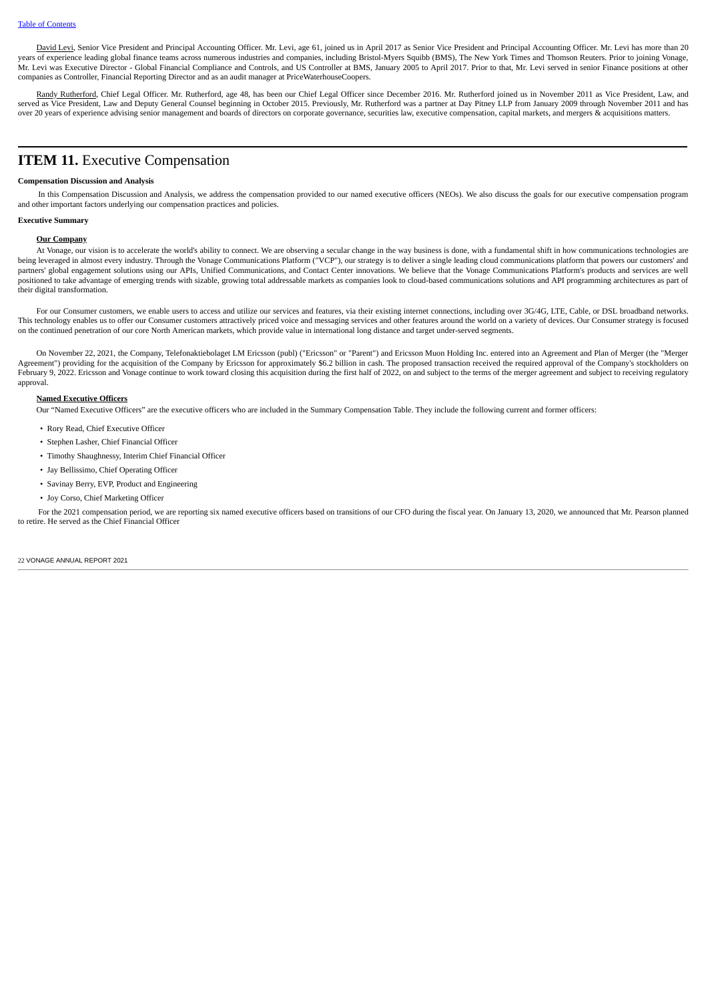David Levi, Senior Vice President and Principal Accounting Officer. Mr. Levi, age 61, joined us in April 2017 as Senior Vice President and Principal Accounting Officer. Mr. Levi has more than 20 years of experience leading global finance teams across numerous industries and companies, including Bristol-Myers Squibb (BMS), The New York Times and Thomson Reuters. Prior to joining Vonage, Mr. Levi was Executive Director - Global Financial Compliance and Controls, and US Controller at BMS, January 2005 to April 2017. Prior to that, Mr. Levi served in senior Finance positions at other companies as Controller, Financial Reporting Director and as an audit manager at PriceWaterhouseCoopers.

Randy Rutherford, Chief Legal Officer. Mr. Rutherford, age 48, has been our Chief Legal Officer since December 2016. Mr. Rutherford joined us in November 2011 as Vice President, Law, and served as Vice President, Law and Deputy General Counsel beginning in October 2015. Previously, Mr. Rutherford was a partner at Day Pitney LLP from January 2009 through November 2011 and has over 20 years of experience advising senior management and boards of directors on corporate governance, securities law, executive compensation, capital markets, and mergers & acquisitions matters.

# <span id="page-21-0"></span>**ITEM 11.** Executive Compensation

### **Compensation Discussion and Analysis**

In this Compensation Discussion and Analysis, we address the compensation provided to our named executive officers (NEOs). We also discuss the goals for our executive compensation program and other important factors underlying our compensation practices and policies.

### **Executive Summary**

### **Our Company**

At Vonage, our vision is to accelerate the world's ability to connect. We are observing a secular change in the way business is done, with a fundamental shift in how communications technologies are being leveraged in almost every industry. Through the Vonage Communications Platform ("VCP"), our strategy is to deliver a single leading cloud communications platform that powers our customers' and partners' global engagement solutions using our APIs, Unified Communications, and Contact Center innovations. We believe that the Vonage Communications Platform's products and services are well positioned to take advantage of emerging trends with sizable, growing total addressable markets as companies look to cloud-based communications solutions and API programming architectures as part of their digital transformation.

For our Consumer customers, we enable users to access and utilize our services and features, via their existing internet connections, including over 3G/4G, LTE, Cable, or DSL broadband networks. This technology enables us to offer our Consumer customers attractively priced voice and messaging services and other features around the world on a variety of devices. Our Consumer strategy is focused on the continued penetration of our core North American markets, which provide value in international long distance and target under-served segments.

On November 22, 2021, the Company, Telefonaktiebolaget LM Ericsson (publ) ("Ericsson" or "Parent") and Ericsson Muon Holding Inc. entered into an Agreement and Plan of Merger (the "Merger Agreement") providing for the acquisition of the Company by Ericsson for approximately \$6.2 billion in cash. The proposed transaction received the required approval of the Company's stockholders on February 9, 2022. Ericsson and Vonage continue to work toward closing this acquisition during the first half of 2022, on and subject to the terms of the merger agreement and subject to receiving regulatory approval.

### **Named Executive Officers**

Our "Named Executive Officers" are the executive officers who are included in the Summary Compensation Table. They include the following current and former officers:

- Rory Read, Chief Executive Officer
- Stephen Lasher, Chief Financial Officer
- Timothy Shaughnessy, Interim Chief Financial Officer
- Jay Bellissimo, Chief Operating Officer
- Savinay Berry, EVP, Product and Engineering
- Joy Corso, Chief Marketing Officer

For the 2021 compensation period, we are reporting six named executive officers based on transitions of our CFO during the fiscal year. On January 13, 2020, we announced that Mr. Pearson planned to retire. He served as the Chief Financial Officer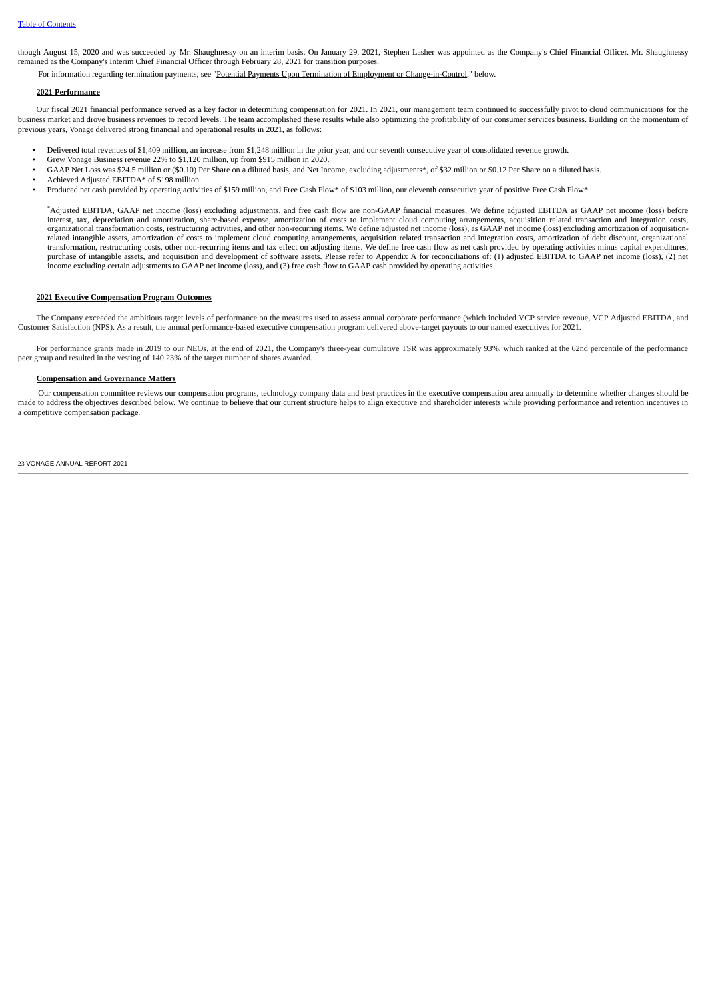though August 15, 2020 and was succeeded by Mr. Shaughnessy on an interim basis. On January 29, 2021, Stephen Lasher was appointed as the Company's Chief Financial Officer. Mr. Shaughnessy remained as the Company's Interim Chief Financial Officer through February 28, 2021 for transition purposes.

For information regarding termination payments, see "Potential Payments Upon Termination of Employment or Change-in-Control," below.

### **2021 Performance**

Our fiscal 2021 financial performance served as a key factor in determining compensation for 2021. In 2021, our management team continued to successfully pivot to cloud communications for the business market and drove business revenues to record levels. The team accomplished these results while also optimizing the profitability of our consumer services business. Building on the momentum of previous years, Vonage delivered strong financial and operational results in 2021, as follows:

- Delivered total revenues of \$1,409 million, an increase from \$1,248 million in the prior year, and our seventh consecutive year of consolidated revenue growth.
- Grew Vonage Business revenue 22% to \$1,120 million, up from \$915 million in 2020.
- GAAP Net Loss was \$24.5 million or (\$0.10) Per Share on a diluted basis, and Net Income, excluding adjustments\*, of \$32 million or \$0.12 Per Share on a diluted basis.
- Achieved Adjusted EBITDA\* of \$198 million.
- Produced net cash provided by operating activities of \$159 million, and Free Cash Flow\* of \$103 million, our eleventh consecutive year of positive Free Cash Flow\*.

Adjusted EBITDA, GAAP net income (loss) excluding adjustments, and free cash flow are non-GAAP financial measures. We define adjusted EBITDA as GAAP net income (loss) before \* interest, tax, depreciation and amortization, share-based expense, amortization of costs to implement cloud computing arrangements, acquisition related transaction and integration costs, organizational transformation costs, restructuring activities, and other non-recurring items. We define adjusted net income (loss), as GAAP net income (loss) excluding amortization of acquisitionrelated intangible assets, amortization of costs to implement cloud computing arrangements, acquisition related transaction and integration costs, amortization of debt discount, organizational transformation, restructuring costs, other non-recurring items and tax effect on adjusting items. We define free cash flow as net cash provided by operating activities minus capital expenditures, purchase of intangible assets, and acquisition and development of software assets. Please refer to Appendix A for reconciliations of: (1) adjusted EBITDA to GAAP net income (loss), (2) net income excluding certain adjustments to GAAP net income (loss), and (3) free cash flow to GAAP cash provided by operating activities.

### **2021 Executive Compensation Program Outcomes**

The Company exceeded the ambitious target levels of performance on the measures used to assess annual corporate performance (which included VCP service revenue, VCP Adjusted EBITDA, and Customer Satisfaction (NPS). As a result, the annual performance-based executive compensation program delivered above-target payouts to our named executives for 2021.

For performance grants made in 2019 to our NEOs, at the end of 2021, the Company's three-year cumulative TSR was approximately 93%, which ranked at the 62nd percentile of the performance peer group and resulted in the vesting of 140.23% of the target number of shares awarded.

### **Compensation and Governance Matters**

Our compensation committee reviews our compensation programs, technology company data and best practices in the executive compensation area annually to determine whether changes should be made to address the objectives described below. We continue to believe that our current structure helps to align executive and shareholder interests while providing performance and retention incentives in a competitive compensation package.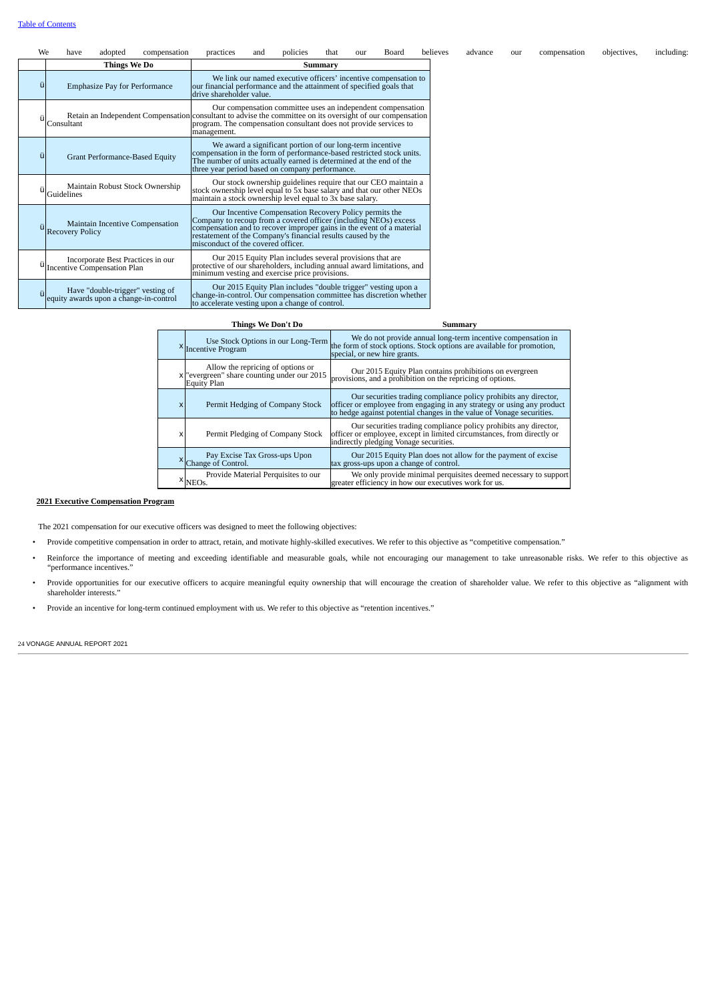| We | have                        | adopted                              | compensation                                                                                               | practices                                                                                                                                                                                                                                       | and | policies                                                        | that | our | Board |  | believes | advance | our | compensation | objectives, | including: |
|----|-----------------------------|--------------------------------------|------------------------------------------------------------------------------------------------------------|-------------------------------------------------------------------------------------------------------------------------------------------------------------------------------------------------------------------------------------------------|-----|-----------------------------------------------------------------|------|-----|-------|--|----------|---------|-----|--------------|-------------|------------|
|    |                             | <b>Things We Do</b>                  |                                                                                                            | Summary                                                                                                                                                                                                                                         |     |                                                                 |      |     |       |  |          |         |     |              |             |            |
| ül |                             | <b>Emphasize Pay for Performance</b> |                                                                                                            | our financial performance and the attainment of specified goals that<br>drive shareholder value.                                                                                                                                                |     | We link our named executive officers' incentive compensation to |      |     |       |  |          |         |     |              |             |            |
|    | Consultant                  |                                      | Retain an Independent Compensation consultant to advise the committee on its oversight of our compensation | program. The compensation consultant does not provide services to<br>management.                                                                                                                                                                |     | Our compensation committee uses an independent compensation     |      |     |       |  |          |         |     |              |             |            |
| ül |                             |                                      | Grant Performance-Based Equity                                                                             | compensation in the form of performance-based restricted stock units.<br>The number of units actually earned is determined at the end of the<br>three year period based on company performance.                                                 |     | We award a significant portion of our long-term incentive       |      |     |       |  |          |         |     |              |             |            |
|    | Guidelines                  |                                      | Maintain Robust Stock Ownership                                                                            | stock ownership level equal to 5x base salary and that our other NEOs<br>maintain a stock ownership level equal to 3x base salary.                                                                                                              |     | Our stock ownership guidelines require that our CEO maintain a  |      |     |       |  |          |         |     |              |             |            |
|    | <b>Recovery Policy</b>      |                                      | Maintain Incentive Compensation                                                                            | Company to recoup from a covered officer (including NEOs) excess<br>compensation and to recover improper gains in the event of a material<br>restatement of the Company's financial results caused by the<br>misconduct of the covered officer. |     | Our Incentive Compensation Recovery Policy permits the          |      |     |       |  |          |         |     |              |             |            |
|    | Incentive Compensation Plan | Incorporate Best Practices in our    |                                                                                                            | protective of our shareholders, including annual award limitations, and<br>minimum vesting and exercise price provisions.                                                                                                                       |     | Our 2015 Equity Plan includes several provisions that are       |      |     |       |  |          |         |     |              |             |            |
|    |                             | Have "double-trigger" vesting of     | equity awards upon a change-in-control                                                                     | change-in-control. Our compensation committee has discretion whether<br>to accelerate vesting upon a change of control.                                                                                                                         |     | Our 2015 Equity Plan includes "double trigger" vesting upon a   |      |     |       |  |          |         |     |              |             |            |

|                           | Things We Don't Do                                                                              | Summary                                                                                                                                                                                                             |  |  |  |  |
|---------------------------|-------------------------------------------------------------------------------------------------|---------------------------------------------------------------------------------------------------------------------------------------------------------------------------------------------------------------------|--|--|--|--|
|                           | Use Stock Options in our Long-Term<br><b>Incentive Program</b>                                  | We do not provide annual long-term incentive compensation in<br>the form of stock options. Stock options are available for promotion,<br>special, or new hire grants.                                               |  |  |  |  |
|                           | Allow the repricing of options or<br>x "evergreen" share counting under our 2015<br>Equity Plan | Our 2015 Equity Plan contains prohibitions on evergreen<br>provisions, and a prohibition on the repricing of options.                                                                                               |  |  |  |  |
| $\boldsymbol{\mathsf{x}}$ | Permit Hedging of Company Stock                                                                 | Our securities trading compliance policy prohibits any director,<br>officer or employee from engaging in any strategy or using any product<br>to hedge against potential changes in the value of Vonage securities. |  |  |  |  |
| x                         | Permit Pledging of Company Stock                                                                | Our securities trading compliance policy prohibits any director,<br>officer or employee, except in limited circumstances, from directly or<br>indirectly pledging Vonage securities.                                |  |  |  |  |
|                           | Pay Excise Tax Gross-ups Upon<br>Change of Control.                                             | Our 2015 Equity Plan does not allow for the payment of excise<br>tax gross-ups upon a change of control.                                                                                                            |  |  |  |  |
|                           | Provide Material Perquisites to our<br>NEOs.                                                    | We only provide minimal perquisites deemed necessary to support<br>greater efficiency in how our executives work for us.                                                                                            |  |  |  |  |

# **2021 Executive Compensation Program**

The 2021 compensation for our executive officers was designed to meet the following objectives:

- Provide competitive compensation in order to attract, retain, and motivate highly-skilled executives. We refer to this objective as "competitive compensation."
- Reinforce the importance of meeting and exceeding identifiable and measurable goals, while not encouraging our management to take unreasonable risks. We refer to this objective as "performance incentives."
- Provide opportunities for our executive officers to acquire meaningful equity ownership that will encourage the creation of shareholder value. We refer to this objective as "alignment with shareholder interests."
- Provide an incentive for long-term continued employment with us. We refer to this objective as "retention incentives."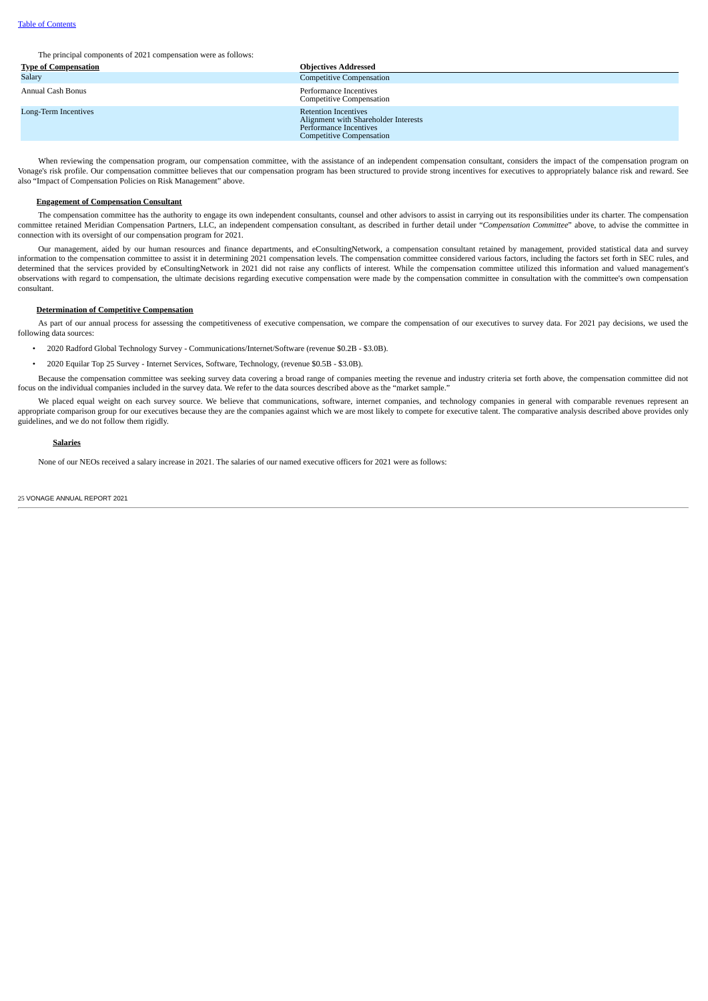The principal components of 2021 compensation were as follows:

| <b>Type of Compensation</b> | <b>Objectives Addressed</b>                                                                                                      |
|-----------------------------|----------------------------------------------------------------------------------------------------------------------------------|
| Salary                      | <b>Competitive Compensation</b>                                                                                                  |
| Annual Cash Bonus           | Performance Incentives<br><b>Competitive Compensation</b>                                                                        |
| Long-Term Incentives        | <b>Retention Incentives</b><br>Alignment with Shareholder Interests<br>Performance Incentives<br><b>Competitive Compensation</b> |

When reviewing the compensation program, our compensation committee, with the assistance of an independent compensation consultant, considers the impact of the compensation program on Vonage's risk profile. Our compensation committee believes that our compensation program has been structured to provide strong incentives for executives to appropriately balance risk and reward. See also "Impact of Compensation Policies on Risk Management" above.

# **Engagement of Compensation Consultant**

The compensation committee has the authority to engage its own independent consultants, counsel and other advisors to assist in carrying out its responsibilities under its charter. The compensation committee retained Meridian Compensation Partners, LLC, an independent compensation consultant, as described in further detail under "*Compensation Committee*" above, to advise the committee in connection with its oversight of our compensation program for 2021.

Our management, aided by our human resources and finance departments, and eConsultingNetwork, a compensation consultant retained by management, provided statistical data and survey information to the compensation committee to assist it in determining 2021 compensation levels. The compensation committee considered various factors, including the factors set forth in SEC rules, and determined that the services provided by eConsultingNetwork in 2021 did not raise any conflicts of interest. While the compensation committee utilized this information and valued management's observations with regard to compensation, the ultimate decisions regarding executive compensation were made by the compensation committee in consultation with the committee's own compensation consultant.

# **Determination of Competitive Compensation**

As part of our annual process for assessing the competitiveness of executive compensation, we compare the compensation of our executives to survey data. For 2021 pay decisions, we used the following data sources:

- 2020 Radford Global Technology Survey Communications/Internet/Software (revenue \$0.2B \$3.0B).
- 2020 Equilar Top 25 Survey Internet Services, Software, Technology, (revenue \$0.5B \$3.0B).

Because the compensation committee was seeking survey data covering a broad range of companies meeting the revenue and industry criteria set forth above, the compensation committee did not focus on the individual companies included in the survey data. We refer to the data sources described above as the "market sample."

We placed equal weight on each survey source. We believe that communications, software, internet companies, and technology companies in general with comparable revenues represent an appropriate comparison group for our executives because they are the companies against which we are most likely to compete for executive talent. The comparative analysis described above provides only guidelines, and we do not follow them rigidly.

### **Salaries**

None of our NEOs received a salary increase in 2021. The salaries of our named executive officers for 2021 were as follows: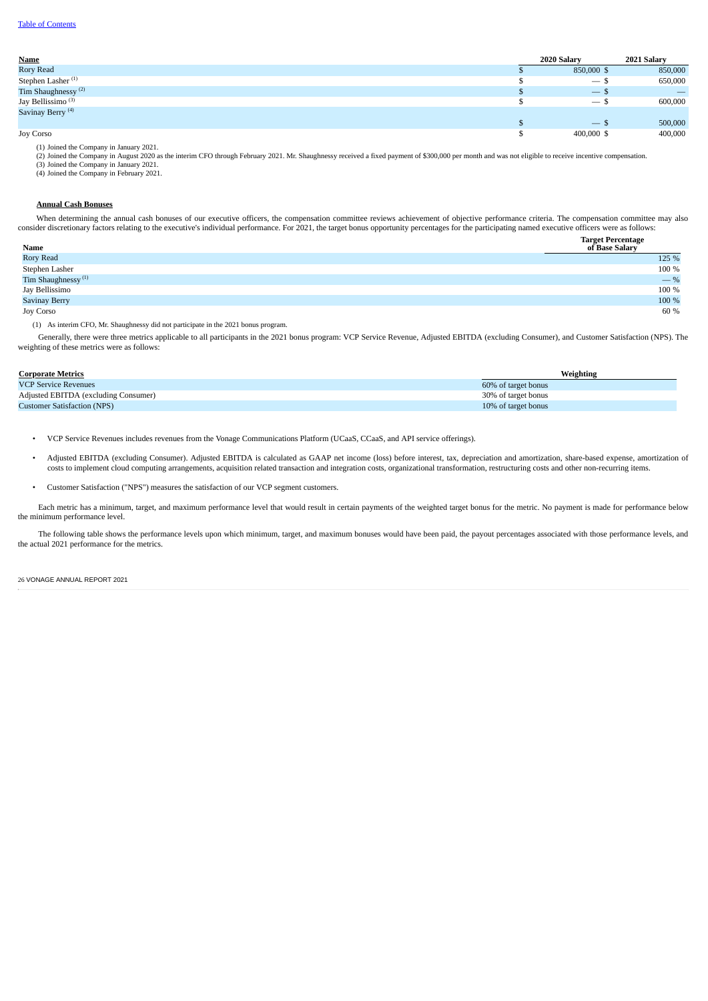| <b>Name</b>                    | 2020 Salary | 2021 Salary |
|--------------------------------|-------------|-------------|
| <b>Rory Read</b>               | 850,000 \$  | 850,000     |
| Stephen Lasher <sup>(1)</sup>  | $-5$        | 650,000     |
| Tim Shaughnessy <sup>(2)</sup> | $-5$        |             |
| Jay Bellissimo <sup>(3)</sup>  | — ა         | 600,000     |
| Savinay Berry <sup>(4)</sup>   |             |             |
|                                | $-$ 5       | 500,000     |
| <b>Joy Corso</b>               | 400,000 \$  | 400,000     |

(1) Joined the Company in January 2021.

(2) Joined the Company in August 2020 as the interim CFO through February 2021. Mr. Shaughnessy received a fixed payment of \$300,000 per month and was not eligible to receive incentive compensation.<br>(3) Joined the Company

(4) Joined the Company in February 2021.

# **Annual Cash Bonuses**

When determining the annual cash bonuses of our executive officers, the compensation committee reviews achievement of objective performance criteria. The compensation committee may also consider discretionary factors relating to the executive's individual performance. For 2021, the target bonus opportunity percentages for the participating named executive officers were as follows:

| Name                           | <b>Target Percentage</b><br>of Base Salary |
|--------------------------------|--------------------------------------------|
| <b>Rory Read</b>               | 125 %                                      |
| Stephen Lasher                 | 100 %                                      |
| Tim Shaughnessy <sup>(1)</sup> | $-$ %                                      |
| Jay Bellissimo                 | 100 %                                      |
| <b>Savinay Berry</b>           | 100 %                                      |
| <b>Joy Corso</b>               | 60 %                                       |

(1) As interim CFO, Mr. Shaughnessy did not participate in the 2021 bonus program.

Generally, there were three metrics applicable to all participants in the 2021 bonus program: VCP Service Revenue, Adjusted EBITDA (excluding Consumer), and Customer Satisfaction (NPS). The weighting of these metrics were as follows:

| <b>Corporate Metrics</b>             | Weighting           |
|--------------------------------------|---------------------|
| <b>VCP Service Revenues</b>          | 60% of target bonus |
| Adjusted EBITDA (excluding Consumer) | 30% of target bonus |
| <b>Customer Satisfaction (NPS)</b>   | 10% of target bonus |

• VCP Service Revenues includes revenues from the Vonage Communications Platform (UCaaS, CCaaS, and API service offerings).

• Adjusted EBITDA (excluding Consumer). Adjusted EBITDA is calculated as GAAP net income (loss) before interest, tax, depreciation and amortization, share-based expense, amortization of costs to implement cloud computing arrangements, acquisition related transaction and integration costs, organizational transformation, restructuring costs and other non-recurring items.

• Customer Satisfaction ("NPS") measures the satisfaction of our VCP segment customers.

Each metric has a minimum, target, and maximum performance level that would result in certain payments of the weighted target bonus for the metric. No payment is made for performance below the minimum performance level.

The following table shows the performance levels upon which minimum, target, and maximum bonuses would have been paid, the payout percentages associated with those performance levels, and the actual 2021 performance for the metrics.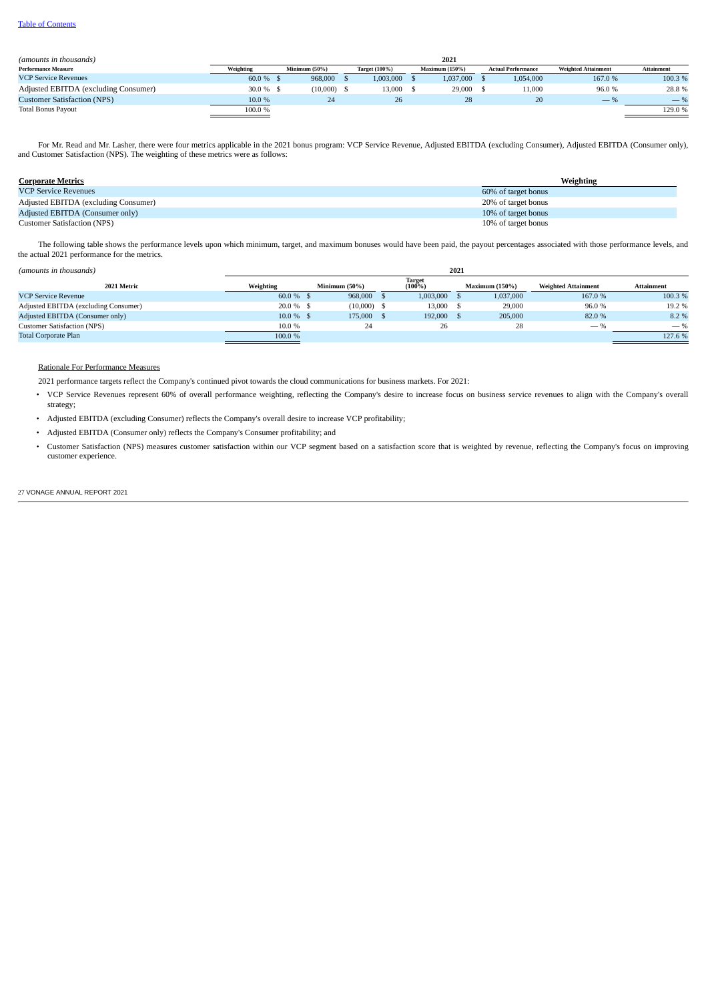| (amounts in thousands)<br>2021       |             |  |               |  |                      |  |                       |  |                           |                            |            |
|--------------------------------------|-------------|--|---------------|--|----------------------|--|-----------------------|--|---------------------------|----------------------------|------------|
| <b>Performance Measure</b>           | Weighting   |  | Minimum (50%) |  | <b>Target (100%)</b> |  | <b>Maximum (150%)</b> |  | <b>Actual Performance</b> | <b>Weighted Attainment</b> | Attainment |
| <b>VCP Service Revenues</b>          | $60.0\%$ \$ |  | 968,000       |  | 1.003.000            |  | 1,037,000             |  | 1.054.000                 | 167.0 %                    | 100.3%     |
| Adjusted EBITDA (excluding Consumer) | $30.0\%$ \$ |  | (10,000)      |  | 13.000               |  | 29,000 \$             |  | 11,000                    | 96.0%                      | 28.8%      |
| <b>Customer Satisfaction (NPS)</b>   | 10.0%       |  | 24            |  | 26                   |  | 28                    |  | 20                        | $-$ %                      | $-$ %      |
| <b>Total Bonus Payout</b>            | 100.0%      |  |               |  |                      |  |                       |  |                           |                            | 129.0 %    |

For Mr. Read and Mr. Lasher, there were four metrics applicable in the 2021 bonus program: VCP Service Revenue, Adjusted EBITDA (excluding Consumer), Adjusted EBITDA (Consumer only), and Customer Satisfaction (NPS). The weighting of these metrics were as follows:

| <b>Corporate Metrics</b>             | Weighting           |
|--------------------------------------|---------------------|
| <b>VCP Service Revenues</b>          | 60% of target bonus |
| Adjusted EBITDA (excluding Consumer) | 20% of target bonus |
| Adjusted EBITDA (Consumer only)      | 10% of target bonus |
| <b>Customer Satisfaction (NPS)</b>   | 10% of target bonus |

The following table shows the performance levels upon which minimum, target, and maximum bonuses would have been paid, the payout percentages associated with those performance levels, and the actual 2021 performance for the metrics.

|  | (amounts in thousands) |
|--|------------------------|
|  |                        |

| (amounts in thousands)               | 2021         |               |                  |                       |  |                            |            |        |
|--------------------------------------|--------------|---------------|------------------|-----------------------|--|----------------------------|------------|--------|
| 2021 Metric                          | Weighting    | Minimum (50%) | Target<br>(100%) | <b>Maximum (150%)</b> |  | <b>Weighted Attainment</b> | Attainment |        |
| <b>VCP Service Revenue</b>           | $60.0 \%$ \$ | 968,000       |                  | 1,003,000             |  | 1,037,000                  | 167.0%     | 100.3% |
| Adjusted EBITDA (excluding Consumer) | $20.0 \%$ \$ | $(10,000)$ \$ |                  | 13,000 \$             |  | 29,000                     | 96.0%      | 19.2 % |
| Adjusted EBITDA (Consumer only)      | $10.0\%$ \$  | 175,000 \$    |                  | 192,000               |  | 205,000                    | 82.0 %     | 8.2 %  |
| Customer Satisfaction (NPS)          | 10.0%        | 24            |                  | 26                    |  | 28                         | $-$ %      | $-$ %  |
| <b>Total Corporate Plan</b>          | 100.0%       |               |                  |                       |  |                            |            | 127.6% |

# Rationale For Performance Measures

2021 performance targets reflect the Company's continued pivot towards the cloud communications for business markets. For 2021:

- VCP Service Revenues represent 60% of overall performance weighting, reflecting the Company's desire to increase focus on business service revenues to align with the Company's overall strategy;
- Adjusted EBITDA (excluding Consumer) reflects the Company's overall desire to increase VCP profitability;
- Adjusted EBITDA (Consumer only) reflects the Company's Consumer profitability; and
- Customer Satisfaction (NPS) measures customer satisfaction within our VCP segment based on a satisfaction score that is weighted by revenue, reflecting the Company's focus on improving customer experience.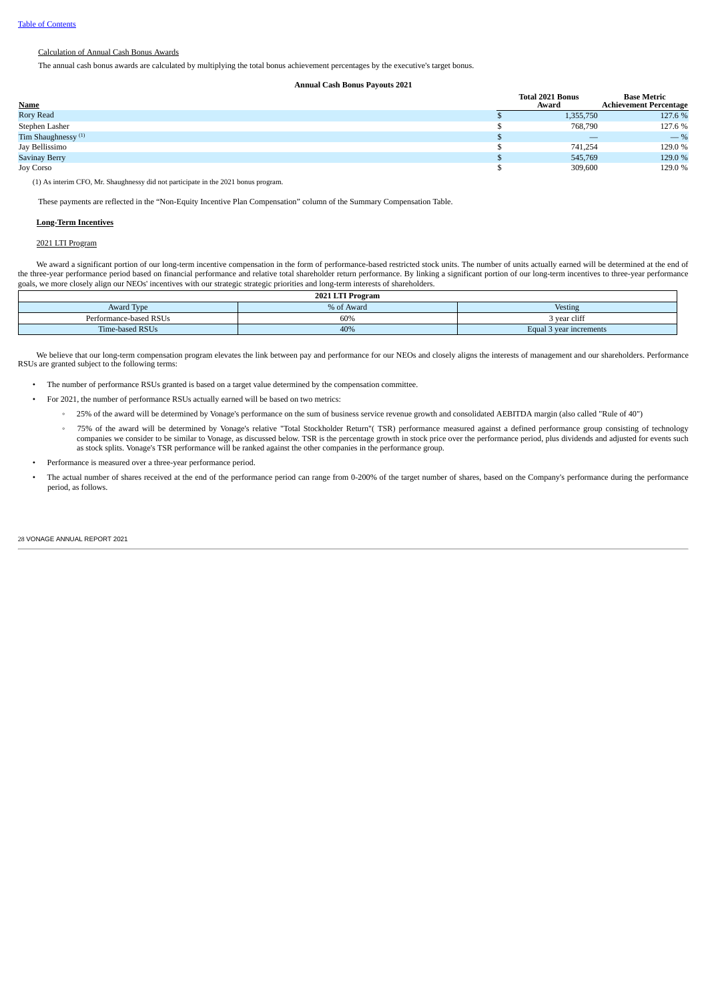# Calculation of Annual Cash Bonus Awards

The annual cash bonus awards are calculated by multiplying the total bonus achievement percentages by the executive's target bonus.

# **Annual Cash Bonus Payouts 2021**

|                                | <b>Total 2021 Bonus</b>        | <b>Base Metric</b>            |  |
|--------------------------------|--------------------------------|-------------------------------|--|
| <b>Name</b>                    | Award                          | <b>Achievement Percentage</b> |  |
| Rory Read                      | 1,355,750                      | 127.6 %                       |  |
| Stephen Lasher                 | 768.790                        | 127.6 %                       |  |
| Tim Shaughnessy <sup>(1)</sup> | $\qquad \qquad \longleftarrow$ | $-$ %                         |  |
| Jay Bellissimo                 | 741.254                        | 129.0 %                       |  |
| Savinay Berry                  | 545,769                        | 129.0 %                       |  |
| Joy Corso                      | 309,600                        | 129.0 %                       |  |

(1) As interim CFO, Mr. Shaughnessy did not participate in the 2021 bonus program.

These payments are reflected in the "Non-Equity Incentive Plan Compensation" column of the Summary Compensation Table.

# **Long-Term Incentives**

# 2021 LTI Program

We award a significant portion of our long-term incentive compensation in the form of performance-based restricted stock units. The number of units actually earned will be determined at the end of the three-year performance period based on financial performance and relative total shareholder return performance. By linking a significant portion of our long-term incentives to three-year performance goals, we more closely align our NEOs' incentives with our strategic strategic priorities and long-term interests of shareholders.

| 2021 LTI Program       |            |                         |  |  |  |  |  |  |
|------------------------|------------|-------------------------|--|--|--|--|--|--|
| Award Type             | % of Award | Vesting                 |  |  |  |  |  |  |
| Performance-based RSUs | 60%        | 3 year cliff            |  |  |  |  |  |  |
| Time-based RSUs        | 40%        | Equal 3 year increments |  |  |  |  |  |  |
|                        |            |                         |  |  |  |  |  |  |

We believe that our long-term compensation program elevates the link between pay and performance for our NEOs and closely aligns the interests of management and our shareholders. Performance RSUs are granted subject to the following terms:

- The number of performance RSUs granted is based on a target value determined by the compensation committee.
- For 2021, the number of performance RSUs actually earned will be based on two metrics:
	- 25% of the award will be determined by Vonage's performance on the sum of business service revenue growth and consolidated AEBITDA margin (also called "Rule of 40")
	- 75% of the award will be determined by Vonage's relative "Total Stockholder Return"( TSR) performance measured against a defined performance group consisting of technology companies we consider to be similar to Vonage, as discussed below. TSR is the percentage growth in stock price over the performance period, plus dividends and adjusted for events such as stock splits. Vonage's TSR performance will be ranked against the other companies in the performance group.
- Performance is measured over a three-year performance period.
- The actual number of shares received at the end of the performance period can range from 0-200% of the target number of shares, based on the Company's performance during the performance period, as follows.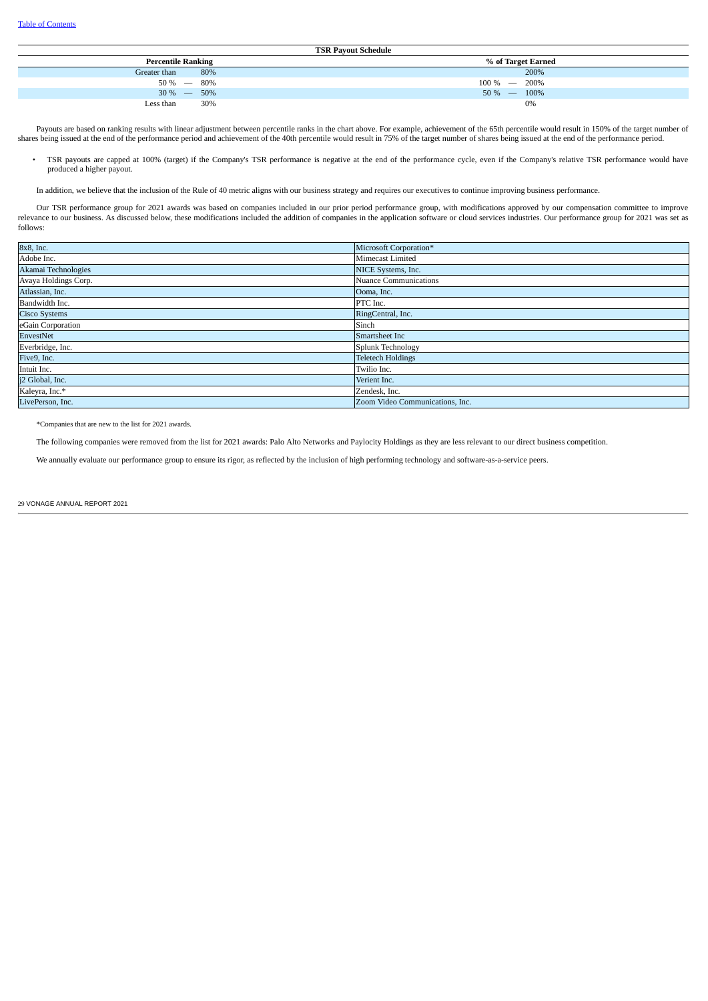| <b>TSR Payout Schedule</b> |                    |  |  |  |  |  |  |  |
|----------------------------|--------------------|--|--|--|--|--|--|--|
| <b>Percentile Ranking</b>  | % of Target Earned |  |  |  |  |  |  |  |
| 80%<br>Greater than        | 200%               |  |  |  |  |  |  |  |
| $50\% - 80\%$              | $100\% - 200\%$    |  |  |  |  |  |  |  |
| $30\% - 50\%$              | $50\% - 100\%$     |  |  |  |  |  |  |  |
| 30%<br>Less than           | 0%                 |  |  |  |  |  |  |  |

Payouts are based on ranking results with linear adjustment between percentile ranks in the chart above. For example, achievement of the 65th percentile would result in 150% of the target number of shares being issued at the end of the performance period and achievement of the 40th percentile would result in 75% of the target number of shares being issued at the end of the performance period.

• TSR payouts are capped at 100% (target) if the Company's TSR performance is negative at the end of the performance cycle, even if the Company's relative TSR performance would have produced a higher payout.

In addition, we believe that the inclusion of the Rule of 40 metric aligns with our business strategy and requires our executives to continue improving business performance.

Our TSR performance group for 2021 awards was based on companies included in our prior period performance group, with modifications approved by our compensation committee to improve relevance to our business. As discussed below, these modifications included the addition of companies in the application software or cloud services industries. Our performance group for 2021 was set as follows:

| 8x8, Inc.            | Microsoft Corporation*          |
|----------------------|---------------------------------|
| Adobe Inc.           | Mimecast Limited                |
| Akamai Technologies  | NICE Systems, Inc.              |
| Avaya Holdings Corp. | <b>Nuance Communications</b>    |
| Atlassian, Inc.      | Ooma, Inc.                      |
| Bandwidth Inc.       | PTC Inc.                        |
| <b>Cisco Systems</b> | RingCentral, Inc.               |
| eGain Corporation    | Sinch                           |
| EnvestNet            | Smartsheet Inc                  |
| Everbridge, Inc.     | Splunk Technology               |
| Five9, Inc.          | <b>Teletech Holdings</b>        |
| Intuit Inc.          | Twilio Inc.                     |
| j2 Global, Inc.      | Verient Inc.                    |
| Kaleyra, Inc.*       | Zendesk, Inc.                   |
| LivePerson, Inc.     | Zoom Video Communications, Inc. |

\*Companies that are new to the list for 2021 awards.

The following companies were removed from the list for 2021 awards: Palo Alto Networks and Paylocity Holdings as they are less relevant to our direct business competition.

We annually evaluate our performance group to ensure its rigor, as reflected by the inclusion of high performing technology and software-as-a-service peers.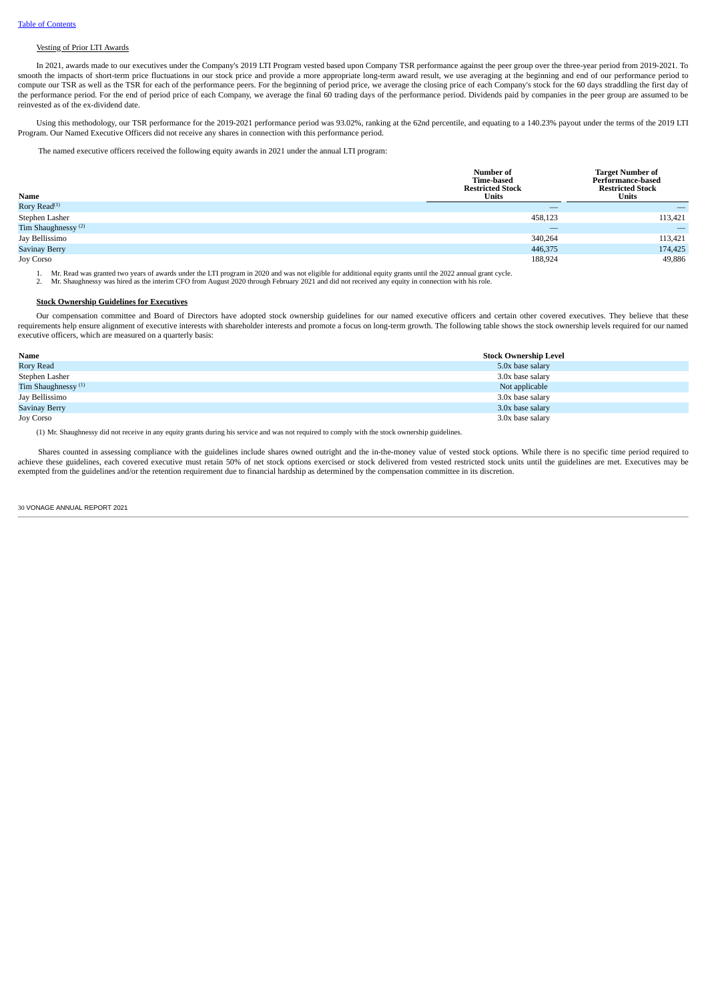# Vesting of Prior LTI Awards

In 2021, awards made to our executives under the Company's 2019 LTI Program vested based upon Company TSR performance against the peer group over the three-year period from 2019-2021. To smooth the impacts of short-term price fluctuations in our stock price and provide a more appropriate long-term award result, we use averaging at the beginning and end of our performance period to compute our TSR as well as the TSR for each of the performance peers. For the beginning of period price, we average the closing price of each Company's stock for the 60 days straddling the first day of the performance period. For the end of period price of each Company, we average the final 60 trading days of the performance period. Dividends paid by companies in the peer group are assumed to be reinvested as of the ex-dividend date.

Using this methodology, our TSR performance for the 2019-2021 performance period was 93.02%, ranking at the 62nd percentile, and equating to a 140.23% payout under the terms of the 2019 LTI Program. Our Named Executive Officers did not receive any shares in connection with this performance period.

The named executive officers received the following equity awards in 2021 under the annual LTI program:

| Name                           | Number of<br>Time-based<br><b>Restricted Stock</b><br>Units | <b>Target Number of</b><br><b>Performance-based</b><br><b>Restricted Stock</b><br>Units |  |  |
|--------------------------------|-------------------------------------------------------------|-----------------------------------------------------------------------------------------|--|--|
| Rory Read <sup>(1)</sup>       |                                                             |                                                                                         |  |  |
| Stephen Lasher                 | 458,123                                                     | 113,421                                                                                 |  |  |
| Tim Shaughnessy <sup>(2)</sup> | $\overline{\phantom{a}}$                                    |                                                                                         |  |  |
| Jay Bellissimo                 | 340,264                                                     | 113,421                                                                                 |  |  |
| <b>Savinay Berry</b>           | 446,375                                                     | 174,425                                                                                 |  |  |
| Joy Corso                      | 188,924                                                     | 49,886                                                                                  |  |  |

1. Mr. Read was granted two years of awards under the LTI program in 2020 and was not eligible for additional equity grants until the 2022 annual grant cycle.<br>2. Mr. Shaughnessy was hired as the interim CFO from August 202

2. Mr. Shaughnessy was hired as the interim CFO from August 2020 through February 2021 and did not received any equity in connection with his role.

### **Stock Ownership Guidelines for Executives**

Our compensation committee and Board of Directors have adopted stock ownership guidelines for our named executive officers and certain other covered executives. They believe that these requirements help ensure alignment of executive interests with shareholder interests and promote a focus on long-term growth. The following table shows the stock ownership levels required for our named executive officers, which are measured on a quarterly basis:

| Name                           | <b>Stock Ownership Level</b> |
|--------------------------------|------------------------------|
| Rory Read                      | 5.0x base salary             |
| Stephen Lasher                 | 3.0x base salary             |
| Tim Shaughnessy <sup>(1)</sup> | Not applicable               |
| Jay Bellissimo                 | 3.0x base salary             |
| Savinay Berry                  | 3.0x base salary             |
| Joy Corso                      | 3.0x base salary             |

(1) Mr. Shaughnessy did not receive in any equity grants during his service and was not required to comply with the stock ownership guidelines.

Shares counted in assessing compliance with the guidelines include shares owned outright and the in-the-money value of vested stock options. While there is no specific time period required to achieve these guidelines, each covered executive must retain 50% of net stock options exercised or stock delivered from vested restricted stock units until the guidelines are met. Executives may be exempted from the guidelines and/or the retention requirement due to financial hardship as determined by the compensation committee in its discretion.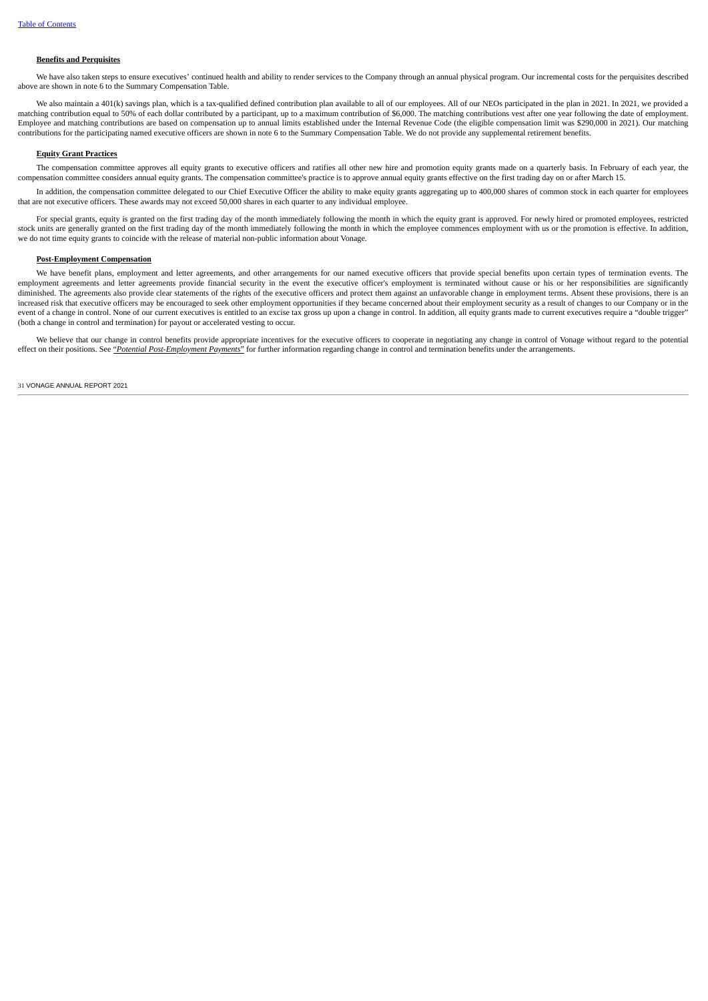# **Benefits and Perquisites**

We have also taken steps to ensure executives' continued health and ability to render services to the Company through an annual physical program. Our incremental costs for the perquisites described above are shown in note 6 to the Summary Compensation Table.

We also maintain a 401(k) savings plan, which is a tax-qualified defined contribution plan available to all of our employees. All of our NEOs participated in the plan in 2021, In 2021, we provided a matching contribution equal to 50% of each dollar contributed by a participant, up to a maximum contribution of \$6,000. The matching contributions vest after one year following the date of employment. Employee and matching contributions are based on compensation up to annual limits established under the Internal Revenue Code (the eligible compensation limit was \$290,000 in 2021). Our matching contributions for the participating named executive officers are shown in note 6 to the Summary Compensation Table. We do not provide any supplemental retirement benefits.

### **Equity Grant Practices**

The compensation committee approves all equity grants to executive officers and ratifies all other new hire and promotion equity grants made on a quarterly basis. In February of each year, the compensation committee considers annual equity grants. The compensation committee's practice is to approve annual equity grants effective on the first trading day on or after March 15.

In addition, the compensation committee delegated to our Chief Executive Officer the ability to make equity grants aggregating up to 400,000 shares of common stock in each quarter for employees that are not executive officers. These awards may not exceed 50,000 shares in each quarter to any individual employee.

For special grants, equity is granted on the first trading day of the month immediately following the month in which the equity grant is approved. For newly hired or promoted employees, restricted stock units are generally granted on the first trading day of the month immediately following the month in which the employee commences employment with us or the promotion is effective. In addition, we do not time equity grants to coincide with the release of material non-public information about Vonage.

### **Post-Employment Compensation**

We have benefit plans, employment and letter agreements, and other arrangements for our named executive officers that provide special benefits upon certain types of termination events. The employment agreements and letter agreements provide financial security in the event the executive officer's employment is terminated without cause or his or her responsibilities are significantly diminished. The agreements also provide clear statements of the rights of the executive officers and protect them against an unfavorable change in employment terms. Absent these provisions, there is an increased risk that executive officers may be encouraged to seek other employment opportunities if they became concerned about their employment security as a result of changes to our Company or in the event of a change in control. None of our current executives is entitled to an excise tax gross up upon a change in control. In addition, all equity grants made to current executives require a "double trigger" (both a change in control and termination) for payout or accelerated vesting to occur.

We believe that our change in control benefits provide appropriate incentives for the executive officers to cooperate in negotiating any change in control of Vonage without regard to the potential effect on their positions. See "*Potential Post-Employment Payments*" for further information regarding change in control and termination benefits under the arrangements.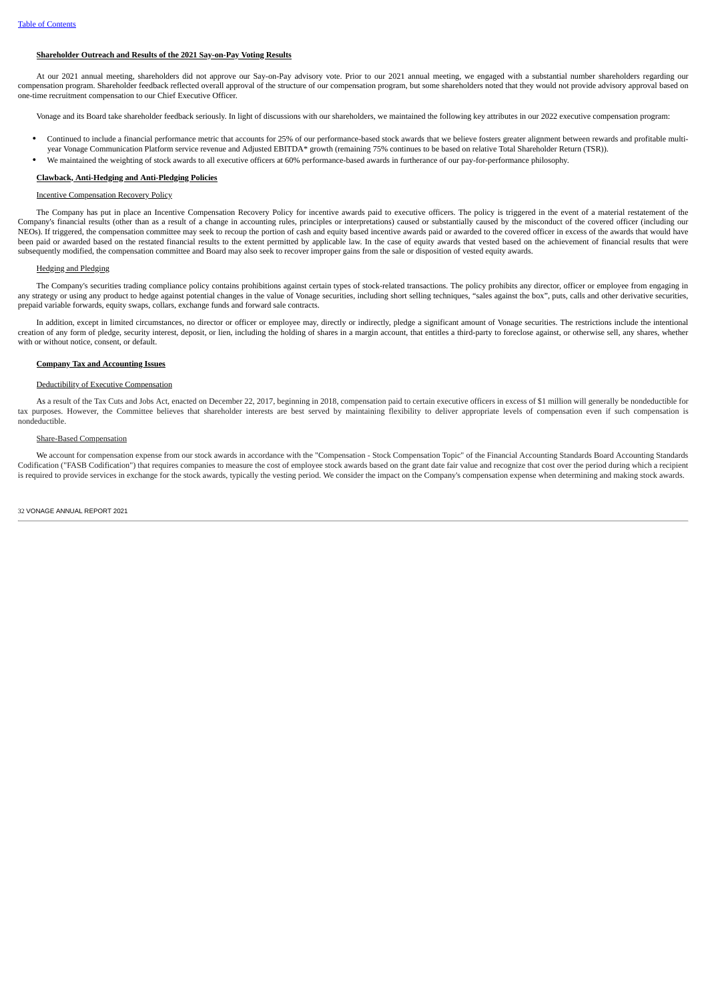### **Shareholder Outreach and Results of the 2021 Say-on-Pay Voting Results**

At our 2021 annual meeting, shareholders did not approve our Say-on-Pay advisory vote. Prior to our 2021 annual meeting, we engaged with a substantial number shareholders regarding our compensation program. Shareholder feedback reflected overall approval of the structure of our compensation program, but some shareholders noted that they would not provide advisory approval based on one-time recruitment compensation to our Chief Executive Officer.

Vonage and its Board take shareholder feedback seriously. In light of discussions with our shareholders, we maintained the following key attributes in our 2022 executive compensation program:

- Continued to include a financial performance metric that accounts for 25% of our performance-based stock awards that we believe fosters greater alignment between rewards and profitable multiyear Vonage Communication Platform service revenue and Adjusted EBITDA\* growth (remaining 75% continues to be based on relative Total Shareholder Return (TSR)).
- We maintained the weighting of stock awards to all executive officers at 60% performance-based awards in furtherance of our pay-for-performance philosophy.

### **Clawback, Anti-Hedging and Anti-Pledging Policies**

# Incentive Compensation Recovery Policy

The Company has put in place an Incentive Compensation Recovery Policy for incentive awards paid to executive officers. The policy is triggered in the event of a material restatement of the Company's financial results (other than as a result of a change in accounting rules, principles or interpretations) caused or substantially caused by the misconduct of the covered officer (including our NEOs). If triggered, the compensation committee may seek to recoup the portion of cash and equity based incentive awards paid or awarded to the covered officer in excess of the awards that would have been paid or awarded based on the restated financial results to the extent permitted by applicable law. In the case of equity awards that vested based on the achievement of financial results that were subsequently modified, the compensation committee and Board may also seek to recover improper gains from the sale or disposition of vested equity awards.

# Hedging and Pledging

The Company's securities trading compliance policy contains prohibitions against certain types of stock-related transactions. The policy prohibits any director, officer or employee from engaging in any strategy or using any product to hedge against potential changes in the value of Vonage securities, including short selling techniques, "sales against the box", puts, calls and other derivative securities, prepaid variable forwards, equity swaps, collars, exchange funds and forward sale contracts.

In addition, except in limited circumstances, no director or officer or employee may, directly or indirectly, pledge a significant amount of Vonage securities. The restrictions include the intentional creation of any form of pledge, security interest, deposit, or lien, including the holding of shares in a margin account, that entitles a third-party to foreclose against, or otherwise sell, any shares, whether with or without notice, consent, or default.

### **Company Tax and Accounting Issues**

# Deductibility of Executive Compensation

As a result of the Tax Cuts and Jobs Act, enacted on December 22, 2017, beginning in 2018, compensation paid to certain executive officers in excess of \$1 million will generally be nondeductible for tax purposes. However, the Committee believes that shareholder interests are best served by maintaining flexibility to deliver appropriate levels of compensation even if such compensation is nondeductible.

### Share-Based Compensation

We account for compensation expense from our stock awards in accordance with the "Compensation - Stock Compensation Topic" of the Financial Accounting Standards Board Accounting Standards Codification ("FASB Codification") that requires companies to measure the cost of employee stock awards based on the grant date fair value and recognize that cost over the period during which a recipient is required to provide services in exchange for the stock awards, typically the vesting period. We consider the impact on the Company's compensation expense when determining and making stock awards.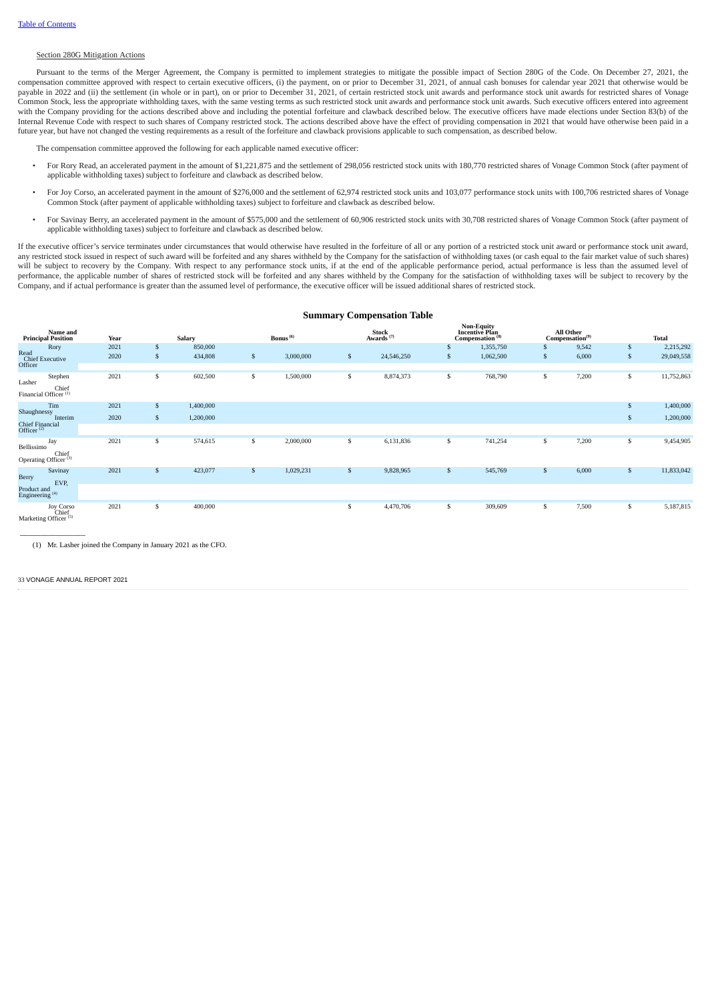### Section 280G Mitigation Actions

Pursuant to the terms of the Merger Agreement, the Company is permitted to implement strategies to mitigate the possible impact of Section 280G of the Code. On December 27, 2021, the compensation committee approved with respect to certain executive officers, (i) the payment, on or prior to December 31, 2021, of annual cash bonuses for calendar year 2021 that otherwise would be payable in 2022 and (ii) the settlement (in whole or in part), on or prior to December 31, 2021, of certain restricted stock unit awards and performance stock unit awards for restricted shares of Vonage Common Stock, less the appropriate withholding taxes, with the same vesting terms as such restricted stock unit awards and performance stock unit awards. Such executive officers entered into agreement with the Company providing for the actions described above and including the potential forfeiture and clawback described below. The executive officers have made elections under Section 83(b) of the Internal Revenue Code with respect to such shares of Company restricted stock. The actions described above have the effect of providing compensation in 2021 that would have otherwise been paid in a future year, but have not changed the vesting requirements as a result of the forfeiture and clawback provisions applicable to such compensation, as described below.

The compensation committee approved the following for each applicable named executive officer:

- For Rory Read, an accelerated payment in the amount of \$1,221,875 and the settlement of 298,056 restricted stock units with 180,770 restricted shares of Vonage Common Stock (after payment of applicable withholding taxes) subject to forfeiture and clawback as described below.
- For Joy Corso, an accelerated payment in the amount of \$276,000 and the settlement of 62,974 restricted stock units and 103,077 performance stock units with 100,706 restricted shares of Vonage Common Stock (after payment of applicable withholding taxes) subject to forfeiture and clawback as described below.
- For Savinay Berry, an accelerated payment in the amount of \$575,000 and the settlement of 60,906 restricted stock units with 30,708 restricted shares of Vonage Common Stock (after payment of applicable withholding taxes) subject to forfeiture and clawback as described below.

If the executive officer's service terminates under circumstances that would otherwise have resulted in the forfeiture of all or any portion of a restricted stock unit award or performance stock unit award, any restricted stock issued in respect of such award will be forfeited and any shares withheld by the Company for the satisfaction of withholding taxes (or cash equal to the fair market value of such shares) will be subject to recovery by the Company. With respect to any performance stock units, if at the end of the applicable performance period, actual performance is less than the assumed level of performance, the applicable number of shares of restricted stock will be forfeited and any shares withheld by the Company for the satisfaction of withholding taxes will be subject to recovery by the Company, and if actual performance is greater than the assumed level of performance, the executive officer will be issued additional shares of restricted stock.

|                                                                | <b>Summary Compensation Table</b> |              |           |              |             |               |                                |              |                                                                           |    |                           |              |              |
|----------------------------------------------------------------|-----------------------------------|--------------|-----------|--------------|-------------|---------------|--------------------------------|--------------|---------------------------------------------------------------------------|----|---------------------------|--------------|--------------|
| Name and<br><b>Principal Position</b>                          | Year                              |              | Salary    |              | Bonus $(6)$ |               | Stock<br>Awards <sup>(7)</sup> |              | <b>Non-Equity</b><br><b>Incentive Plan</b><br>Compensation <sup>(8)</sup> |    | All Other Compensation(9) |              | <b>Total</b> |
| Rory<br>Read                                                   | 2021                              | \$           | 850,000   |              |             |               |                                | S            | 1,355,750                                                                 | S  | 9,542                     | -S           | 2,215,292    |
| <b>Chief Executive</b><br>Officer                              | 2020                              | \$           | 434,808   | $\mathbb{S}$ | 3,000,000   | \$            | 24,546,250                     | $\mathbb{S}$ | 1,062,500                                                                 | \$ | 6,000                     | $\mathbb{S}$ | 29,049,558   |
| Stephen<br>Lasher<br>Chief<br>Financial Officer <sup>(1)</sup> | 2021                              | \$           | 602,500   | \$           | 1,500,000   | \$            | 8,874,373                      | S            | 768,790                                                                   | \$ | 7,200                     | s            | 11,752,863   |
| Tim                                                            | 2021                              | \$           | 1,400,000 |              |             |               |                                |              |                                                                           |    |                           | $\mathbb{S}$ | 1,400,000    |
| Shaughnessy<br>Interim<br><b>Chief Financial</b>               | 2020                              | $\mathbb{S}$ | 1,200,000 |              |             |               |                                |              |                                                                           |    |                           | $\mathbb{S}$ | 1,200,000    |
| Officer $(2)$                                                  |                                   |              |           |              |             |               |                                |              |                                                                           |    |                           |              |              |
| Jay<br>Bellissimo<br>Chief<br>Operating Officer <sup>(3)</sup> | 2021                              | \$           | 574,615   | \$           | 2,000,000   | \$            | 6,131,836                      | S            | 741,254                                                                   | s  | 7,200                     | S            | 9,454,905    |
| Savinay<br>Berry<br>EVP,                                       | 2021                              | $\mathbb{S}$ | 423,077   | $\mathbb{S}$ | 1,029,231   | $\mathfrak s$ | 9,828,965                      | $\mathbb{S}$ | 545,769                                                                   | \$ | 6,000                     | $\mathbb{S}$ | 11,833,042   |
| Product and<br>Engineering <sup>(4)</sup>                      |                                   |              |           |              |             |               |                                |              |                                                                           |    |                           |              |              |
| <b>Joy Corso</b><br>Chief<br>Marketing Officer <sup>(5)</sup>  | 2021                              | \$           | 400,000   |              |             | \$            | 4,470,706                      | S            | 309,609                                                                   | \$ | 7,500                     | S            | 5,187,815    |

 $\overline{\phantom{a}}$  , where  $\overline{\phantom{a}}$ 

(1) Mr. Lasher joined the Company in January 2021 as the CFO.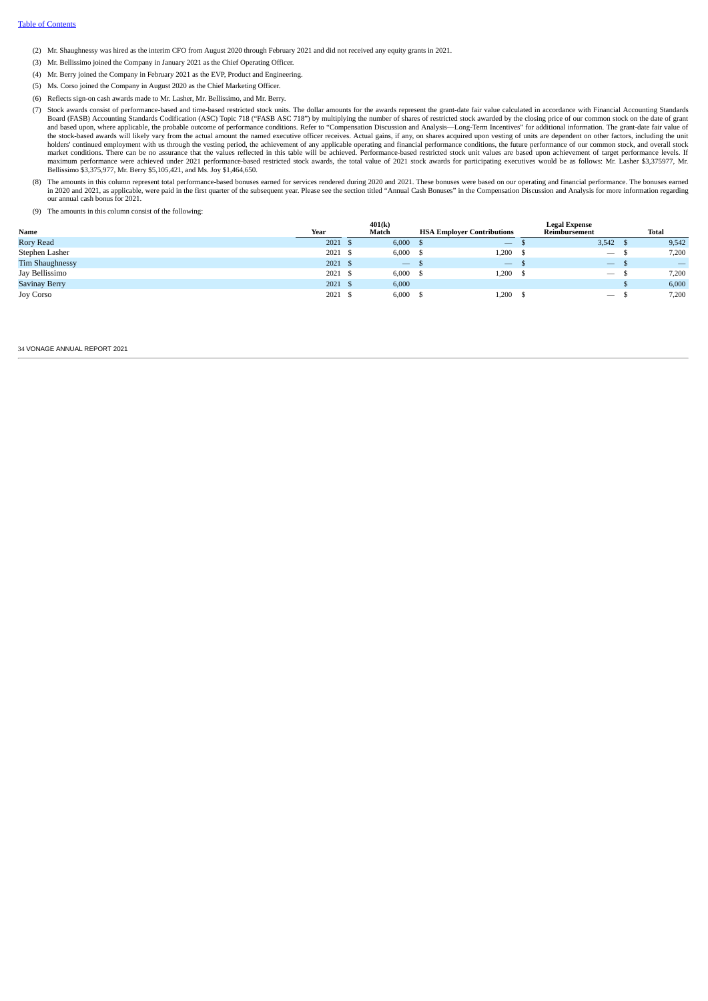- (2) Mr. Shaughnessy was hired as the interim CFO from August 2020 through February 2021 and did not received any equity grants in 2021.
- (3) Mr. Bellissimo joined the Company in January 2021 as the Chief Operating Officer.
- (4) Mr. Berry joined the Company in February 2021 as the EVP, Product and Engineering.
- (5) Ms. Corso joined the Company in August 2020 as the Chief Marketing Officer.
- (6) Reflects sign-on cash awards made to Mr. Lasher, Mr. Bellissimo, and Mr. Berry.
- (7) Stock awards consist of performance-based and time-based restricted stock units. The dollar amounts for the awards represent the grant-date fair value calculated in accordance with Financial Accounting Standards Board (FASB) Accounting Standards Codification (ASC) Topic 718 ("FASB ASC 718") by multiplying the number of shares of restricted stock awarded by the closing price of our common stock on the date of grant<br>and based upon, the stock-based awards will likely vary from the actual amount the named executive officer receives. Actual gains, if any, on shares acquired upon vesting of units are dependent on other factors, including the unit holders' continued employment with us through the vesting period, the achievement of any applicable operating and financial performance conditions, the future performance of our common stock, and overall stock<br>market condi maximum performance were achieved under 2021 performance-based restricted stock awards, the total value of 2021 stock awards for participating executives would be as follows: Mr. Lasher \$3,375977, Mr.<br>Bellissimo \$3,375,977
- (8) The amounts in this column represent total performance-based bonuses earned for services rendered during 2020 and 2021. These bonuses were based on our operating and financial performance. The bonuses earned in 2020 an our annual cash bonus for 2021.
- (9) The amounts in this column consist of the following:

|                  |         | 401(k)                   |                                   | <b>Legal Expense</b>            |      |                 |
|------------------|---------|--------------------------|-----------------------------------|---------------------------------|------|-----------------|
| Name             | Year    | Match                    | <b>HSA Employer Contributions</b> | Reimbursement                   |      | Total           |
| Rory Read        | 2021S   | 6,000                    | $\overline{\phantom{m}}$          | $3,542$ \$                      |      | 9,542           |
| Stephen Lasher   | 2021 \$ | $6,000$ \$               | 1,200                             | $\hspace{0.1mm}-\hspace{0.1mm}$ | - 33 | 7,200           |
| Tim Shaughnessy  | 2021S   | $\overline{\phantom{0}}$ | $\overline{\phantom{a}}$          |                                 | - 35 | $\qquad \qquad$ |
| Jay Bellissimo   | 2021 \$ | $6,000$ \$               | 1,200                             | $\hspace{0.1mm}-\hspace{0.1mm}$ | - 35 | 7,200           |
| Savinay Berry    | 2021S   | 6,000                    |                                   |                                 | а    | 6,000           |
| <b>Joy Corso</b> | 2021S   | $6,000$ \$               | 1,200                             |                                 |      | 7,200           |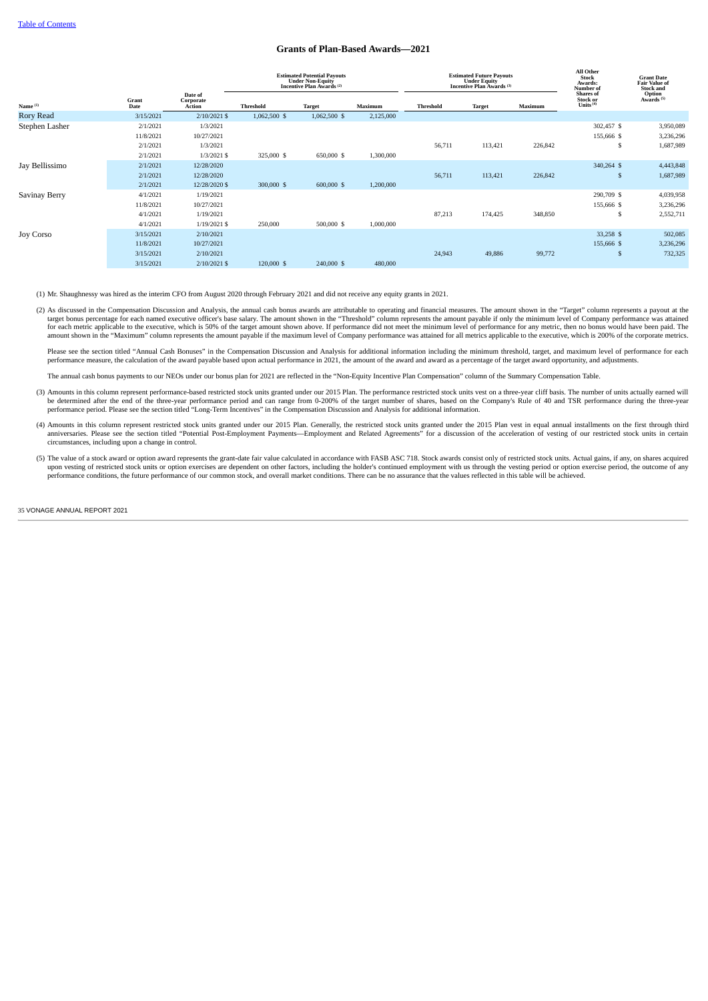# **Grants of Plan-Based Awards—2021**

|                     |                                                  |                                                      | <b>Estimated Potential Payouts</b><br><b>Under Non-Equity</b><br>Incentive Plan Awards <sup>(2)</sup> |                |           |                  | <b>Estimated Future Payouts</b><br><b>Under Equity</b><br>Incentive Plan Awards <sup>(3)</sup> | All Other<br><b>Stock</b><br>Awards:<br>Number of | <b>Grant Date</b><br><b>Fair Value of</b><br><b>Stock and</b> |                                     |
|---------------------|--------------------------------------------------|------------------------------------------------------|-------------------------------------------------------------------------------------------------------|----------------|-----------|------------------|------------------------------------------------------------------------------------------------|---------------------------------------------------|---------------------------------------------------------------|-------------------------------------|
| Name <sup>(1)</sup> | Date of<br>Grant<br>Corporate<br>Action<br>Date  |                                                      |                                                                                                       | <b>Target</b>  | Maximum   | <b>Threshold</b> | <b>Target</b>                                                                                  | Maximum                                           | <b>Shares</b> of<br>Stock or<br>Units <sup>(4)</sup>          | Option<br>Awards <sup>(5)</sup>     |
| Rory Read           | 3/15/2021                                        | 2/10/2021 \$                                         | 1,062,500 \$                                                                                          | $1,062,500$ \$ | 2,125,000 |                  |                                                                                                |                                                   |                                                               |                                     |
| Stephen Lasher      | 2/1/2021<br>11/8/2021<br>2/1/2021<br>2/1/2021    | 1/3/2021<br>10/27/2021<br>1/3/2021<br>1/3/2021 \$    | 325,000 \$                                                                                            | 650,000 \$     | 1,300,000 | 56,711           | 113,421                                                                                        | 226,842                                           | 302,457 \$<br>155,666 \$<br>S                                 | 3,950,089<br>3,236,296<br>1,687,989 |
| Jay Bellissimo      | 2/1/2021<br>2/1/2021<br>2/1/2021                 | 12/28/2020<br>12/28/2020<br>12/28/2020 \$            | 300,000 \$                                                                                            | 600,000 \$     | 1,200,000 | 56,711           | 113,421                                                                                        | 226,842                                           | 340,264 \$<br>S                                               | 4,443,848<br>1,687,989              |
| Savinay Berry       | 4/1/2021<br>11/8/2021<br>4/1/2021<br>4/1/2021    | 1/19/2021<br>10/27/2021<br>1/19/2021<br>1/19/2021 \$ | 250,000                                                                                               | $500,000$ \$   | 1,000,000 | 87,213           | 174,425                                                                                        | 348,850                                           | 290,709 \$<br>155,666 \$<br>S                                 | 4,039,958<br>3,236,296<br>2,552,711 |
| Joy Corso           | 3/15/2021<br>11/8/2021<br>3/15/2021<br>3/15/2021 | 2/10/2021<br>10/27/2021<br>2/10/2021<br>2/10/2021 \$ | 120,000 \$                                                                                            | 240,000 \$     | 480,000   | 24,943           | 49,886                                                                                         | 99,772                                            | 33,258 \$<br>155,666 \$<br>S                                  | 502,085<br>3,236,296<br>732,325     |

(1) Mr. Shaughnessy was hired as the interim CFO from August 2020 through February 2021 and did not receive any equity grants in 2021.

(2) As discussed in the Compensation Discussion and Analysis, the annual cash bonus awards are attributable to operating and financial measures. The amount shown in the "Target" column represents a payout at the trarget bo for each metric applicable to the executive, which is 50% of the target amount shown above. If performance did not meet the minimum level of performance for any metric, then no bonus would have been paid. The<br>amount shown

Please see the section titled "Annual Cash Bonuses" in the Compensation Discussion and Analysis for additional information including the minimum threshold, target, and maximum level of performance for each performance measure, the calculation of the award payable based upon actual performance in 2021, the amount of the award and award as a percentage of the target award opportunity, and adjustments.

The annual cash bonus payments to our NEOs under our bonus plan for 2021 are reflected in the "Non-Equity Incentive Plan Compensation" column of the Summary Compensation Table.

- (3) Amounts in this column represent performance-based restricted stock units granted under our 2015 Plan. The performance restricted stock units vest on a three-year cliff basis. The number of units actually earned will<br>b performance period. Please see the section titled "Long-Term Incentives" in the Compensation Discussion and Analysis for additional information.
- (4) Amounts in this column represent restricted stock units granted under our 2015 Plan. Generally, the restricted stock units granted under the 2015 Plan vest in equal annual installments on the first through third<br>annive circumstances, including upon a change in control.
- (5) The value of a stock award or option award represents the grant-date fair value calculated in accordance with FASB ASC 718. Stock awards consist only of restricted stock units. Actual gains, if any, on shares acquired upon vesting of restricted stock units or option exercises are dependent on other factors, including the holder's continued employment with us through the vesting period or option exercise period, the outcome of any<br>upon v performance conditions, the future performance of our common stock, and overall market conditions. There can be no assurance that the values reflected in this table will be achieved.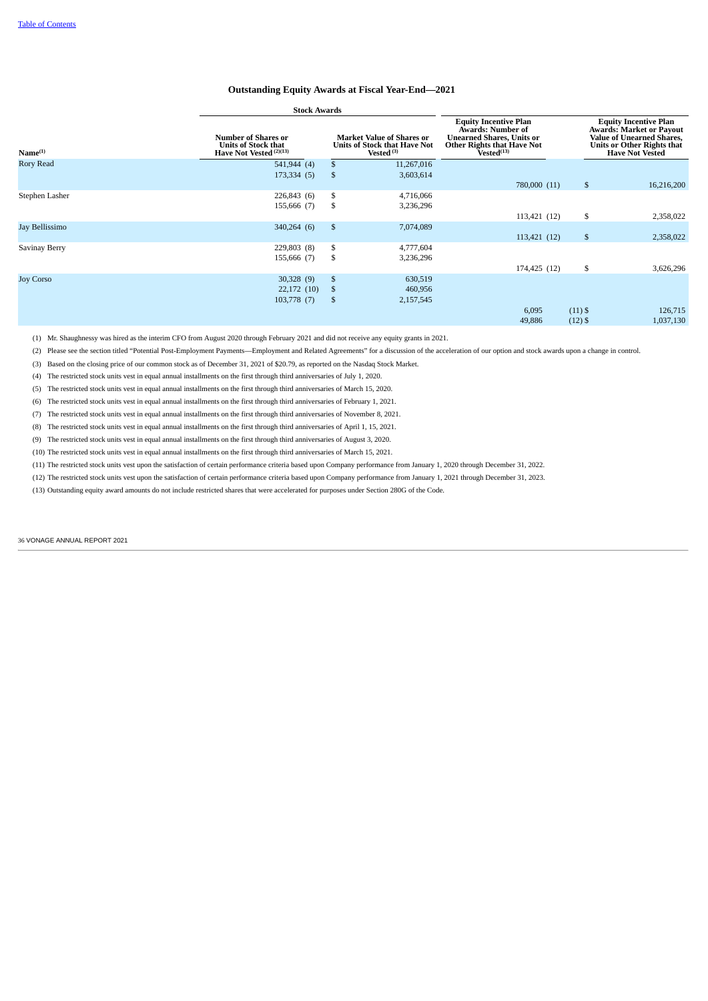# **Outstanding Equity Awards at Fiscal Year-End—2021**

|                     | <b>Stock Awards</b>                                                                            |              |                                                                                         |                                                                                                                                                        |           |                                                                                                                                                      |
|---------------------|------------------------------------------------------------------------------------------------|--------------|-----------------------------------------------------------------------------------------|--------------------------------------------------------------------------------------------------------------------------------------------------------|-----------|------------------------------------------------------------------------------------------------------------------------------------------------------|
| Name <sup>(1)</sup> | <b>Number of Shares or</b><br><b>Units of Stock that</b><br>Have Not Vested <sup>(2)(13)</sup> |              | <b>Market Value of Shares or</b><br><b>Units of Stock that Have Not</b><br>Vested $(3)$ | <b>Equity Incentive Plan</b><br><b>Awards: Number of</b><br><b>Unearned Shares, Units or</b><br>Other Rights that Have Not<br>$Vested$ <sup>(13)</sup> |           | <b>Equity Incentive Plan</b><br>Awards: Market or Payout<br><b>Value of Unearned Shares,</b><br>Units or Other Rights that<br><b>Have Not Vested</b> |
| Rory Read           | 541,944 (4)                                                                                    | $\mathbb{S}$ | 11,267,016                                                                              |                                                                                                                                                        |           |                                                                                                                                                      |
|                     | 173,334 (5)                                                                                    | \$           | 3,603,614                                                                               |                                                                                                                                                        |           |                                                                                                                                                      |
|                     |                                                                                                |              |                                                                                         | 780,000 (11)                                                                                                                                           | \$        | 16,216,200                                                                                                                                           |
| Stephen Lasher      | 226,843 (6)                                                                                    | \$           | 4,716,066                                                                               |                                                                                                                                                        |           |                                                                                                                                                      |
|                     | 155,666 (7)                                                                                    | \$           | 3,236,296                                                                               |                                                                                                                                                        |           |                                                                                                                                                      |
|                     |                                                                                                |              |                                                                                         | 113,421 (12)                                                                                                                                           | \$        | 2,358,022                                                                                                                                            |
| Jay Bellissimo      | 340,264 (6)                                                                                    | \$           | 7,074,089                                                                               |                                                                                                                                                        |           |                                                                                                                                                      |
|                     |                                                                                                |              |                                                                                         | 113,421 (12)                                                                                                                                           | \$        | 2,358,022                                                                                                                                            |
| Savinay Berry       | 229,803 (8)                                                                                    | \$           | 4,777,604                                                                               |                                                                                                                                                        |           |                                                                                                                                                      |
|                     | 155,666 (7)                                                                                    | \$           | 3,236,296                                                                               |                                                                                                                                                        |           |                                                                                                                                                      |
|                     |                                                                                                |              |                                                                                         | 174,425 (12)                                                                                                                                           | \$        | 3,626,296                                                                                                                                            |
| <b>Joy Corso</b>    | 30,328(9)                                                                                      | \$           | 630,519                                                                                 |                                                                                                                                                        |           |                                                                                                                                                      |
|                     | 22,172 (10)                                                                                    | \$           | 460,956                                                                                 |                                                                                                                                                        |           |                                                                                                                                                      |
|                     | 103,778 (7)                                                                                    | \$           | 2,157,545                                                                               |                                                                                                                                                        |           |                                                                                                                                                      |
|                     |                                                                                                |              |                                                                                         | 6,095                                                                                                                                                  | $(11)$ \$ | 126,715                                                                                                                                              |
|                     |                                                                                                |              |                                                                                         | 49,886                                                                                                                                                 | $(12)$ \$ | 1,037,130                                                                                                                                            |

(1) Mr. Shaughnessy was hired as the interim CFO from August 2020 through February 2021 and did not receive any equity grants in 2021.

(2) Please see the section titled "Potential Post-Employment Payments—Employment and Related Agreements" for a discussion of the acceleration of our option and stock awards upon a change in control.

(3) Based on the closing price of our common stock as of December 31, 2021 of \$20.79, as reported on the Nasdaq Stock Market.

(4) The restricted stock units vest in equal annual installments on the first through third anniversaries of July 1, 2020.

(5) The restricted stock units vest in equal annual installments on the first through third anniversaries of March 15, 2020.

(6) The restricted stock units vest in equal annual installments on the first through third anniversaries of February 1, 2021.

(7) The restricted stock units vest in equal annual installments on the first through third anniversaries of November 8, 2021.

(8) The restricted stock units vest in equal annual installments on the first through third anniversaries of April 1, 15, 2021.

(9) The restricted stock units vest in equal annual installments on the first through third anniversaries of August 3, 2020.

(10) The restricted stock units vest in equal annual installments on the first through third anniversaries of March 15, 2021.

(11) The restricted stock units vest upon the satisfaction of certain performance criteria based upon Company performance from January 1, 2020 through December 31, 2022.

(12) The restricted stock units vest upon the satisfaction of certain performance criteria based upon Company performance from January 1, 2021 through December 31, 2023.

(13) Outstanding equity award amounts do not include restricted shares that were accelerated for purposes under Section 280G of the Code.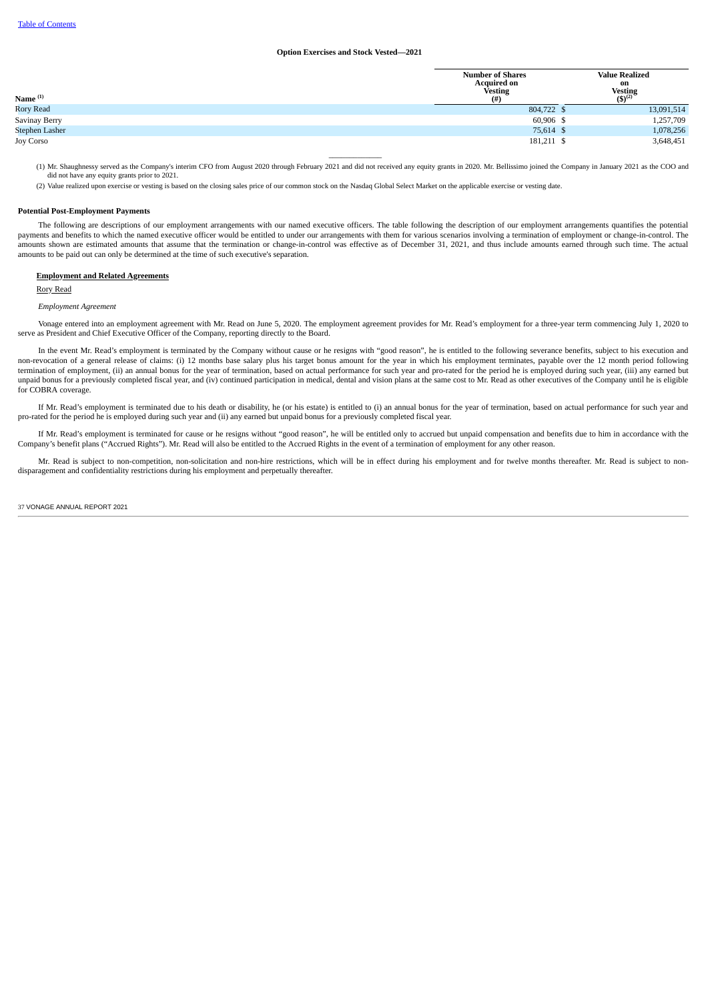# **Option Exercises and Stock Vested—2021**

| Name $(1)$       | <b>Number of Shares</b><br><b>Acquired on</b><br><b>Vesting</b><br>(# ) | <b>Value Realized</b><br>on<br>Vesting<br>$(3)^{(2)}$ |
|------------------|-------------------------------------------------------------------------|-------------------------------------------------------|
| <b>Rory Read</b> | 804,722 \$                                                              | 13,091,514                                            |
| Savinay Berry    | 60,906 \$                                                               | 1,257,709                                             |
| Stephen Lasher   | 75,614 \$                                                               | 1,078,256                                             |
| Joy Corso        | 181,211 \$                                                              | 3,648,451                                             |

 $\overline{\phantom{a}}$ (1) Mr. Shaughnessy served as the Company's interim CFO from August 2020 through February 2021 and did not received any equity grants in 2020. Mr. Bellissimo joined the Company in January 2021 as the COO and did not have any equity grants prior to 2021.

(2) Value realized upon exercise or vesting is based on the closing sales price of our common stock on the Nasdaq Global Select Market on the applicable exercise or vesting date.

### **Potential Post-Employment Payments**

The following are descriptions of our employment arrangements with our named executive officers. The table following the description of our employment arrangements quantifies the potential payments and benefits to which the named executive officer would be entitled to under our arrangements with them for various scenarios involving a termination of employment or change-in-control. The amounts shown are estimated amounts that assume that the termination or change-in-control was effective as of December 31, 2021, and thus include amounts earned through such time. The actual amounts to be paid out can only be determined at the time of such executive's separation.

# **Employment and Related Agreements**

Rory Read

# *Employment Agreement*

Vonage entered into an employment agreement with Mr. Read on June 5, 2020. The employment agreement provides for Mr. Read's employment for a three-year term commencing July 1, 2020 to serve as President and Chief Executive Officer of the Company, reporting directly to the Board.

In the event Mr. Read's employment is terminated by the Company without cause or he resigns with "good reason", he is entitled to the following severance benefits, subject to his execution and non-revocation of a general release of claims: (i) 12 months base salary plus his target bonus amount for the year in which his employment terminates, payable over the 12 month period following termination of employment, (ii) an annual bonus for the year of termination, based on actual performance for such year and pro-rated for the period he is employed during such year, (iii) any earned but unpaid bonus for a previously completed fiscal year, and (iv) continued participation in medical, dental and vision plans at the same cost to Mr. Read as other executives of the Company until he is eligible for COBRA coverage.

If Mr. Read's employment is terminated due to his death or disability, he (or his estate) is entitled to (i) an annual bonus for the year of termination, based on actual performance for such year and pro-rated for the period he is employed during such year and (ii) any earned but unpaid bonus for a previously completed fiscal year.

If Mr. Read's employment is terminated for cause or he resigns without "good reason", he will be entitled only to accrued but unpaid compensation and benefits due to him in accordance with the Company's benefit plans ("Accrued Rights"). Mr. Read will also be entitled to the Accrued Rights in the event of a termination of employment for any other reason.

Mr. Read is subject to non-competition, non-solicitation and non-hire restrictions, which will be in effect during his employment and for twelve months thereafter. Mr. Read is subject to nondisparagement and confidentiality restrictions during his employment and perpetually thereafter.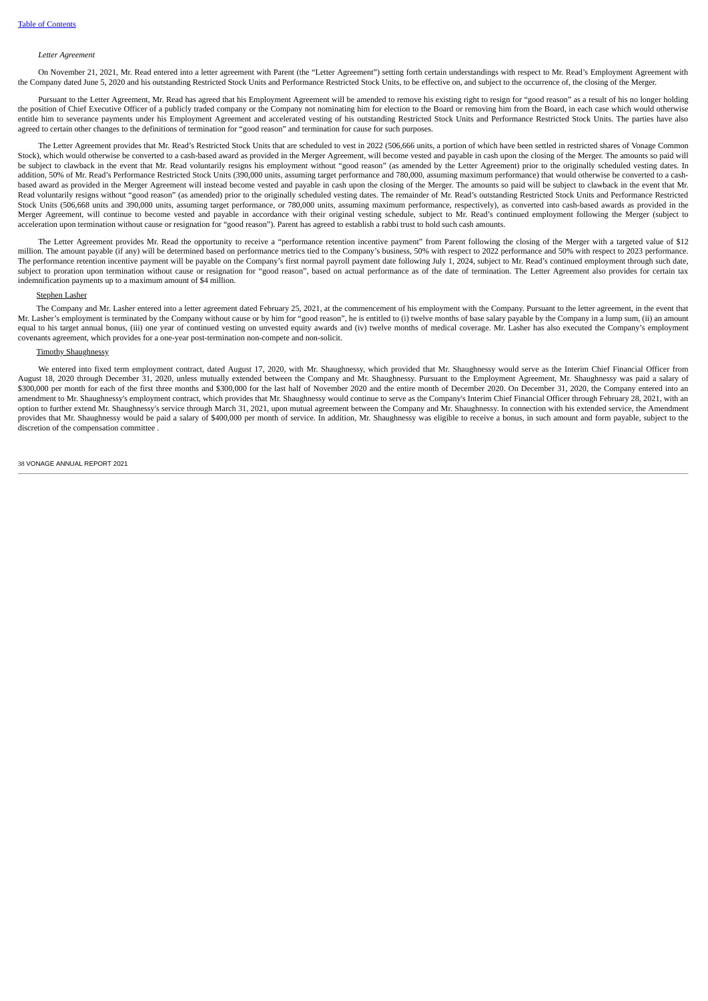### *Letter Agreement*

On November 21, 2021, Mr. Read entered into a letter agreement with Parent (the "Letter Agreement") setting forth certain understandings with respect to Mr. Read's Employment Agreement with the Company dated June 5, 2020 and his outstanding Restricted Stock Units and Performance Restricted Stock Units, to be effective on, and subject to the occurrence of, the closing of the Merger.

Pursuant to the Letter Agreement, Mr. Read has agreed that his Employment Agreement will be amended to remove his existing right to resign for "good reason" as a result of his no longer holding the position of Chief Executive Officer of a publicly traded company or the Company not nominating him for election to the Board or removing him from the Board, in each case which would otherwise entitle him to severance payments under his Employment Agreement and accelerated vesting of his outstanding Restricted Stock Units and Performance Restricted Stock Units. The parties have also agreed to certain other changes to the definitions of termination for "good reason" and termination for cause for such purposes.

The Letter Agreement provides that Mr. Read's Restricted Stock Units that are scheduled to vest in 2022 (506,666 units, a portion of which have been settled in restricted shares of Vonage Common Stock), which would otherwise be converted to a cash-based award as provided in the Merger Agreement, will become vested and payable in cash upon the closing of the Merger. The amounts so paid will be subject to clawback in the event that Mr. Read voluntarily resigns his employment without "good reason" (as amended by the Letter Agreement) prior to the originally scheduled vesting dates. In addition, 50% of Mr. Read's Performance Restricted Stock Units (390,000 units, assuming target performance and 780,000, assuming maximum performance) that would otherwise be converted to a cashbased award as provided in the Merger Agreement will instead become vested and payable in cash upon the closing of the Merger. The amounts so paid will be subject to clawback in the event that Mr. Read voluntarily resigns without "good reason" (as amended) prior to the originally scheduled vesting dates. The remainder of Mr. Read's outstanding Restricted Stock Units and Performance Restricted Stock Units (506,668 units and 390,000 units, assuming target performance, or 780,000 units, assuming maximum performance, respectively), as converted into cash-based awards as provided in the Merger Agreement, will continue to become vested and payable in accordance with their original vesting schedule, subject to Mr. Read's continued employment following the Merger (subject to acceleration upon termination without cause or resignation for "good reason"). Parent has agreed to establish a rabbi trust to hold such cash amounts.

The Letter Agreement provides Mr. Read the opportunity to receive a "performance retention incentive payment" from Parent following the closing of the Merger with a targeted value of \$12 million. The amount payable (if any) will be determined based on performance metrics tied to the Company's business, 50% with respect to 2022 performance and 50% with respect to 2023 performance. The performance retention incentive payment will be payable on the Company's first normal payroll payment date following July 1, 2024, subject to Mr. Read's continued employment through such date, subject to proration upon termination without cause or resignation for "good reason", based on actual performance as of the date of termination. The Letter Agreement also provides for certain tax indemnification payments up to a maximum amount of \$4 million.

### Stephen Lasher

The Company and Mr. Lasher entered into a letter agreement dated February 25, 2021, at the commencement of his employment with the Company. Pursuant to the letter agreement, in the event that Mr. Lasher's employment is terminated by the Company without cause or by him for "good reason", he is entitled to (i) twelve months of base salary payable by the Company in a lump sum, (ii) an amount equal to his target annual bonus, (iii) one year of continued vesting on unvested equity awards and (iv) twelve months of medical coverage. Mr. Lasher has also executed the Company's employment covenants agreement, which provides for a one-year post-termination non-compete and non-solicit.

### Timothy Shaughnessy

We entered into fixed term employment contract, dated August 17, 2020, with Mr. Shaughnessy, which provided that Mr. Shaughnessy would serve as the Interim Chief Financial Officer from August 18, 2020 through December 31, 2020, unless mutually extended between the Company and Mr. Shaughnessy. Pursuant to the Employment Agreement, Mr. Shaughnessy was paid a salary of \$300,000 per month for each of the first three months and \$300,000 for the last half of November 2020 and the entire month of December 2020. On December 31, 2020, the Company entered into an amendment to Mr. Shaughnessy's employment contract, which provides that Mr. Shaughnessy would continue to serve as the Company's Interim Chief Financial Officer through February 28, 2021, with an option to further extend Mr. Shaughnessy's service through March 31, 2021, upon mutual agreement between the Company and Mr. Shaughnessy. In connection with his extended service, the Amendment provides that Mr. Shaughnessy would be paid a salary of \$400,000 per month of service. In addition, Mr. Shaughnessy was eligible to receive a bonus, in such amount and form payable, subject to the discretion of the compensation committee .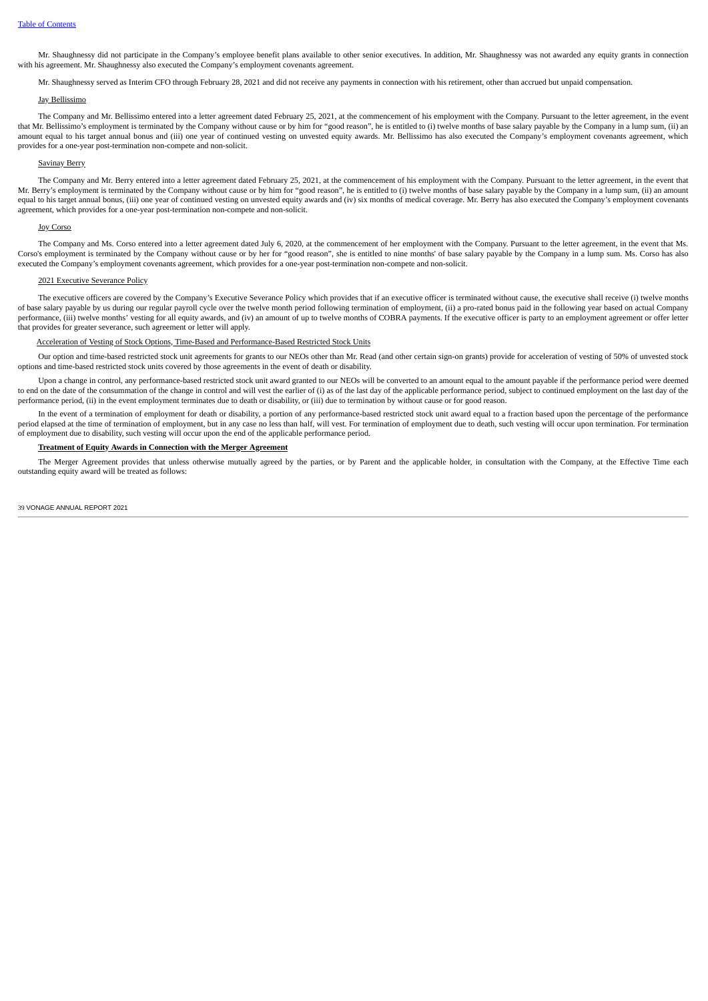Mr. Shaughnessy did not participate in the Company's employee benefit plans available to other senior executives. In addition, Mr. Shaughnessy was not awarded any equity grants in connection with his agreement. Mr. Shaughnessy also executed the Company's employment covenants agreement.

Mr. Shaughnessy served as Interim CFO through February 28, 2021 and did not receive any payments in connection with his retirement, other than accrued but unpaid compensation.

# Jay Bellissimo

The Company and Mr. Bellissimo entered into a letter agreement dated February 25, 2021, at the commencement of his employment with the Company. Pursuant to the letter agreement, in the event that Mr. Bellissimo's employment is terminated by the Company without cause or by him for "good reason", he is entitled to (i) twelve months of base salary payable by the Company in a lump sum, (ii) an amount equal to his target annual bonus and (iii) one year of continued vesting on unvested equity awards. Mr. Bellissimo has also executed the Company's employment covenants agreement, which provides for a one-year post-termination non-compete and non-solicit.

# Savinay Berry

The Company and Mr. Berry entered into a letter agreement dated February 25, 2021, at the commencement of his employment with the Company. Pursuant to the letter agreement, in the event that Mr. Berry's employment is terminated by the Company without cause or by him for "good reason", he is entitled to (i) twelve months of base salary payable by the Company in a lump sum, (ii) an amount equal to his target annual bonus, (iii) one year of continued vesting on unvested equity awards and (iv) six months of medical coverage. Mr. Berry has also executed the Company's employment covenants agreement, which provides for a one-year post-termination non-compete and non-solicit.

### Joy Corso

The Company and Ms. Corso entered into a letter agreement dated July 6, 2020, at the commencement of her employment with the Company. Pursuant to the letter agreement, in the event that Ms. Corso's employment is terminated by the Company without cause or by her for "good reason", she is entitled to nine months' of base salary payable by the Company in a lump sum. Ms. Corso has also executed the Company's employment covenants agreement, which provides for a one-year post-termination non-compete and non-solicit.

### 2021 Executive Severance Policy

The executive officers are covered by the Company's Executive Severance Policy which provides that if an executive officer is terminated without cause, the executive shall receive (i) twelve months of base salary payable by us during our regular payroll cycle over the twelve month period following termination of employment, (ii) a pro-rated bonus paid in the following year based on actual Company performance, (iii) twelve months' vesting for all equity awards, and (iv) an amount of up to twelve months of COBRA payments. If the executive officer is party to an employment agreement or offer letter that provides for greater severance, such agreement or letter will apply.

### Acceleration of Vesting of Stock Options, Time-Based and Performance-Based Restricted Stock Units

Our option and time-based restricted stock unit agreements for grants to our NEOs other than Mr. Read (and other certain sign-on grants) provide for acceleration of vesting of 50% of unvested stock options and time-based restricted stock units covered by those agreements in the event of death or disability.

Upon a change in control, any performance-based restricted stock unit award granted to our NEOs will be converted to an amount equal to the amount payable if the performance period were deemed to end on the date of the consummation of the change in control and will vest the earlier of (i) as of the last day of the applicable performance period, subject to continued employment on the last day of the performance period, (ii) in the event employment terminates due to death or disability, or (iii) due to termination by without cause or for good reason.

In the event of a termination of employment for death or disability, a portion of any performance-based restricted stock unit award equal to a fraction based upon the percentage of the performance period elapsed at the time of termination of employment, but in any case no less than half, will vest. For termination of employment due to death, such vesting will occur upon termination. For termination of employment due to disability, such vesting will occur upon the end of the applicable performance period.

### **Treatment of Equity Awards in Connection with the Merger Agreement**

The Merger Agreement provides that unless otherwise mutually agreed by the parties, or by Parent and the applicable holder, in consultation with the Company, at the Effective Time each outstanding equity award will be treated as follows: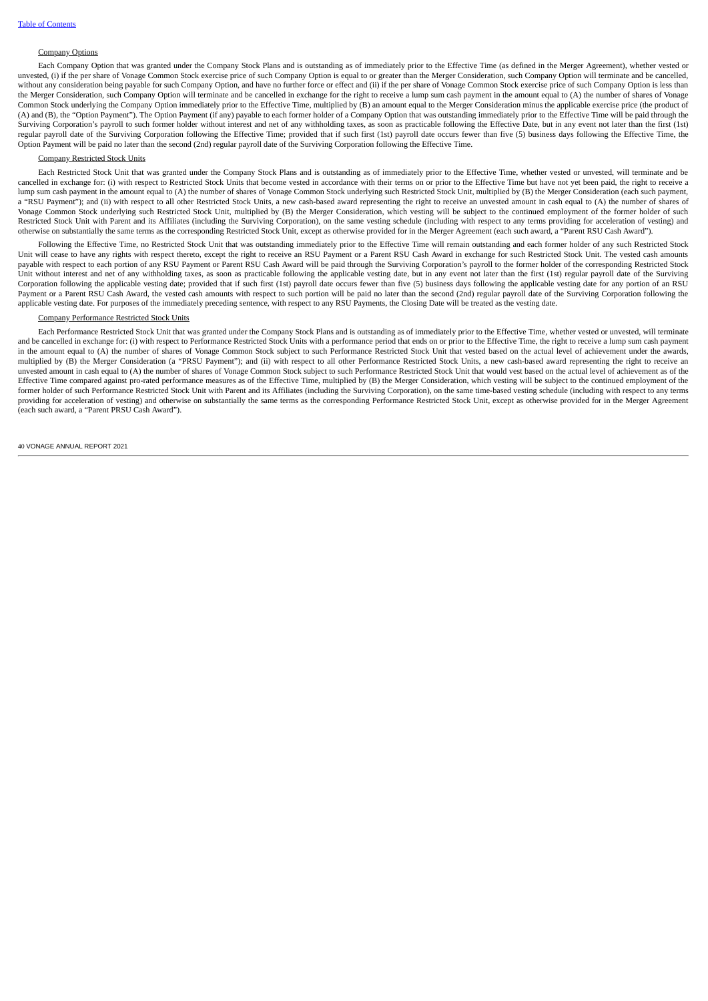### **Company Options**

Each Company Option that was granted under the Company Stock Plans and is outstanding as of immediately prior to the Effective Time (as defined in the Merger Agreement), whether vested or unvested, (i) if the per share of Vonage Common Stock exercise price of such Company Option is equal to or greater than the Merger Consideration, such Company Option will terminate and be cancelled, without any consideration being payable for such Company Option, and have no further force or effect and (ii) if the per share of Vonage Common Stock exercise price of such Company Option is less than the Merger Consideration, such Company Option will terminate and be cancelled in exchange for the right to receive a lump sum cash payment in the amount equal to (A) the number of shares of Vonage Common Stock underlying the Company Option immediately prior to the Effective Time, multiplied by (B) an amount equal to the Merger Consideration minus the applicable exercise price (the product of (A) and (B), the "Option Payment"). The Option Payment (if any) payable to each former holder of a Company Option that was outstanding immediately prior to the Effective Time will be paid through the Surviving Corporation's payroll to such former holder without interest and net of any withholding taxes, as soon as practicable following the Effective Date, but in any event not later than the first (1st) regular payroll date of the Surviving Corporation following the Effective Time; provided that if such first (1st) payroll date occurs fewer than five (5) business days following the Effective Time, the Option Payment will be paid no later than the second (2nd) regular payroll date of the Surviving Corporation following the Effective Time.

# nnany Restricted Stock Units

Each Restricted Stock Unit that was granted under the Company Stock Plans and is outstanding as of immediately prior to the Effective Time, whether vested or unvested, will terminate and be cancelled in exchange for: (i) with respect to Restricted Stock Units that become vested in accordance with their terms on or prior to the Effective Time but have not yet been paid, the right to receive a lump sum cash payment in the amount equal to (A) the number of shares of Vonage Common Stock underlying such Restricted Stock Unit, multiplied by (B) the Merger Consideration (each such payment, a "RSU Payment"); and (ii) with respect to all other Restricted Stock Units, a new cash-based award representing the right to receive an unvested amount in cash equal to (A) the number of shares of Vonage Common Stock underlying such Restricted Stock Unit, multiplied by (B) the Merger Consideration, which vesting will be subject to the continued employment of the former holder of such Restricted Stock Unit with Parent and its Affiliates (including the Surviving Corporation), on the same vesting schedule (including with respect to any terms providing for acceleration of vesting) and Restricted Stock Unit otherwise on substantially the same terms as the corresponding Restricted Stock Unit, except as otherwise provided for in the Merger Agreement (each such award, a "Parent RSU Cash Award").

Following the Effective Time, no Restricted Stock Unit that was outstanding immediately prior to the Effective Time will remain outstanding and each former holder of any such Restricted Stock Unit will cease to have any rights with respect thereto, except the right to receive an RSU Payment or a Parent RSU Cash Award in exchange for such Restricted Stock Unit. The vested cash amounts payable with respect to each portion of any RSU Payment or Parent RSU Cash Award will be paid through the Surviving Corporation's payroll to the former holder of the corresponding Restricted Stock Unit without interest and net of any withholding taxes, as soon as practicable following the applicable vesting date, but in any event not later than the first (1st) regular payroll date of the Surviving Corporation following the applicable vesting date; provided that if such first (1st) payroll date occurs fewer than five (5) business days following the applicable vesting date for any portion of an RSU Payment or a Parent RSU Cash Award, the vested cash amounts with respect to such portion will be paid no later than the second (2nd) regular payroll date of the Surviving Corporation following the applicable vesting date. For purposes of the immediately preceding sentence, with respect to any RSU Payments, the Closing Date will be treated as the vesting date.

# Company Performance Restricted Stock Units

Each Performance Restricted Stock Unit that was granted under the Company Stock Plans and is outstanding as of immediately prior to the Effective Time, whether vested or unvested, will terminate and be cancelled in exchange for: (i) with respect to Performance Restricted Stock Units with a performance period that ends on or prior to the Effective Time, the right to receive a lump sum cash payment in the amount equal to (A) the number of shares of Vonage Common Stock subject to such Performance Restricted Stock Unit that vested based on the actual level of achievement under the awards. multiplied by (B) the Merger Consideration (a "PRSU Payment"); and (ii) with respect to all other Performance Restricted Stock Units, a new cash-based award representing the right to receive an unvested amount in cash equal to (A) the number of shares of Vonage Common Stock subject to such Performance Restricted Stock Unit that would vest based on the actual level of achievement as of the Effective Time compared against pro-rated performance measures as of the Effective Time, multiplied by (B) the Merger Consideration, which vesting will be subject to the continued employment of the former holder of such Performance Restricted Stock Unit with Parent and its Affiliates (including the Surviving Corporation), on the same time-based vesting schedule (including with respect to any terms providing for acceleration of vesting) and otherwise on substantially the same terms as the corresponding Performance Restricted Stock Unit, except as otherwise provided for in the Merger Agreement (each such award, a "Parent PRSU Cash Award").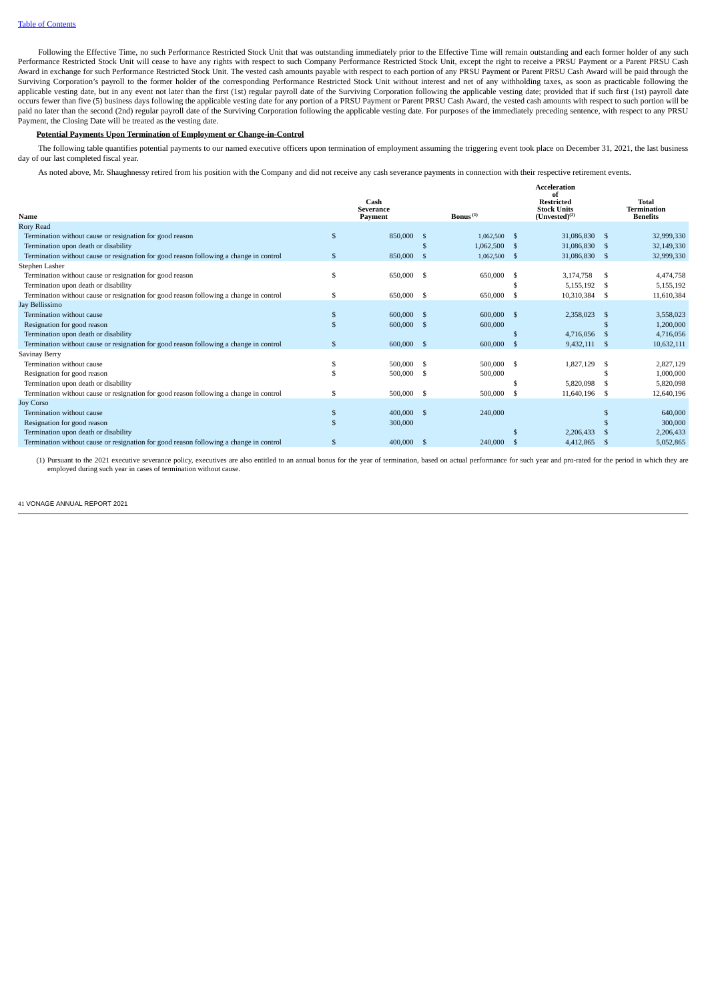Following the Effective Time, no such Performance Restricted Stock Unit that was outstanding immediately prior to the Effective Time will remain outstanding and each former holder of any such Performance Restricted Stock Unit will cease to have any rights with respect to such Company Performance Restricted Stock Unit, except the right to receive a PRSU Payment or a Parent PRSU Cash Award in exchange for such Performance Restricted Stock Unit. The vested cash amounts payable with respect to each portion of any PRSU Payment or Parent PRSU Cash Award will be paid through the Surviving Corporation's payroll to the former holder of the corresponding Performance Restricted Stock Unit without interest and net of any withholding taxes, as soon as practicable following the applicable vesting date, but in any event not later than the first (1st) regular payroll date of the Surviving Corporation following the applicable vesting date; provided that if such first (1st) payroll date occurs fewer than five (5) business days following the applicable vesting date for any portion of a PRSU Payment or Parent PRSU Cash Award, the vested cash amounts with respect to such portion will be paid no later than the second (2nd) regular payroll date of the Surviving Corporation following the applicable vesting date. For purposes of the immediately preceding sentence, with respect to any PRSU Payment, the Closing Date will be treated as the vesting date.

# **Potential Payments Upon Termination of Employment or Change-in-Control**

The following table quantifies potential payments to our named executive officers upon termination of employment assuming the triggering event took place on December 31, 2021, the last business day of our last completed fiscal year.

**Acceleration**

As noted above, Mr. Shaughnessy retired from his position with the Company and did not receive any cash severance payments in connection with their respective retirement events.

|                                                                                        |               | Cash                        |              |             |    | Acceleration<br>of<br><b>Restricted</b>  |      | <b>Total</b>                   |  |
|----------------------------------------------------------------------------------------|---------------|-----------------------------|--------------|-------------|----|------------------------------------------|------|--------------------------------|--|
| Name                                                                                   |               | <b>Severance</b><br>Payment |              | Bonus $(1)$ |    | <b>Stock Units</b><br>$(Unvested)^{(2)}$ |      | Termination<br><b>Benefits</b> |  |
| <b>Rory Read</b>                                                                       |               |                             |              |             |    |                                          |      |                                |  |
| Termination without cause or resignation for good reason                               | S             | 850,000                     | -S           | 1.062.500   | -S | 31,086,830                               | - \$ | 32,999,330                     |  |
| Termination upon death or disability                                                   |               |                             |              | 1.062.500   | -S | 31,086,830                               | - \$ | 32,149,330                     |  |
| Termination without cause or resignation for good reason following a change in control | \$            | 850,000                     | -S           | 1,062,500   | -S | 31,086,830                               | - \$ | 32,999,330                     |  |
| Stephen Lasher                                                                         |               |                             |              |             |    |                                          |      |                                |  |
| Termination without cause or resignation for good reason                               | S             | 650,000                     | -S           | 650,000     | -S | 3.174.758                                | -S   | 4,474,758                      |  |
| Termination upon death or disability                                                   |               |                             |              |             | S  | 5,155,192                                | -S   | 5,155,192                      |  |
| Termination without cause or resignation for good reason following a change in control | \$            | 650,000                     | - \$         | 650,000     | -S | 10,310,384                               | -S   | 11,610,384                     |  |
| Jay Bellissimo                                                                         |               |                             |              |             |    |                                          |      |                                |  |
| Termination without cause                                                              | \$.           | 600,000                     | -S           | 600,000     | -S | 2,358,023                                | -S   | 3,558,023                      |  |
| Resignation for good reason                                                            | $\mathcal{S}$ | 600,000                     | -S           | 600,000     |    |                                          |      | 1,200,000                      |  |
| Termination upon death or disability                                                   |               |                             |              |             | \$ | 4.716.056                                | -S   | 4,716,056                      |  |
| Termination without cause or resignation for good reason following a change in control | \$            | 600,000 \$                  |              | 600,000     | -S | 9,432,111                                | - \$ | 10,632,111                     |  |
| Savinay Berry                                                                          |               |                             |              |             |    |                                          |      |                                |  |
| Termination without cause                                                              | \$.           | 500,000                     | -S           | 500,000     | -S | 1,827,129                                | -S   | 2,827,129                      |  |
| Resignation for good reason                                                            | \$.           | 500,000                     | S            | 500,000     |    |                                          | S    | 1,000,000                      |  |
| Termination upon death or disability                                                   |               |                             |              |             | \$ | 5,820,098                                |      | 5,820,098                      |  |
| Termination without cause or resignation for good reason following a change in control | \$.           | 500,000                     | -S           | 500,000     | -S | 11,640,196                               | - \$ | 12,640,196                     |  |
| <b>Joy Corso</b>                                                                       |               |                             |              |             |    |                                          |      |                                |  |
| Termination without cause                                                              | $\mathcal{S}$ | 400,000                     | $\mathbf{s}$ | 240,000     |    |                                          | \$   | 640,000                        |  |
| Resignation for good reason                                                            | \$.           | 300,000                     |              |             |    |                                          |      | 300,000                        |  |
| Termination upon death or disability                                                   |               |                             |              |             |    | 2,206,433                                |      | 2,206,433                      |  |
| Termination without cause or resignation for good reason following a change in control | $\mathcal{S}$ | 400,000 \$                  |              | 240,000     | -S | 4,412,865                                | -S   | 5,052,865                      |  |

(1) Pursuant to the 2021 executive severance policy, executives are also entitled to an annual bonus for the year of termination, based on actual performance for such year and pro-rated for the period in which they are employed during such year in cases of termination without cause.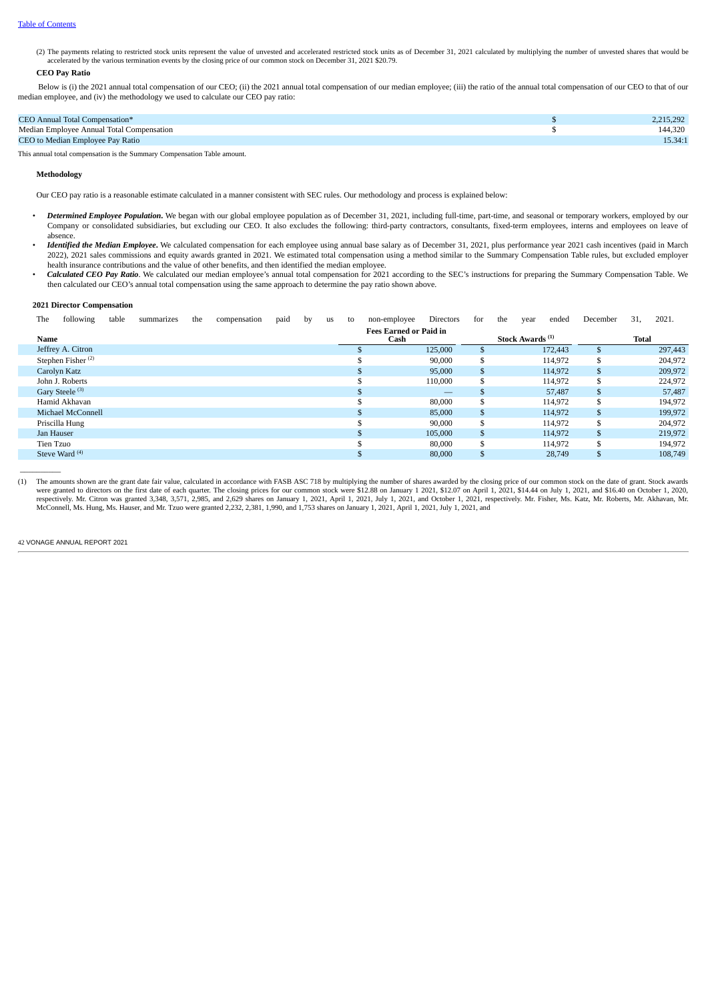(2) The payments relating to restricted stock units represent the value of unvested and accelerated restricted stock units as of December 31, 2021 calculated by multiplying the number of unvested shares that would be accelerated by the various termination events by the closing price of our common stock on December 31, 2021 \$20.79.

### **CEO Pay Ratio**

Below is (i) the 2021 annual total compensation of our CEO; (ii) the 2021 annual total compensation of our median employee; (iii) the ratio of the annual total compensation of our CEO to that of our median employee, and (iv) the methodology we used to calculate our CEO pay ratio:

| CEO Annual Total Compensation*            | 2,215,292 |
|-------------------------------------------|-----------|
| Median Employee Annual Total Compensation | 144,320   |
| CEO to Median Employee Pay Ratio          | 15.34:1   |
|                                           |           |

This annual total compensation is the Summary Compensation Table amount.

### **Methodology**

Our CEO pay ratio is a reasonable estimate calculated in a manner consistent with SEC rules. Our methodology and process is explained below:

- *Determined Employee Population***.** We began with our global employee population as of December 31, 2021, including full-time, part-time, and seasonal or temporary workers, employed by our Company or consolidated subsidiaries, but excluding our CEO. It also excludes the following: third-party contractors, consultants, fixed-term employees, interns and employees on leave of absence.
- *Identified the Median Employee***.** We calculated compensation for each employee using annual base salary as of December 31, 2021, plus performance year 2021 cash incentives (paid in March 2022), 2021 sales commissions and equity awards granted in 2021. We estimated total compensation using a method similar to the Summary Compensation Table rules, but excluded employer health insurance contributions and the value of other benefits, and then identified the median employee.
- *Calculated CEO Pay Ratio*. We calculated our median employee's annual total compensation for 2021 according to the SEC's instructions for preparing the Summary Compensation Table. We then calculated our CEO's annual total compensation using the same approach to determine the pay ratio shown above.

### **2021 Director Compensation**

| following<br>The              | table | summarizes | the | compensation | paid | by | us | to | non-employee                          | Directors | for            | the | vear                        | ended   | December       | 31,   | 2021.   |
|-------------------------------|-------|------------|-----|--------------|------|----|----|----|---------------------------------------|-----------|----------------|-----|-----------------------------|---------|----------------|-------|---------|
| Name                          |       |            |     |              |      |    |    |    | <b>Fees Earned or Paid in</b><br>Cash |           |                |     | Stock Awards <sup>(1)</sup> |         |                | Total |         |
| Jeffrey A. Citron             |       |            |     |              |      |    |    |    |                                       | 125,000   |                |     |                             | 172,443 | \$             |       | 297,443 |
| Stephen Fisher <sup>(2)</sup> |       |            |     |              |      |    |    |    |                                       | 90,000    |                |     |                             | 114,972 | S              |       | 204,972 |
| Carolyn Katz                  |       |            |     |              |      |    |    |    |                                       | 95,000    | -S             |     |                             | 114,972 | \$             |       | 209,972 |
| John J. Roberts               |       |            |     |              |      |    |    |    |                                       | 110,000   |                |     |                             | 114,972 | ¢<br>æ         |       | 224,972 |
| Gary Steele <sup>(3)</sup>    |       |            |     |              |      |    |    |    |                                       |           |                |     |                             | 57,487  | \$             |       | 57,487  |
| Hamid Akhavan                 |       |            |     |              |      |    |    |    |                                       | 80,000    |                |     |                             | 114,972 | \$             |       | 194,972 |
| Michael McConnell             |       |            |     |              |      |    |    |    |                                       | 85,000    | .S             |     |                             | 114,972 | \$             |       | 199,972 |
| Priscilla Hung                |       |            |     |              |      |    |    |    |                                       | 90,000    |                |     |                             | 114,972 | \$             |       | 204,972 |
| Jan Hauser                    |       |            |     |              |      |    |    |    |                                       | 105,000   | $\mathfrak{F}$ |     |                             | 114,972 | $\mathfrak{F}$ |       | 219,972 |
| Tien Tzuo                     |       |            |     |              |      |    |    |    |                                       | 80,000    |                |     |                             | 114.972 | \$             |       | 194,972 |
| Steve Ward <sup>(4)</sup>     |       |            |     |              |      |    |    |    |                                       | 80,000    | \$             |     |                             | 28,749  | \$             |       | 108,749 |
|                               |       |            |     |              |      |    |    |    |                                       |           |                |     |                             |         |                |       |         |

 $\overline{\phantom{a}}$ 

(1) The amounts shown are the grant date fair value, calculated in accordance with FASB ASC 718 by multiplying the number of shares awarded by the closing price of our common stock on the date of grant. Stock awards were granted to directors on the first date of each quarter. The closing prices for our common stock were \$12.88 on January 1 2021, \$12.07 on April 1, 2021, \$14.44 on July 1, 2021, and \$16.40 on October 1, 2020,<br>respective McConnell, Ms. Hung, Ms. Hauser, and Mr. Tzuo were granted 2,232, 2,381, 1,990, and 1,753 shares on January 1, 2021, April 1, 2021, July 1, 2021, and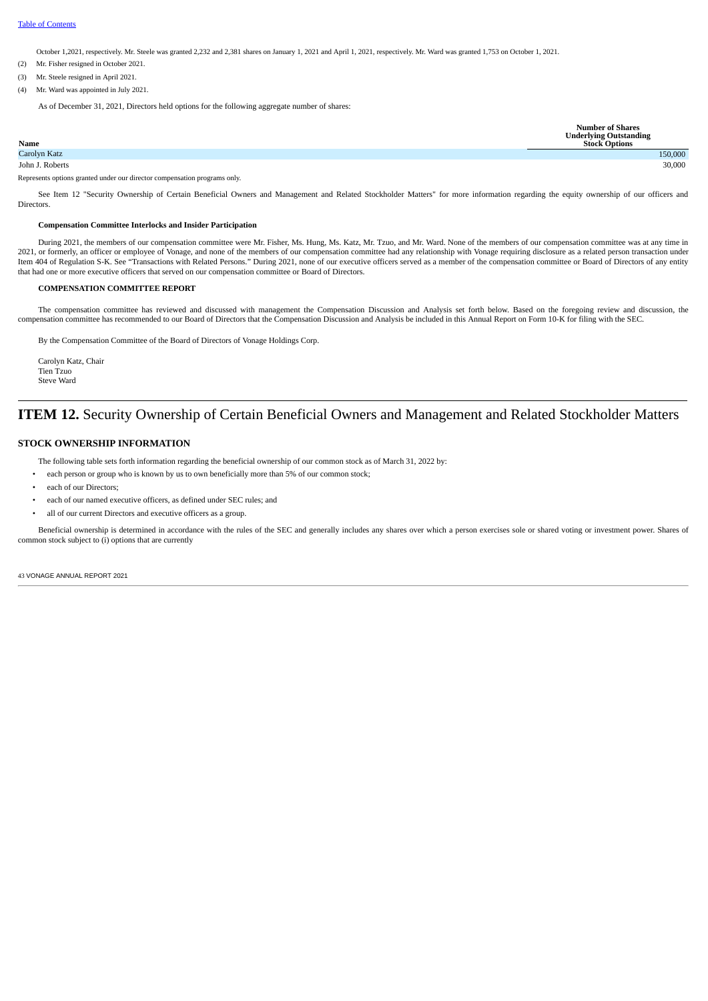October 1,2021, respectively. Mr. Steele was granted 2,232 and 2,381 shares on January 1, 2021 and April 1, 2021, respectively. Mr. Ward was granted 1,753 on October 1, 2021.

- (2) Mr. Fisher resigned in October 2021.
- (3) Mr. Steele resigned in April 2021.
- (4) Mr. Ward was appointed in July 2021.

As of December 31, 2021, Directors held options for the following aggregate number of shares:

| Name            | <b>Number of Shares</b><br><b>Underlying Outstanding</b><br><b>Stock Options</b> |
|-----------------|----------------------------------------------------------------------------------|
| Carolyn Katz    | 150,000                                                                          |
| John J. Roberts | 30,000                                                                           |

Represents options granted under our director compensation programs only.

See Item 12 "Security Ownership of Certain Beneficial Owners and Management and Related Stockholder Matters" for more information regarding the equity ownership of our officers and Directors.

### **Compensation Committee Interlocks and Insider Participation**

During 2021, the members of our compensation committee were Mr. Fisher, Ms. Hung, Ms. Katz, Mr. Tzuo, and Mr. Ward. None of the members of our compensation committee was at any time in 2021, or formerly, an officer or employee of Vonage, and none of the members of our compensation committee had any relationship with Vonage requiring disclosure as a related person transaction under Item 404 of Regulation S-K. See "Transactions with Related Persons." During 2021, none of our executive officers served as a member of the compensation committee or Board of Directors of any entity that had one or more executive officers that served on our compensation committee or Board of Directors.

### **COMPENSATION COMMITTEE REPORT**

The compensation committee has reviewed and discussed with management the Compensation Discussion and Analysis set forth below. Based on the foregoing review and discussion, the compensation committee has recommended to our Board of Directors that the Compensation Discussion and Analysis be included in this Annual Report on Form 10-K for filing with the SEC.

By the Compensation Committee of the Board of Directors of Vonage Holdings Corp.

Carolyn Katz, Chair Tien Tzuo Steve Ward

# <span id="page-42-0"></span>**ITEM 12.** Security Ownership of Certain Beneficial Owners and Management and Related Stockholder Matters

# **STOCK OWNERSHIP INFORMATION**

The following table sets forth information regarding the beneficial ownership of our common stock as of March 31, 2022 by:

- each person or group who is known by us to own beneficially more than 5% of our common stock;
- each of our Directors;
- each of our named executive officers, as defined under SEC rules; and
- all of our current Directors and executive officers as a group.

Beneficial ownership is determined in accordance with the rules of the SEC and generally includes any shares over which a person exercises sole or shared voting or investment power. Shares of common stock subject to (i) options that are currently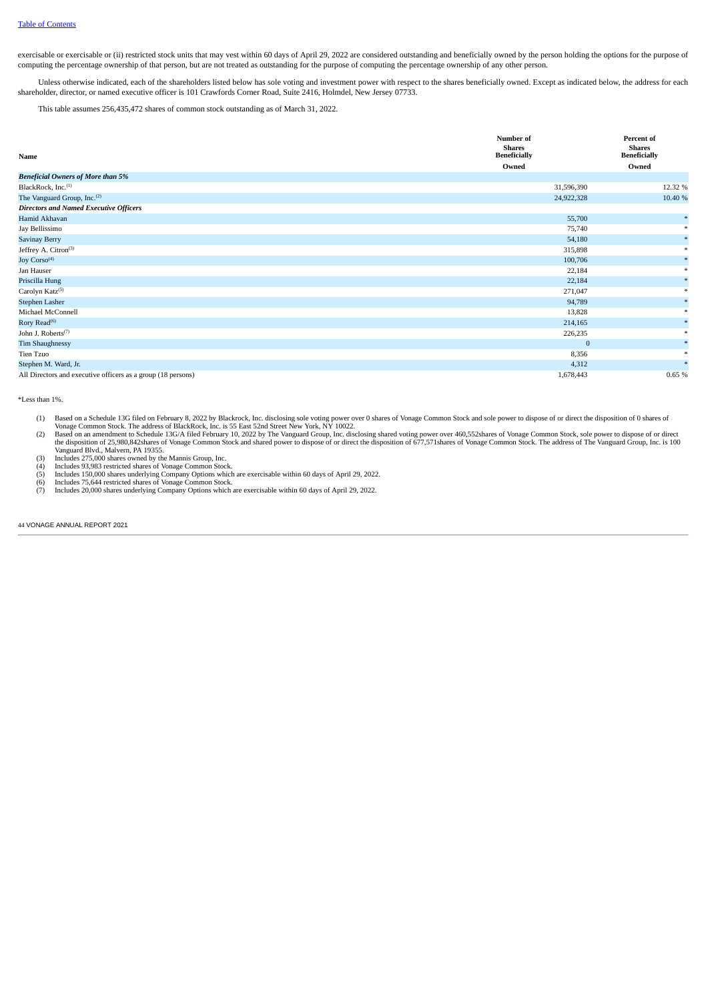exercisable or exercisable or (ii) restricted stock units that may vest within 60 days of April 29, 2022 are considered outstanding and beneficially owned by the person holding the options for the purpose of computing the percentage ownership of that person, but are not treated as outstanding for the purpose of computing the percentage ownership of any other person.

Unless otherwise indicated, each of the shareholders listed below has sole voting and investment power with respect to the shares beneficially owned. Except as indicated below, the address for each shareholder, director, or named executive officer is 101 Crawfords Corner Road, Suite 2416, Holmdel, New Jersey 07733.

This table assumes 256,435,472 shares of common stock outstanding as of March 31, 2022.

| Name                                                         | Number of<br><b>Shares</b><br><b>Beneficially</b><br>Owned | Percent of<br><b>Shares</b><br><b>Beneficially</b><br>Owned |
|--------------------------------------------------------------|------------------------------------------------------------|-------------------------------------------------------------|
| <b>Beneficial Owners of More than 5%</b>                     |                                                            |                                                             |
| BlackRock, Inc. <sup>(1)</sup>                               | 31,596,390                                                 | 12.32 %                                                     |
| The Vanguard Group, Inc. <sup>(2)</sup>                      | 24,922,328                                                 | 10.40 %                                                     |
| <b>Directors and Named Executive Officers</b>                |                                                            |                                                             |
| Hamid Akhavan                                                | 55,700                                                     |                                                             |
| Jay Bellissimo                                               | 75,740                                                     |                                                             |
| <b>Savinay Berry</b>                                         | 54,180                                                     |                                                             |
| Jeffrey A. Citron(3)                                         | 315,898                                                    |                                                             |
| Joy Corso <sup>(4)</sup>                                     | 100,706                                                    |                                                             |
| Jan Hauser                                                   | 22,184                                                     |                                                             |
| Priscilla Hung                                               | 22,184                                                     |                                                             |
| Carolyn Katz <sup>(5)</sup>                                  | 271,047                                                    |                                                             |
| <b>Stephen Lasher</b>                                        | 94,789                                                     |                                                             |
| Michael McConnell                                            | 13,828                                                     |                                                             |
| Rory Read <sup>(6)</sup>                                     | 214,165                                                    |                                                             |
| John J. Roberts <sup>(7)</sup>                               | 226,235                                                    |                                                             |
| Tim Shaughnessy                                              | $\mathbf{0}$                                               |                                                             |
| Tien Tzuo                                                    | 8,356                                                      |                                                             |
| Stephen M. Ward, Jr.                                         | 4,312                                                      |                                                             |
| All Directors and executive officers as a group (18 persons) | 1,678,443                                                  | 0.65%                                                       |

\*Less than 1%.

- 
- (1) Based on a Schedule 13G filed on February 8, 2022 by Blackrock, Inc. disclosing sole voting power over 0 shares of Vonage Common Stock and sole power to dispose of or direct the disposition of 0 shares of<br>Vonage Common
- 
- (4) Includes 93,983 restricted shares of Vonage Common Stock. (5) Includes 150,000 shares underlying Company Options which are exercisable within 60 days of April 29, 2022.
- 
- (6) Includes 75,644 restricted shares of Vonage Common Stock. (7) Includes 20,000 shares underlying Company Options which are exercisable within 60 days of April 29, 2022.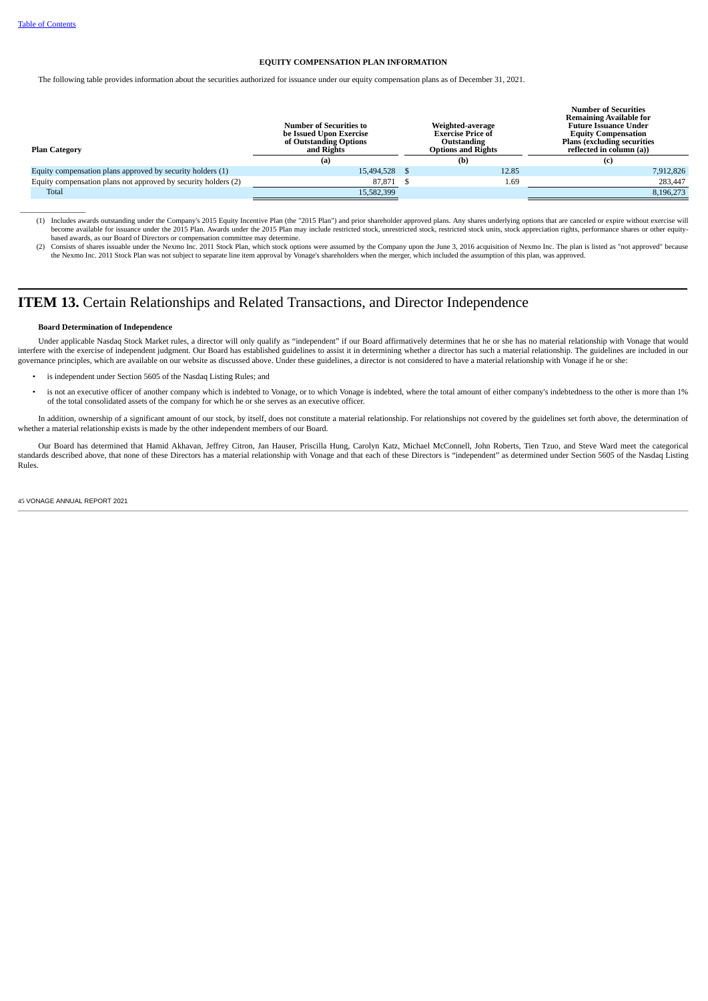$\overline{\phantom{a}}$  , where  $\overline{\phantom{a}}$ 

### **EQUITY COMPENSATION PLAN INFORMATION**

The following table provides information about the securities authorized for issuance under our equity compensation plans as of December 31, 2021.

| <b>Plan Category</b>                                           | <b>Number of Securities to</b><br>be Issued Upon Exercise<br>of Outstanding Options<br>and Rights | Weighted-average<br><b>Exercise Price of</b><br>Outstanding<br><b>Options and Rights</b> | <b>Number of Securities</b><br><b>Remaining Available for</b><br><b>Future Issuance Under</b><br><b>Equity Compensation</b><br><b>Plans (excluding securities)</b><br>reflected in column (a)) |  |  |
|----------------------------------------------------------------|---------------------------------------------------------------------------------------------------|------------------------------------------------------------------------------------------|------------------------------------------------------------------------------------------------------------------------------------------------------------------------------------------------|--|--|
|                                                                | (a)                                                                                               | (b)                                                                                      | (c)                                                                                                                                                                                            |  |  |
| Equity compensation plans approved by security holders (1)     | 15,494,528 \$                                                                                     | 12.85                                                                                    | 7,912,826                                                                                                                                                                                      |  |  |
| Equity compensation plans not approved by security holders (2) | 87.871 \$                                                                                         | 1.69                                                                                     | 283.447                                                                                                                                                                                        |  |  |
| Total                                                          | 15,582,399                                                                                        |                                                                                          | 8,196,273                                                                                                                                                                                      |  |  |

(1) Includes awards outstanding under the Company's 2015 Equity Incentive Plan (the "2015 Plan") and prior shareholder approved plans. Any shares underlying options that are canceled or expire without exercise will<br>become based awards, as our Board of Directors or compensation committee may determine.

(2) Consists of shares issuable under the Nexmo Inc. 2011 Stock Plan, which stock options were assumed by the Company upon the June 3, 2016 acquisition of Nexmo Inc. The plan is listed as "not approved" because the Nexmo Inc. 2011 Stock Plan was not subject to separate line item approval by Vonage's shareholders when the merger, which included the assumption of this plan, was approved.

# <span id="page-44-0"></span>**ITEM 13.** Certain Relationships and Related Transactions, and Director Independence

### **Board Determination of Independence**

Under applicable Nasdaq Stock Market rules, a director will only qualify as "independent" if our Board affirmatively determines that he or she has no material relationship with Vonage that would interfere with the exercise of independent judgment. Our Board has established guidelines to assist it in determining whether a director has such a material relationship. The guidelines are included in our governance principles, which are available on our website as discussed above. Under these guidelines, a director is not considered to have a material relationship with Vonage if he or she:

- is independent under Section 5605 of the Nasdaq Listing Rules; and
- is not an executive officer of another company which is indebted to Vonage, or to which Vonage is indebted, where the total amount of either company's indebtedness to the other is more than 1% of the total consolidated assets of the company for which he or she serves as an executive officer.

In addition, ownership of a significant amount of our stock, by itself, does not constitute a material relationship. For relationships not covered by the guidelines set forth above, the determination of whether a material relationship exists is made by the other independent members of our Board.

Our Board has determined that Hamid Akhavan, Jeffrey Citron, Jan Hauser, Priscilla Hung, Carolyn Katz, Michael McConnell, John Roberts, Tien Tzuo, and Steve Ward meet the categorical standards described above, that none of these Directors has a material relationship with Vonage and that each of these Directors is "independent" as determined under Section 5605 of the Nasdaq Listing Rules.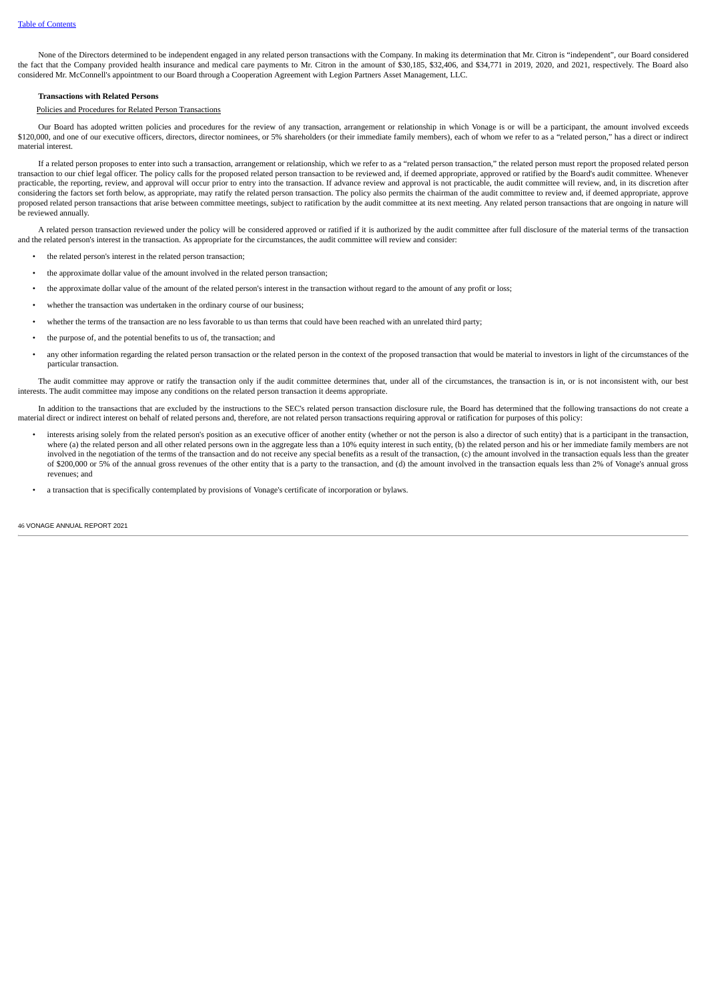None of the Directors determined to be independent engaged in any related person transactions with the Company. In making its determination that Mr. Citron is "independent", our Board considered the fact that the Company provided health insurance and medical care payments to Mr. Citron in the amount of \$30,185, \$32,406, and \$34,771 in 2019, 2020, and 2021, respectively. The Board also considered Mr. McConnell's appointment to our Board through a Cooperation Agreement with Legion Partners Asset Management, LLC.

# **Transactions with Related Persons**

### Policies and Procedures for Related Person Transactions

Our Board has adopted written policies and procedures for the review of any transaction, arrangement or relationship in which Vonage is or will be a participant, the amount involved exceeds \$120,000, and one of our executive officers, directors, director nominees, or 5% shareholders (or their immediate family members), each of whom we refer to as a "related person," has a direct or indirect material interest.

If a related person proposes to enter into such a transaction, arrangement or relationship, which we refer to as a "related person transaction," the related person must report the proposed related person transaction to our chief legal officer. The policy calls for the proposed related person transaction to be reviewed and, if deemed appropriate, approved or ratified by the Board's audit committee. Whenever practicable, the reporting, review, and approval will occur prior to entry into the transaction. If advance review and approval is not practicable, the audit committee will review, and, in its discretion after considering the factors set forth below, as appropriate, may ratify the related person transaction. The policy also permits the chairman of the audit committee to review and, if deemed appropriate, approve proposed related person transactions that arise between committee meetings, subject to ratification by the audit committee at its next meeting. Any related person transactions that are ongoing in nature will be reviewed annually.

A related person transaction reviewed under the policy will be considered approved or ratified if it is authorized by the audit committee after full disclosure of the material terms of the transaction and the related person's interest in the transaction. As appropriate for the circumstances, the audit committee will review and consider:

- the related person's interest in the related person transaction;
- the approximate dollar value of the amount involved in the related person transaction;
- the approximate dollar value of the amount of the related person's interest in the transaction without regard to the amount of any profit or loss;
- whether the transaction was undertaken in the ordinary course of our business;
- whether the terms of the transaction are no less favorable to us than terms that could have been reached with an unrelated third party;
- the purpose of, and the potential benefits to us of, the transaction; and
- any other information regarding the related person transaction or the related person in the context of the proposed transaction that would be material to investors in light of the circumstances of the particular transaction.

The audit committee may approve or ratify the transaction only if the audit committee determines that, under all of the circumstances, the transaction is in, or is not inconsistent with, our best interests. The audit committee may impose any conditions on the related person transaction it deems appropriate.

In addition to the transactions that are excluded by the instructions to the SEC's related person transaction disclosure rule, the Board has determined that the following transactions do not create a material direct or indirect interest on behalf of related persons and, therefore, are not related person transactions requiring approval or ratification for purposes of this policy:

- interests arising solely from the related person's position as an executive officer of another entity (whether or not the person is also a director of such entity) that is a participant in the transaction, where (a) the related person and all other related persons own in the aggregate less than a 10% equity interest in such entity, (b) the related person and his or her immediate family members are not involved in the negotiation of the terms of the transaction and do not receive any special benefits as a result of the transaction, (c) the amount involved in the transaction equals less than the greater of \$200,000 or 5% of the annual gross revenues of the other entity that is a party to the transaction, and (d) the amount involved in the transaction equals less than 2% of Vonage's annual gross revenues; and
- a transaction that is specifically contemplated by provisions of Vonage's certificate of incorporation or bylaws.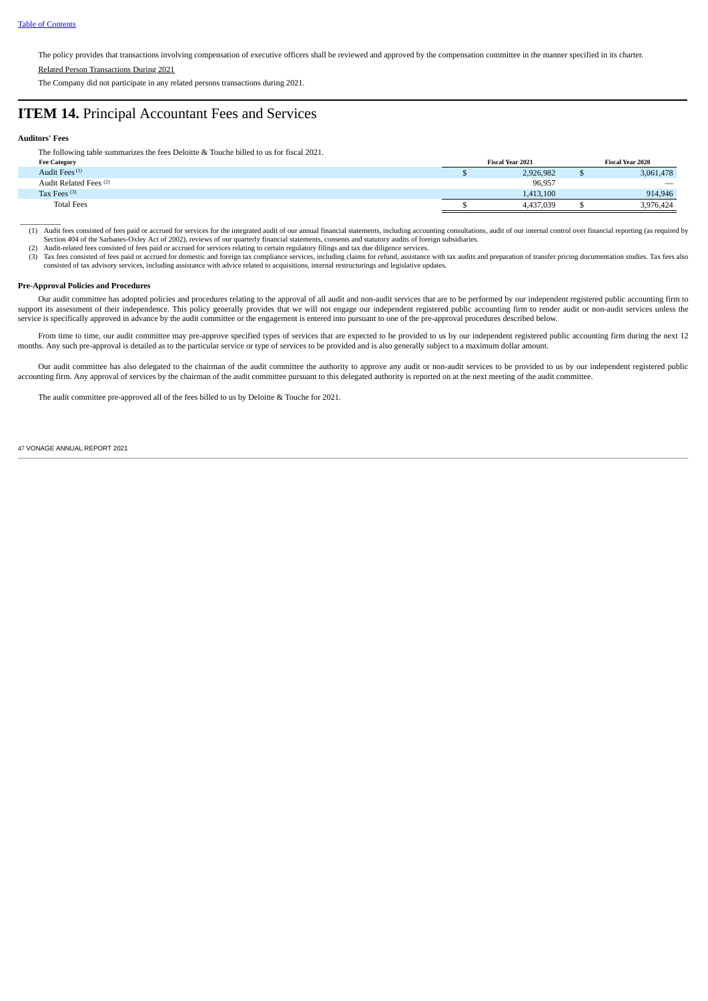The policy provides that transactions involving compensation of executive officers shall be reviewed and approved by the compensation committee in the manner specified in its charter.

Related Person Transactions During 2021

The Company did not participate in any related persons transactions during 2021.

# <span id="page-46-0"></span>**ITEM 14.** Principal Accountant Fees and Services

### **Auditors' Fees**

The following table summarizes the fees Deloitte & Touche billed to us for fiscal 2021.

| <b>Fee Category</b>               | <b>Fiscal Year 2021</b> |           |  | <b>Fiscal Year 2020</b>  |  |
|-----------------------------------|-------------------------|-----------|--|--------------------------|--|
| Audit Fees <sup>(1)</sup>         |                         | 2,926,982 |  | 3,061,478                |  |
| Audit Related Fees <sup>(2)</sup> |                         | 96,957    |  | $\overline{\phantom{m}}$ |  |
| Tax Fees $(3)$                    |                         | 1.413.100 |  | 914,946                  |  |
| <b>Total Fees</b>                 |                         | 4.437.039 |  | 3.976.424                |  |

and the sconsisted of fees paid or accrued for services for the integrated audit of our annual financial statements, including accounting consultations, audit of our internal control over financial reporting (as required b

- Section 404 of the Sarbanes-Oxley Act of 2002), reviews of our quarterly financial statements, consents and statutory audits of foreign subsidiaries.<br>(2) Audit-related fees consisted of fees paid or accrued for services re
- (3) Tax fees consisted of fees paid or accrued for domestic and foreign tax compliance services, including claims for refund, assistance with tax audits and preparation of transfer pricing documentation studies. Tax fees a consisted of tax advisory services, including assistance with advice related to acquisitions, internal restructurings and legislative updates.

### **Pre-Approval Policies and Procedures**

Our audit committee has adopted policies and procedures relating to the approval of all audit and non-audit services that are to be performed by our independent registered public accounting firm to support its assessment of their independence. This policy generally provides that we will not engage our independent registered public accounting firm to render audit or non-audit services unless the service is specifically approved in advance by the audit committee or the engagement is entered into pursuant to one of the pre-approval procedures described below.

From time to time, our audit committee may pre-approve specified types of services that are expected to be provided to us by our independent registered public accounting firm during the next 12 months. Any such pre-approval is detailed as to the particular service or type of services to be provided and is also generally subject to a maximum dollar amount.

Our audit committee has also delegated to the chairman of the audit committee the authority to approve any audit or non-audit services to be provided to us by our independent registered public accounting firm. Any approval of services by the chairman of the audit committee pursuant to this delegated authority is reported on at the next meeting of the audit committee.

<span id="page-46-1"></span>The audit committee pre-approved all of the fees billed to us by Deloitte & Touche for 2021.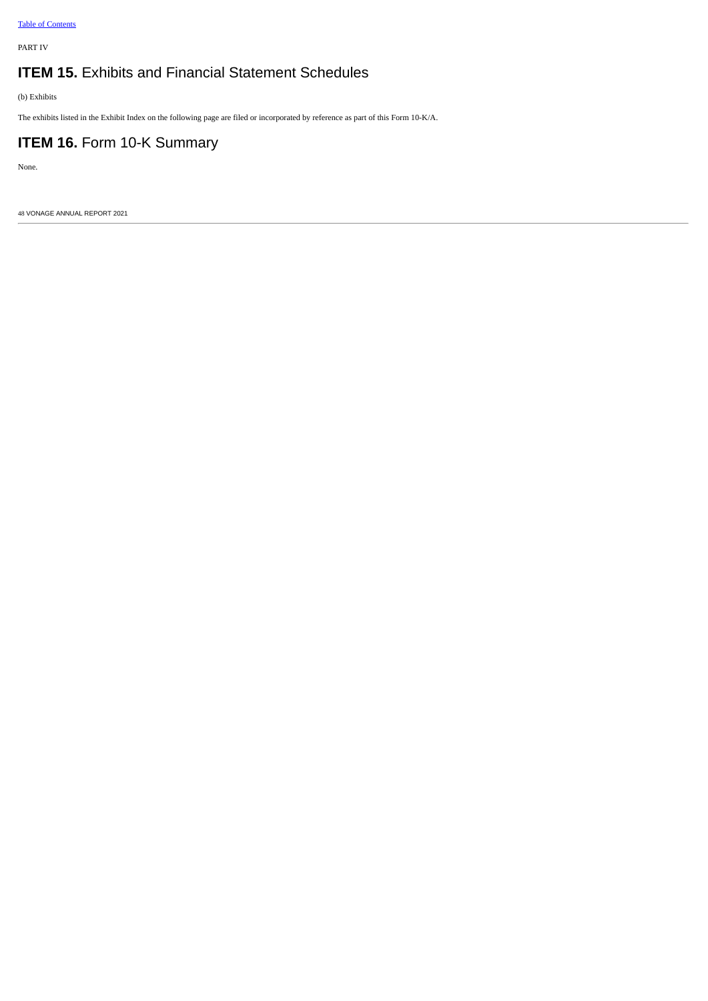PART IV

# **ITEM 15.** Exhibits and Financial Statement Schedules

(b) Exhibits

The exhibits listed in the Exhibit Index on the following page are filed or incorporated by reference as part of this Form 10-K/A.

# **ITEM 16. Form 10-K Summary**

None.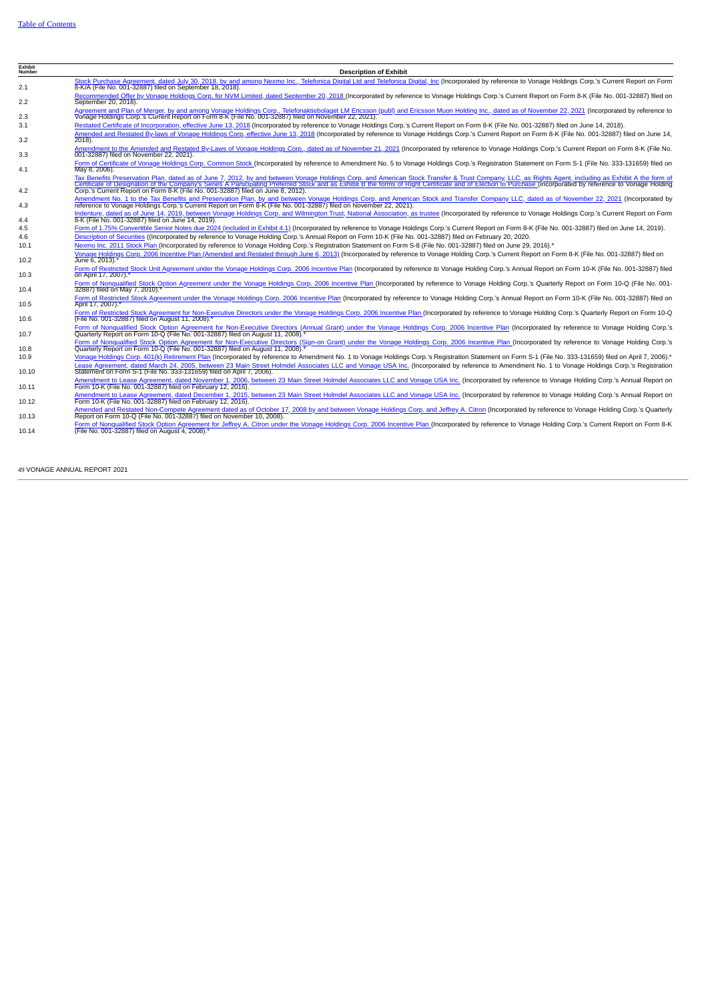| Exhibit<br>Number | <b>Description of Exhibit</b>                                                                                                                                                                                                                                                                                                                                                                              |
|-------------------|------------------------------------------------------------------------------------------------------------------------------------------------------------------------------------------------------------------------------------------------------------------------------------------------------------------------------------------------------------------------------------------------------------|
| 2.1               | Stock Purchase Agreement, dated July 30, 2018, by and among Nexmo Inc., Telefonica Digital Ltd and Telefonica Digital, Inc (Incorporated by reference to Vonage Holdings Corp.'s Current Report on Form<br>8-K/A (File No. 001-32887) filed on September 18, 2018).                                                                                                                                        |
| 2.2               | Recommended Offer by Vonage Holdings Corp. for NVM Limited, dated September 20, 2018 (Incorporated by reference to Vonage Holdings Corp.'s Current Report on Form 8-K (File No. 001-32887) filed on<br>September 20, 2018).                                                                                                                                                                                |
| 2.3               | Agreement and Plan of Merger, by and among Vonage Holdings Corp., Telefonaktiebolaget LM Ericsson (publ) and Ericsson Muon Holding Inc., dated as of November 22, 2021 (Incorporated by reference to<br>Vonage Holdings Corp.'s Current Report on Form 8-K (File No. 001-32887) filed on November 22, 2021).                                                                                               |
| 3.1               | Restated Certificate of Incorporation, effective June 13, 2018 (Incorporated by reference to Vonage Holdings Corp.'s Current Report on Form 8-K (File No. 001-32887) filed on June 14, 2018).<br>Amended and Restated By-laws of Vonage Holdings Corp, effective June 13, 2018 (Incorporated by reference to Vonage Holdings Corp.'s Current Report on Form 8-K (File No. 001-32887) filed on June 14,     |
| 3.2               | 2018).<br>Amendment to the Amended and Restated By-Laws of Vonage Holdings Corp., dated as of November 21, 2021 (Incorporated by reference to Vonage Holdings Corp.'s Current Report on Form 8-K (File No.                                                                                                                                                                                                 |
| 3.3               | 001-32887) filed on November 22, 2021).<br>Form of Certificate of Vonage Holdings Corp. Common Stock (Incorporated by reference to Amendment No. 5 to Vonage Holdings Corp.'s Registration Statement on Form S-1 (File No. 333-131659) filed on                                                                                                                                                            |
| 4.1               | May 8, 2006).<br>Tax Benefits Preservation Plan, dated as of June 7, 2012, by and between Vonage Holdings Corp. and American Stock Transfer & Trust Company, LLC, as Rights Agent, including as Exhibit A the form of<br>Certificate of Designatio                                                                                                                                                         |
| 4.2               | Corp.'s Current Report on Form 8-K (File No. 001-32887) filed on June 8, 2012).                                                                                                                                                                                                                                                                                                                            |
| 4.3               | Amendment No. 1 to the Tax Benefits and Preservation Plan, by and between Vonage Holdings Corp. and American Stock and Transfer Company LLC, dated as of November 22, 2021 (Incorporated by<br>reference to Vonage Holdings Corp.'s Current Report on Form 8-K (File No. 001-32887) filed on November 22, 2021).                                                                                           |
| 4.4               | Indenture, dated as of June 14, 2019, between Vonage Holdings Corp. and Wilmington Trust, National Association, as trustee (Incorporated by reference to Vonage Holdings Corp.'s Current Report on Form<br>8-K (File No. 001-32887) filed on June 14, 2019).                                                                                                                                               |
| 4.5<br>4.6        | Form of 1.75% Convertible Senior Notes due 2024 (included in Exhibit 4.1) (Incorporated by reference to Vonage Holdings Corp.'s Current Report on Form 8-K (File No. 001-32887) filed on June 14, 2019).<br>Description of Securities ((Incorporated by reference to Vonage Holding Corp.'s Annual Report on Form 10-K (File No. 001-32887) filed on February 20, 2020.                                    |
| 10.1              | Nexmo Inc. 2011 Stock Plan (Incorporated by reference to Vonage Holding Corp.'s Registration Statement on Form S-8 (File No. 001-32887) filed on June 29, 2016).*                                                                                                                                                                                                                                          |
| 10.2              | Vonage Holdings Corp. 2006 Incentive Plan (Amended and Restated through June 6, 2013) (Incorporated by reference to Vonage Holding Corp.'s Current Report on Form 8-K (File No. 001-32887) filed on<br>June 6, 2013).*                                                                                                                                                                                     |
| 10.3              | Form of Restricted Stock Unit Agreement under the Vonage Holdings Corp. 2006 Incentive Plan (Incorporated by reference to Vonage Holding Corp.'s Annual Report on Form 10-K (File No. 001-32887) filed<br>on April 17, 2007).*                                                                                                                                                                             |
| 10.4              | Form of Nongualified Stock Option Agreement under the Vonage Holdings Corp. 2006 Incentive Plan (Incorporated by reference to Vonage Holding Corp.'s Ouarterly Report on Form 10-O (File No. 001-<br>32887) filed on May 7, 2010).*                                                                                                                                                                        |
| 10.5              | Form of Restricted Stock Agreement under the Vonage Holdings Corp. 2006 Incentive Plan (Incorporated by reference to Vonage Holding Corp.'s Annual Report on Form 10-K (File No. 001-32887) filed on<br>April 17, 2007).*                                                                                                                                                                                  |
| 10.6              | Form of Restricted Stock Agreement for Non-Executive Directors under the Vonage Holdings Corp. 2006 Incentive Plan (Incorporated by reference to Vonage Holding Corp.'s Quarterly Report on Form 10-Q<br>(File No. 001-32887) filed on August 11, 2008).*                                                                                                                                                  |
| 10.7              | Form of Nonqualified Stock Option Agreement for Non-Executive Directors (Annual Grant) under the Vonage Holdings Corp. 2006 Incentive Plan (Incorporated by reference to Vonage Holding Corp.'s<br>Ouarterly Report on Form 10-Q (File No. 001-32887) filed on August 11, 2008).                                                                                                                           |
| 10.8              | Form of Nonqualified Stock Option Agreement for Non-Executive Directors (Sign-on Grant) under the Vonage Holdings Corp. 2006 Incentive Plan (Incorporated by reference to Vonage Holding Corp.'s<br>Ouarterly Report on Form 10-O (File No. 001-32887) filed on August 11, 2008).*                                                                                                                         |
| 10.9              | Vonage Holdings Corp. 401(k) Retirement Plan (Incorporated by reference to Amendment No. 1 to Vonage Holdings Corp.'s Registration Statement on Form S-1 (File No. 333-131659) filed on April 7, 2006).*<br>Lease Agreement. dated March 24, 2005, between 23 Main Street Holmdel Associates LLC and Vonage USA Inc. (Incorporated by reference to Amendment No. 1 to Vonage Holdings Corp.'s Registration |
| 10.10             | Statement on Form S-1 (File No. 333-131659) filed on April 7, 2006).<br>Amendment to Lease Agreement, dated November 1, 2006, between 23 Main Street Holmdel Associates LLC and Vonage USA Inc. (Incorporated by reference to Vonage Holding Corp.'s Annual Report on                                                                                                                                      |
| 10.11             | Form 10-K (File No. 001-32887) filed on February 12, 2016).                                                                                                                                                                                                                                                                                                                                                |
| 10.12             | Amendment to Lease Agreement, dated December 1, 2015, between 23 Main Street Holmdel Associates LLC and Vonage USA Inc. (Incorporated by reference to Vonage Holding Corp.'s Annual Report on<br>Form 10-K (File No. 001-32887) filed on February 12, 2016).                                                                                                                                               |
| 10.13             | Amended and Restated Non-Compete Agreement dated as of October 17, 2008 by and between Vonage Holdings Corp. and Jeffrey A. Citron (Incorporated by reference to Vonage Holding Corp.'s Quarterly<br>Report on Form 10-O (File No. 001-32887) filed on November 10, 2008).                                                                                                                                 |
| 10.14             | Form of Nongualified Stock Option Agreement for Jeffrey A. Citron under the Vonage Holdings Corp. 2006 Incentive Plan (Incorporated by reference to Vonage Holding Corp.'s Current Report on Form 8-K<br>(File No. 001-32887) filed on August 4, 2008).*                                                                                                                                                   |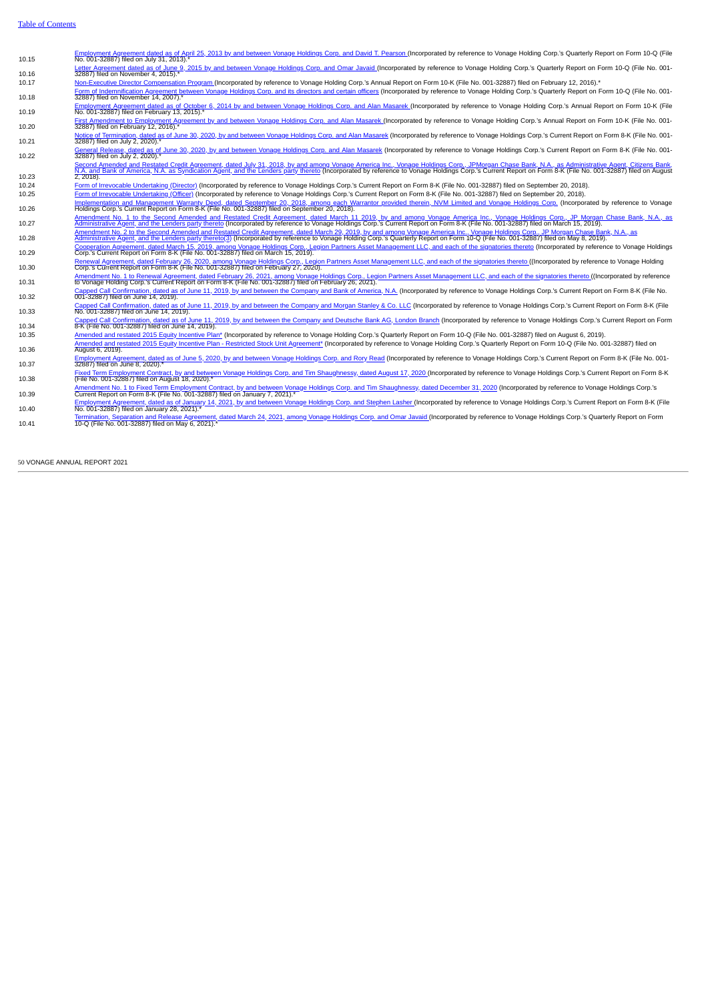| 10.15 | Employment Agreement dated as of April 25, 2013 by and between Vonage Holdings Corp. and David T. Pearson (Incorporated by reference to Vonage Holding Corp.'s Quarterly Report on Form 10-Q (File<br>No. 001-32887) filed on July 31, 2013).                                                                                                                                                                              |
|-------|----------------------------------------------------------------------------------------------------------------------------------------------------------------------------------------------------------------------------------------------------------------------------------------------------------------------------------------------------------------------------------------------------------------------------|
| 10.16 | Letter Agreement dated as of June 9, 2015 by and between Vonage Holdings Corp, and Omar Javaid (Incorporated by reference to Vonage Holding Corp.'s Ouarterly Report on Form 10-O (File No. 001-<br>32887) filed on November 4, 2015).                                                                                                                                                                                     |
| 10.17 | Non-Executive Director Compensation Program (Incorporated by reference to Vonage Holding Corp.'s Annual Report on Form 10-K (File No. 001-32887) filed on February 12, 2016).*                                                                                                                                                                                                                                             |
| 10.18 | Form of Indemnification Agreement between Vonage Holdings Corp. and its directors and certain officers (Incorporated by reference to Vonage Holding Corp.'s Quarterly Report on Form 10-Q (File No. 001-<br>32887) filed on November 14, 2007).*                                                                                                                                                                           |
| 10.19 | Employment Agreement dated as of October 6, 2014 by and between Vonage Holdings Corp, and Alan Masarek (Incorporated by reference to Vonage Holding Corp.'s Annual Report on Form 10-K (File<br>No. 001-32887) filed on February 13, 2015).*                                                                                                                                                                               |
| 10.20 | First Amendment to Employment Agreement by and between Vonage Holdings Corp. and Alan Masarek (Incorporated by reference to Vonage Holding Corp.'s Annual Report on Form 10-K (File No. 001-<br>32887) filed on February 12, 2016).*                                                                                                                                                                                       |
| 10.21 | Notice of Termination, dated as of June 30, 2020, by and between Vonage Holdings Corp, and Alan Masarek (Incorporated by reference to Vonage Holdings Corp.'s Current Report on Form 8-K (File No. 001-<br>32887) filed on July 2, 2020).*                                                                                                                                                                                 |
| 10.22 | General Release, dated as of June 30, 2020, by and between Vonage Holdings Corp, and Alan Masarek (Incorporated by reference to Vonage Holdings Corp.'s Current Report on Form 8-K (File No. 001-<br>32887) filed on July 2, 2020).*                                                                                                                                                                                       |
| 10.23 | Second Amended and Restated Credit Agreement, dated July 31, 2018, by and among Vonage America Inc., Vonage Holdings Corp., JPMorgan Chase Bank, N.A., as Administrative Agent, Citizens Bank,<br>N.A. and Bank of America, N.A. as Syndication Agent, and the Lenders party thereto (Incorporated by reference to Vonage Holdings Corp.'s Current Report on Form 8-K (File No. 001-32887) filed on August<br>$2, 2018$ ). |
| 10.24 | Form of Irrevocable Undertaking (Director) (Incorporated by reference to Vonage Holdings Corp.'s Current Report on Form 8-K (File No. 001-32887) filed on September 20, 2018).                                                                                                                                                                                                                                             |
| 10.25 | Form of Irrevocable Undertaking (Officer) (Incorporated by reference to Vonage Holdings Corp.'s Current Report on Form 8-K (File No. 001-32887) filed on September 20, 2018).                                                                                                                                                                                                                                              |
| 10.26 | Implementation and Management Warranty Deed, dated September 20, 2018, among each Warrantor provided therein, NVM Limited and Vonage Holdings Corp. (Incorporated by reference to Vonage<br>Holdings Corp.'s Current Report on Form 8-K (File No. 001-32887) filed on September 20, 2018).                                                                                                                                 |
| 10.27 | Amendment No. 1 to the Second Amended and Restated Credit Agreement, dated March 11 2019, by and among Vonage America Inc., Vonage Holdings Corp., JP Morgan Chase Bank, N.A., as<br>Administrative Agent, and the Lenders party thereto (Incorporated by reference to Vonage Holdings Corp.'s Current Report on Form 8-K (File No. 001-32887) filed on March 15, 2019).                                                   |
| 10.28 | Amendment No. 2 to the Second Amended and Restated Credit Agreement, dated March 29, 2019, by and among Vonage America Inc., Vonage Holdings Corp., JP Morgan Chase Bank, N.A., as<br>Administrative Agent, and the Lenders party thereto(3) (Incorporated by reference to Vonage Holding Corp.'s Quarterly Report on Form 10-Q (File No. 001-32887) filed on May 8, 2019).                                                |
| 10.29 | Cooperation Agreement, dated March 15, 2019, among Vonage Holdings Corp., Legion Partners Asset Management LLC, and each of the signatories thereto (Incorporated by reference to Vonage Holdings<br>Corp.'s Current Report on Form 8-K (File No. 001-32887) filed on March 15, 2019).                                                                                                                                     |
| 10.30 | Renewal Agreement, dated February 26, 2020, among Vonage Holdings Corp., Legion Partners Asset Management LLC, and each of the signatories thereto ((Incorporated by reference to Vonage Holding<br>Corp.'s Current Report on Form 8-K (File No. 001-32887) filed on February 27, 2020).                                                                                                                                   |
| 10.31 | Amendment No. 1 to Renewal Agreement, dated February 26, 2021, among Vonage Holdings Corp., Legion Partners Asset Management LLC, and each of the signatories thereto ((Incorporated by reference<br>to Vonage Holding Corp.'s Current Report on Form 8-K (File No. 001-32887) filed on February 26, 2021).                                                                                                                |
| 10.32 | Capped Call Confirmation, dated as of June 11, 2019, by and between the Company and Bank of America, N.A. (Incorporated by reference to Vonage Holdings Corp.'s Current Report on Form 8-K (File No.<br>001-32887) filed on June 14, 2019).                                                                                                                                                                                |
| 10.33 | Capped Call Confirmation, dated as of June 11, 2019, by and between the Company and Morgan Stanley & Co. LLC (Incorporated by reference to Vonage Holdings Corp.'s Current Report on Form 8-K (File<br>No. 001-32887) filed on June 14, 2019).                                                                                                                                                                             |
| 10.34 | Capped Call Confirmation, dated as of June 11, 2019, by and between the Company and Deutsche Bank AG, London Branch (Incorporated by reference to Vonage Holdings Corp.'s Current Report on Form<br>8-K (File No. 001-32887) filed on June 14, 2019).                                                                                                                                                                      |
| 10.35 | Amended and restated 2015 Equity Incentive Plan* (Incorporated by reference to Vonage Holding Corp.'s Quarterly Report on Form 10-Q (File No. 001-32887) filed on August 6, 2019).                                                                                                                                                                                                                                         |
| 10.36 | Amended and restated 2015 Equity Incentive Plan - Restricted Stock Unit Agreement* (Incorporated by reference to Vonage Holding Corp.'s Ouarterly Report on Form 10-O (File No. 001-32887) filed on<br>August 6, 2019).                                                                                                                                                                                                    |
| 10.37 | Employment Agreement, dated as of June 5, 2020, by and between Vonage Holdings Corp, and Rory Read (Incorporated by reference to Vonage Holdings Corp,'s Current Report on Form 8-K (File No, 001-<br>32887) filed on June 8, 2020).                                                                                                                                                                                       |
| 10.38 | Fixed Term Employment Contract, by and between Vonage Holdings Corp. and Tim Shaughnessy, dated August 17, 2020 (Incorporated by reference to Vonage Holdings Corp.'s Current Report on Form 8-K<br>(File No. 001-32887) filed on August 18, 2020).                                                                                                                                                                        |
| 10.39 | Amendment No. 1 to Fixed Term Employment Contract, by and between Vonage Holdings Corp. and Tim Shaughnessy, dated December 31, 2020 (Incorporated by reference to Vonage Holdings Corp.'s<br>Current Report on Form 8-K (File No. 001-32887) filed on January 7, 2021).*                                                                                                                                                  |
| 10.40 | Employment Agreement, dated as of January 14, 2021, by and between Vonage Holdings Corp. and Stephen Lasher (Incorporated by reference to Vonage Holdings Corp.'s Current Report on Form 8-K (File<br>No. 001-32887) filed on January 28, 2021).*                                                                                                                                                                          |
| 10.41 | Termination, Separation and Release Agreement, dated March 24, 2021, among Vonage Holdings Corp. and Omar Javaid (Incorporated by reference to Vonage Holdings Corp.'s Quarterly Report on Form<br>10-O (File No. 001-32887) filed on May 6, 2021).*                                                                                                                                                                       |
|       |                                                                                                                                                                                                                                                                                                                                                                                                                            |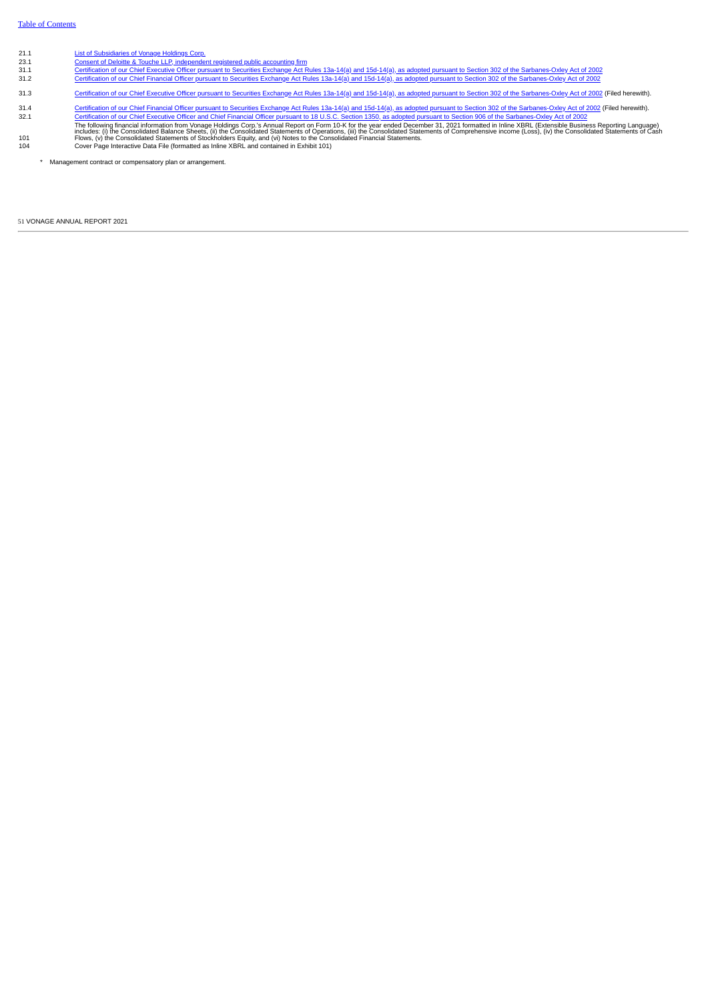21.1 **List of [Subsidiaries](https://www.sec.gov/Archives/edgar/data/1272830/000127283022000040/a10-k2021exhibit211.htm) of Vonage Holdings Corp.** 

23.1 Consent of Deloitte & Touche LLP, [independent](https://www.sec.gov/Archives/edgar/data/1272830/000127283022000040/a10-k2021exhibit231.htm) registered public accounting firm<br>31.1 Certification of our Chief Executive Officer pursuant to Securities Exchange Act Rules 13a-14(a) and 15d-14(a), as adopted pursuant

31.3 Certification of our Chief Executive Officer pursuant to Securities Exchange Act Rules 13a-14(a) and 15d-14(a), as adopted pursuant to Section 302 of the [Sarbanes-Oxley](#page-55-0) Act of 2002 (Filed herewith).

31.4 Certification of our Chief Financial Officer pursuant to Securities Exchange Act Rules 13a-14(a) and 15d-14(a), as adopted pursuant to Section 302 of the [Sarbanes-Oxley](#page-56-0) Act of 2002 (Filed herewith).<br>32.1 Certification 32.1 Certification of our Chief Executive Officer and Chief Financial Officer pursuant to 18 U.S.C. Section 1350, as adopted pursuant to Section 906 of the [Sarbanes-Oxley](https://www.sec.gov/Archives/edgar/data/1272830/000127283022000040/a10-k2021exhibit321.htm) Act of 2002<br>The following financial information fro 101

Cover Page Interactive Data File (formatted as Inline XBRL and contained in Exhibit 101)

\* Management contract or compensatory plan or arrangement.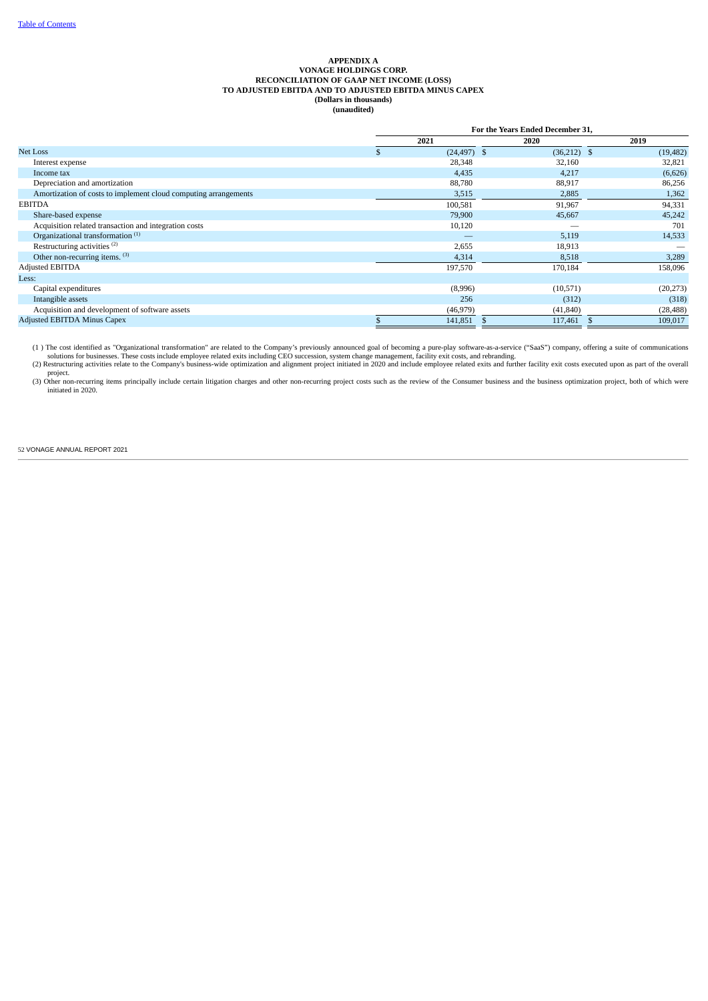### **APPENDIX A VONAGE HOLDINGS CORP. RECONCILIATION OF GAAP NET INCOME (LOSS) TO ADJUSTED EBITDA AND TO ADJUSTED EBITDA MINUS CAPEX (Dollars in thousands) (unaudited)**

|                                                                 | For the Years Ended December 31. |                |               |           |
|-----------------------------------------------------------------|----------------------------------|----------------|---------------|-----------|
|                                                                 |                                  | 2021           | 2020          | 2019      |
| Net Loss                                                        |                                  | $(24, 497)$ \$ | $(36,212)$ \$ | (19, 482) |
| Interest expense                                                |                                  | 28,348         | 32,160        | 32,821    |
| Income tax                                                      |                                  | 4,435          | 4,217         | (6,626)   |
| Depreciation and amortization                                   |                                  | 88,780         | 88,917        | 86,256    |
| Amortization of costs to implement cloud computing arrangements |                                  | 3,515          | 2,885         | 1,362     |
| <b>EBITDA</b>                                                   |                                  | 100,581        | 91,967        | 94,331    |
| Share-based expense                                             |                                  | 79,900         | 45,667        | 45,242    |
| Acquisition related transaction and integration costs           |                                  | 10,120         |               | 701       |
| Organizational transformation <sup>(1)</sup>                    |                                  |                | 5,119         | 14,533    |
| Restructuring activities <sup>(2)</sup>                         |                                  | 2,655          | 18,913        |           |
| Other non-recurring items. (3)                                  |                                  | 4,314          | 8,518         | 3,289     |
| <b>Adjusted EBITDA</b>                                          |                                  | 197,570        | 170,184       | 158,096   |
| Less:                                                           |                                  |                |               |           |
| Capital expenditures                                            |                                  | (8,996)        | (10, 571)     | (20, 273) |
| Intangible assets                                               |                                  | 256            | (312)         | (318)     |
| Acquisition and development of software assets                  |                                  | (46, 979)      | (41, 840)     | (28, 488) |
| <b>Adjusted EBITDA Minus Capex</b>                              |                                  | 141,851        | 117,461       | 109,017   |

(1 ) The cost identified as "Organizational transformation" are related to the Company's previously announced goal of becoming a pure-play software-as-a-service ("SaaS") company, offering a suite of communications solutions for businesses. These costs include employee related exits including CEO succession, system change management, facility exit costs, and rebranding.<br>(2) Restructuring activities relate to the Company's business-wi

project.<br>(3) Other non-recurring items principally include certain litigation charges and other non-recurring project costs such as the review of the Consumer business and the business optimization project, both of which w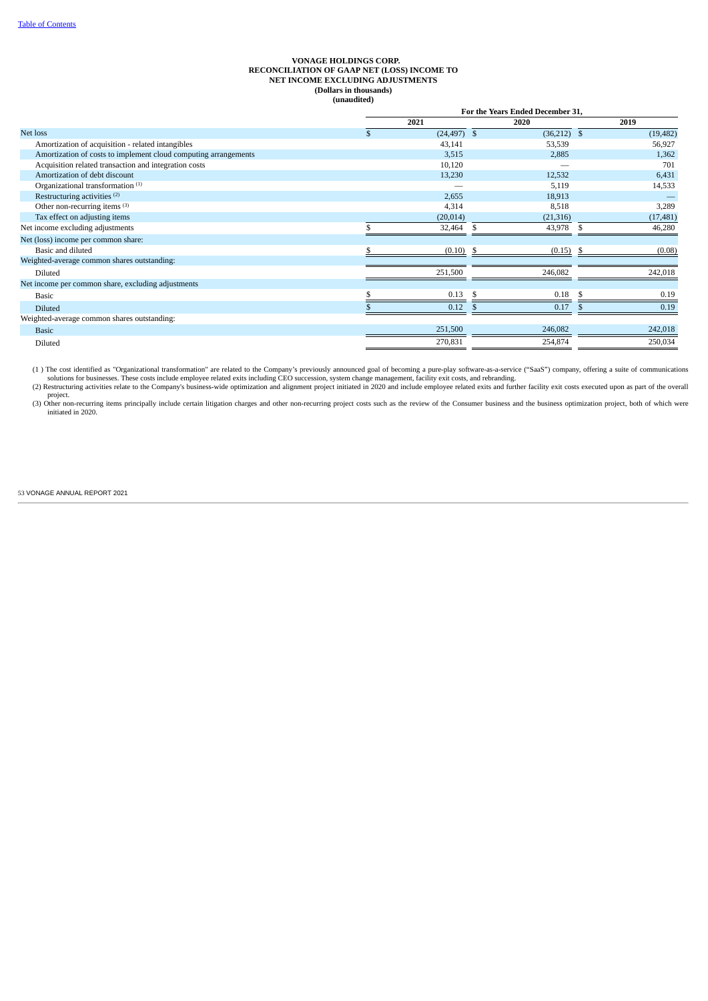### **VONAGE HOLDINGS CORP. RECONCILIATION OF GAAP NET (LOSS) INCOME TO NET INCOME EXCLUDING ADJUSTMENTS (Dollars in thousands) (unaudited)**

|                                                                 | For the Years Ended December 31, |                |    |           |      |           |
|-----------------------------------------------------------------|----------------------------------|----------------|----|-----------|------|-----------|
|                                                                 |                                  | 2021           |    | 2020      |      | 2019      |
| Net loss                                                        |                                  | $(24, 497)$ \$ |    | (36,212)  | \$   | (19, 482) |
| Amortization of acquisition - related intangibles               |                                  | 43,141         |    | 53,539    |      | 56,927    |
| Amortization of costs to implement cloud computing arrangements |                                  | 3,515          |    | 2,885     |      | 1,362     |
| Acquisition related transaction and integration costs           |                                  | 10,120         |    |           |      | 701       |
| Amortization of debt discount                                   |                                  | 13,230         |    | 12,532    |      | 6,431     |
| Organizational transformation <sup>(1)</sup>                    |                                  |                |    | 5,119     |      | 14,533    |
| Restructuring activities <sup>(2)</sup>                         |                                  | 2,655          |    | 18,913    |      |           |
| Other non-recurring items (3)                                   |                                  | 4,314          |    | 8,518     |      | 3,289     |
| Tax effect on adjusting items                                   |                                  | (20, 014)      |    | (21, 316) |      | (17, 481) |
| Net income excluding adjustments                                |                                  | 32,464         |    | 43,978    | \$.  | 46,280    |
| Net (loss) income per common share:                             |                                  |                |    |           |      |           |
| Basic and diluted                                               |                                  | (0.10)         |    | (0.15)    |      | (0.08)    |
| Weighted-average common shares outstanding:                     |                                  |                |    |           |      |           |
| Diluted                                                         |                                  | 251,500        |    | 246,082   |      | 242,018   |
| Net income per common share, excluding adjustments              |                                  |                |    |           |      |           |
| Basic                                                           |                                  | 0.13           | -S | 0.18      | - \$ | 0.19      |
| <b>Diluted</b>                                                  |                                  | 0.12           |    | 0.17      |      | 0.19      |
| Weighted-average common shares outstanding:                     |                                  |                |    |           |      |           |
| <b>Basic</b>                                                    |                                  | 251,500        |    | 246,082   |      | 242,018   |
| Diluted                                                         |                                  | 270,831        |    | 254,874   |      | 250,034   |

(1 ) The cost identified as "Organizational transformation" are related to the Company's previously announced goal of becoming a pure-play software-as-a-service ("SaaS") company, offering a suite of communications (1 ) The

project.<br>(3) Other non-recurring items principally include certain litigation charges and other non-recurring project costs such as the review of the Consumer business and the business optimization project, both of which w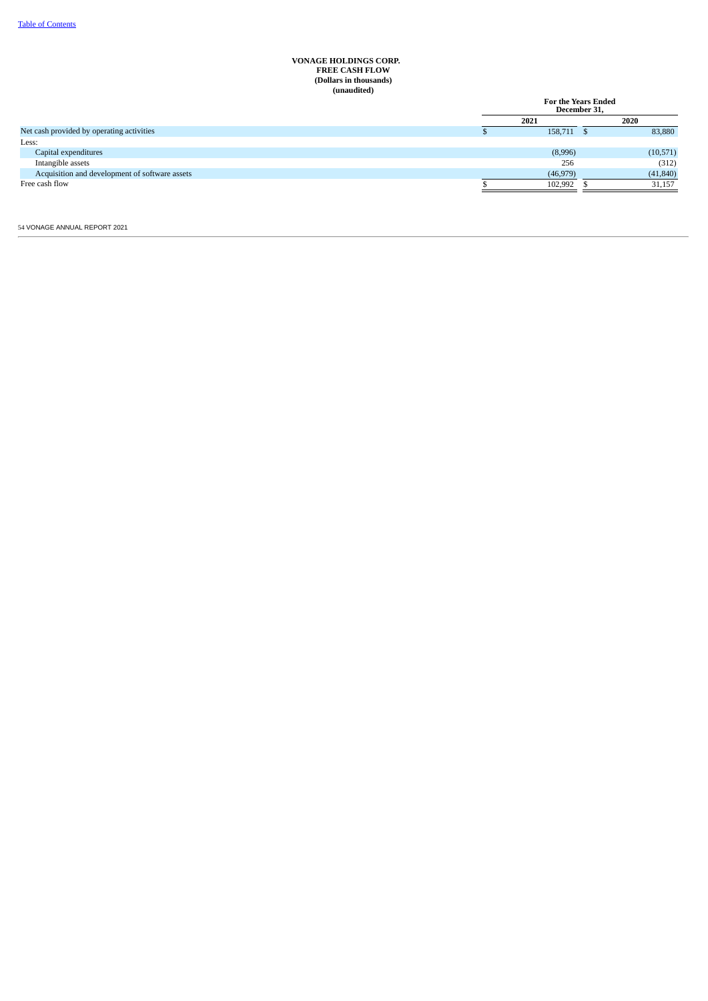### **VONAGE HOLDINGS CORP. FREE CASH FLOW (Dollars in thousands) (unaudited)**

<span id="page-53-0"></span>

| (unaudited)                                    |                                     |  |           |
|------------------------------------------------|-------------------------------------|--|-----------|
|                                                | For the Years Ended<br>December 31. |  |           |
|                                                | 2021                                |  | 2020      |
| Net cash provided by operating activities      | 158,711 \$                          |  | 83,880    |
| Less:                                          |                                     |  |           |
| Capital expenditures                           | (8,996)                             |  | (10, 571) |
| Intangible assets                              | 256                                 |  | (312)     |
| Acquisition and development of software assets | (46, 979)                           |  | (41, 840) |
| Free cash flow                                 | 102.992                             |  | 31,157    |
|                                                |                                     |  |           |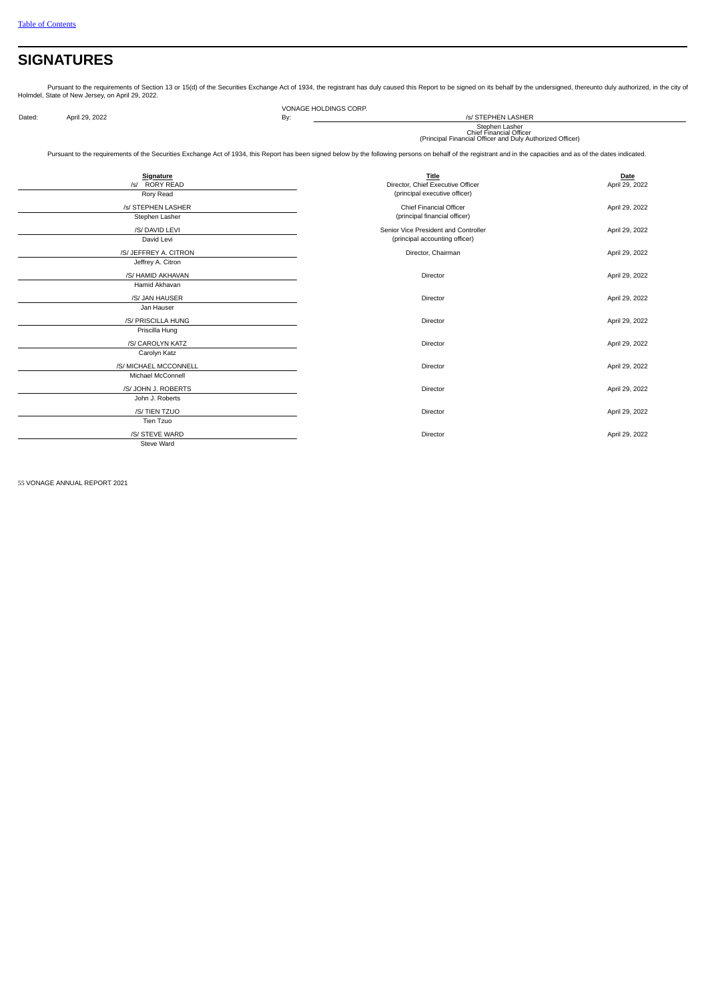# **SIGNATURES**

Pursuant to the requirements of Section 13 or 15(d) of the Securities Exchange Act of 1934, the registrant has duly caused this Report to be signed on its behalf by the undersigned, thereunto duly authorized, in the city o

|        |                | VONAGE HOLDINGS CORP. |                                                                                                        |
|--------|----------------|-----------------------|--------------------------------------------------------------------------------------------------------|
| Dated: | April 29, 2022 | Bv                    | /s/ STEPHEN LASHER                                                                                     |
|        |                |                       | Stephen Lasher<br>Chief Financial Officer<br>(Principal Financial Officer and Duly Authorized Officer) |

Pursuant to the requirements of the Securities Exchange Act of 1934, this Report has been signed below by the following persons on behalf of the registrant and in the capacities and as of the dates indicated.

| <b>Signature</b><br>/s/ RORY READ<br>Rory Read | Title<br>Director, Chief Executive Officer<br>(principal executive officer) | Date<br>April 29, 2022 |
|------------------------------------------------|-----------------------------------------------------------------------------|------------------------|
| /s/ STEPHEN LASHER<br>Stephen Lasher           | <b>Chief Financial Officer</b><br>(principal financial officer)             | April 29, 2022         |
| /S/DAVID LEVI<br>David Levi                    | Senior Vice President and Controller<br>(principal accounting officer)      | April 29, 2022         |
| /S/ JEFFREY A. CITRON<br>Jeffrey A. Citron     | Director, Chairman                                                          | April 29, 2022         |
| /S/ HAMID AKHAVAN<br>Hamid Akhavan             | Director                                                                    | April 29, 2022         |
| /S/ JAN HAUSER<br>Jan Hauser                   | Director                                                                    | April 29, 2022         |
| /S/ PRISCILLA HUNG<br>Priscilla Hung           | Director                                                                    | April 29, 2022         |
| /S/ CAROLYN KATZ<br>Carolyn Katz               | Director                                                                    | April 29, 2022         |
| /S/ MICHAEL MCCONNELL<br>Michael McConnell     | Director                                                                    | April 29, 2022         |
| /S/ JOHN J. ROBERTS<br>John J. Roberts         | Director                                                                    | April 29, 2022         |
| /S/TIENTZUO<br>Tien Tzuo                       | Director                                                                    | April 29, 2022         |
| /S/ STEVE WARD<br>Steve Ward                   | Director                                                                    | April 29, 2022         |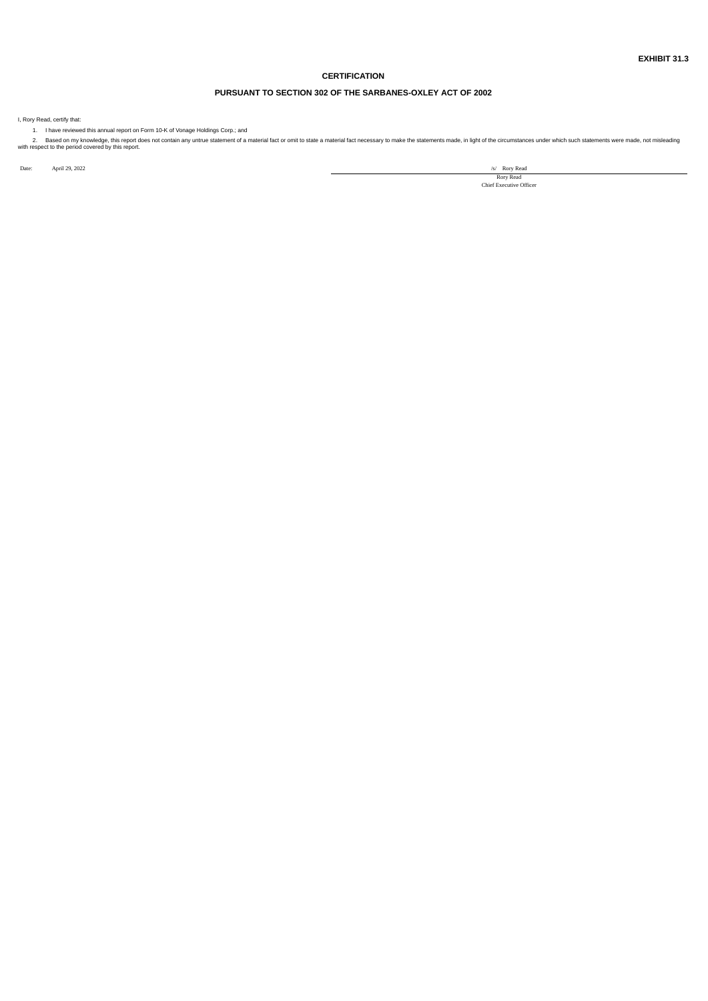$\overline{a}$ 

# **CERTIFICATION**

# **PURSUANT TO SECTION 302 OF THE SARBANES-OXLEY ACT OF 2002**

<span id="page-55-0"></span>I, Rory Read, certify that:

1. I have reviewed this annual report on Form 10-K of Vonage Holdings Corp.; and

2. Based on my knowledge, this report does not contain any untrue statement of a material fact or omit to state a material fact necessary to make the statements made, in light of the circumstances under which such statemen

Date: April 29, 2022<br>Rory Read<br>Chief Executive Officer